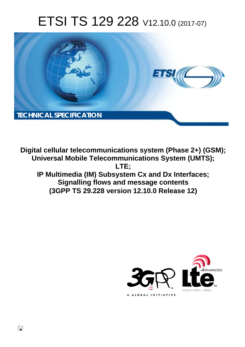# ETSI TS 129 228 V12.10.0 (2017-07)



**Digital cellular telecommunications system (Phase 2+) (GSM); Universal Mobile Telecommunications System (UMTS); LTE; IP Multimedia (IM) Subsystem Cx and Dx Interfaces; Signalling flows and message contents (3GPP TS 29.228 version 12.10.0 Release 12)** 



 $\Box$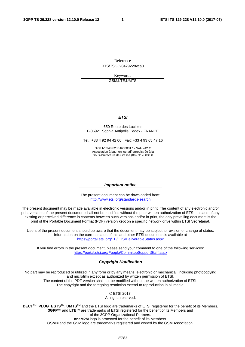Reference RTS/TSGC-0429228vca0

Keywords

GSM,LTE,UMTS

#### *ETSI*

#### 650 Route des Lucioles F-06921 Sophia Antipolis Cedex - FRANCE

Tel.: +33 4 92 94 42 00 Fax: +33 4 93 65 47 16

Siret N° 348 623 562 00017 - NAF 742 C Association à but non lucratif enregistrée à la Sous-Préfecture de Grasse (06) N° 7803/88

#### *Important notice*

The present document can be downloaded from: <http://www.etsi.org/standards-search>

The present document may be made available in electronic versions and/or in print. The content of any electronic and/or print versions of the present document shall not be modified without the prior written authorization of ETSI. In case of any existing or perceived difference in contents between such versions and/or in print, the only prevailing document is the print of the Portable Document Format (PDF) version kept on a specific network drive within ETSI Secretariat.

Users of the present document should be aware that the document may be subject to revision or change of status. Information on the current status of this and other ETSI documents is available at <https://portal.etsi.org/TB/ETSIDeliverableStatus.aspx>

If you find errors in the present document, please send your comment to one of the following services: <https://portal.etsi.org/People/CommiteeSupportStaff.aspx>

#### *Copyright Notification*

No part may be reproduced or utilized in any form or by any means, electronic or mechanical, including photocopying and microfilm except as authorized by written permission of ETSI. The content of the PDF version shall not be modified without the written authorization of ETSI.

The copyright and the foregoing restriction extend to reproduction in all media.

© ETSI 2017.

All rights reserved.

**DECT**TM, **PLUGTESTS**TM, **UMTS**TM and the ETSI logo are trademarks of ETSI registered for the benefit of its Members. **3GPP**TM and **LTE**™ are trademarks of ETSI registered for the benefit of its Members and of the 3GPP Organizational Partners.

**oneM2M** logo is protected for the benefit of its Members.

**GSM**® and the GSM logo are trademarks registered and owned by the GSM Association.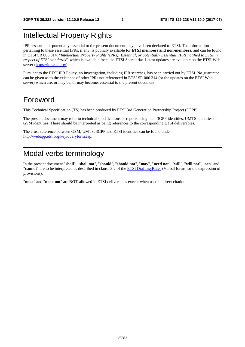# Intellectual Property Rights

IPRs essential or potentially essential to the present document may have been declared to ETSI. The information pertaining to these essential IPRs, if any, is publicly available for **ETSI members and non-members**, and can be found in ETSI SR 000 314: *"Intellectual Property Rights (IPRs); Essential, or potentially Essential, IPRs notified to ETSI in respect of ETSI standards"*, which is available from the ETSI Secretariat. Latest updates are available on the ETSI Web server ([https://ipr.etsi.org/\)](https://ipr.etsi.org/).

Pursuant to the ETSI IPR Policy, no investigation, including IPR searches, has been carried out by ETSI. No guarantee can be given as to the existence of other IPRs not referenced in ETSI SR 000 314 (or the updates on the ETSI Web server) which are, or may be, or may become, essential to the present document.

# Foreword

This Technical Specification (TS) has been produced by ETSI 3rd Generation Partnership Project (3GPP).

The present document may refer to technical specifications or reports using their 3GPP identities, UMTS identities or GSM identities. These should be interpreted as being references to the corresponding ETSI deliverables.

The cross reference between GSM, UMTS, 3GPP and ETSI identities can be found under [http://webapp.etsi.org/key/queryform.asp.](http://webapp.etsi.org/key/queryform.asp)

# Modal verbs terminology

In the present document "**shall**", "**shall not**", "**should**", "**should not**", "**may**", "**need not**", "**will**", "**will not**", "**can**" and "**cannot**" are to be interpreted as described in clause 3.2 of the [ETSI Drafting Rules](https://portal.etsi.org/Services/editHelp!/Howtostart/ETSIDraftingRules.aspx) (Verbal forms for the expression of provisions).

"**must**" and "**must not**" are **NOT** allowed in ETSI deliverables except when used in direct citation.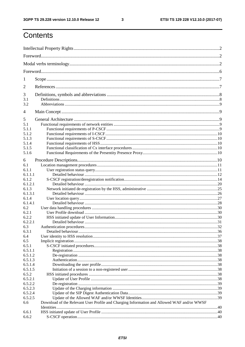$\mathbf{3}$ 

# Contents

| 1              |                                                                                            |  |
|----------------|--------------------------------------------------------------------------------------------|--|
| 2              |                                                                                            |  |
| 3              |                                                                                            |  |
| 3.1<br>3.2     |                                                                                            |  |
| $\overline{4}$ |                                                                                            |  |
| 5              |                                                                                            |  |
| 5.1            |                                                                                            |  |
| 5.1.1          |                                                                                            |  |
| 5.1.2          |                                                                                            |  |
| 5.1.3          |                                                                                            |  |
| 5.1.4          |                                                                                            |  |
| 5.1.5          |                                                                                            |  |
| 5.1.6          |                                                                                            |  |
|                |                                                                                            |  |
| 6              |                                                                                            |  |
| 6.1            |                                                                                            |  |
| 6.1.1          |                                                                                            |  |
| 6.1.1.1        |                                                                                            |  |
| 6.1.2          |                                                                                            |  |
| 6.1.2.1        |                                                                                            |  |
| 6.1.3          |                                                                                            |  |
| 6.1.3.1        |                                                                                            |  |
| 6.1.4          |                                                                                            |  |
| 6.1.4.1        |                                                                                            |  |
| 6.2            |                                                                                            |  |
| 6.2.1          |                                                                                            |  |
| 6.2.2          |                                                                                            |  |
| 6.2.2.1        |                                                                                            |  |
| 6.3            |                                                                                            |  |
| 6.3.1          |                                                                                            |  |
| 6.4            |                                                                                            |  |
| 6.5            |                                                                                            |  |
| 6.5.1          |                                                                                            |  |
| 6.5.1.1        |                                                                                            |  |
| 6.5.1.2        |                                                                                            |  |
| 6.5.1.3        |                                                                                            |  |
| 6.5.1.4        |                                                                                            |  |
| 6.5.1.5        |                                                                                            |  |
| 6.5.2          |                                                                                            |  |
| 6.5.2.1        |                                                                                            |  |
| 6.5.2.2        |                                                                                            |  |
| 6.5.2.3        |                                                                                            |  |
| 6.5.2.4        |                                                                                            |  |
|                |                                                                                            |  |
| 6.5.2.5        |                                                                                            |  |
| 6.6            | Download of the Relevant User Profile and Charging Information and Allowed WAF and/or WWSF |  |
|                |                                                                                            |  |
| 6.6.1          |                                                                                            |  |
| 6.6.2          |                                                                                            |  |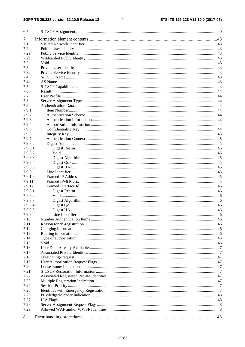$\overline{\mathbf{4}}$ 

| 6.7              |  |
|------------------|--|
| 7                |  |
| 7.1              |  |
| 7.2              |  |
| 7.2a             |  |
| 7.2 <sub>b</sub> |  |
| 7.2c             |  |
| 7.3              |  |
| 7.3a             |  |
| 7.4              |  |
| 7.4a             |  |
| 7.5              |  |
| 7.6              |  |
| 7.7              |  |
| 7.8              |  |
| 7.9              |  |
| 7.9.1            |  |
| 7.9.2            |  |
| 7.9.3            |  |
| 7.9.4            |  |
| 7.9.5            |  |
| 7.9.6            |  |
| 7.9.7            |  |
| 7.9.8            |  |
| 7.9.8.1          |  |
| 7.9.8.2          |  |
| 7.9.8.3          |  |
| 7.9.8.4          |  |
| 7.9.8.5          |  |
| 7.9.9            |  |
| 7.9.10           |  |
| 7.9.11           |  |
| 7.9.12           |  |
| 7.9.8.1          |  |
| 7.9.8.2          |  |
| 7.9.8.3          |  |
| 7.9.8.4          |  |
| 7.9.8.5          |  |
| 7.9.9            |  |
| 7.10             |  |
| 7.11             |  |
| 7.12             |  |
| 7.13             |  |
| 7.14             |  |
| 7.15             |  |
| 7.16             |  |
| 7.17             |  |
| 7.18             |  |
| 7.19             |  |
| 7.20             |  |
| 7.21             |  |
| 7.22             |  |
| 7.23             |  |
| 7.24             |  |
| 7.25             |  |
| 7.26             |  |
| 7.27             |  |
| 7.28             |  |
| 7.29             |  |
|                  |  |
| 8                |  |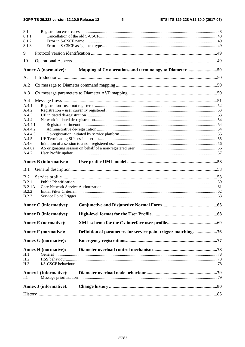$5\phantom{a}$ 

| 8.1<br>8.1.1<br>8.1.2<br>8.1.3 |                               |                                                               |  |
|--------------------------------|-------------------------------|---------------------------------------------------------------|--|
| 9                              |                               |                                                               |  |
| 10                             |                               |                                                               |  |
|                                | Annex A (normative):          | Mapping of Cx operations and terminology to Diameter 50       |  |
| A.1                            |                               |                                                               |  |
| A.2                            |                               |                                                               |  |
| A.3                            |                               |                                                               |  |
| A.4                            |                               |                                                               |  |
| A.4.1                          |                               |                                                               |  |
| A.4.2                          |                               |                                                               |  |
| A.4.3                          |                               |                                                               |  |
| A.4.4                          |                               |                                                               |  |
| A.4.4.1<br>A.4.4.2             |                               |                                                               |  |
| A.4.4.3                        |                               |                                                               |  |
| A.4.5                          |                               |                                                               |  |
| A.4.6                          |                               |                                                               |  |
| A.4.6a                         |                               |                                                               |  |
| A.4.7                          |                               |                                                               |  |
|                                | <b>Annex B</b> (informative): |                                                               |  |
| B.1                            |                               |                                                               |  |
| B.2                            |                               |                                                               |  |
| B.2.1                          |                               |                                                               |  |
| B.2.1A                         |                               |                                                               |  |
| B.2.2                          |                               |                                                               |  |
| <b>B.2.3</b>                   |                               |                                                               |  |
|                                | <b>Annex C</b> (informative): |                                                               |  |
|                                | <b>Annex D</b> (informative): |                                                               |  |
|                                |                               |                                                               |  |
|                                | <b>Annex E</b> (normative):   |                                                               |  |
|                                | <b>Annex F</b> (normative):   | Definition of parameters for service point trigger matching76 |  |
|                                | <b>Annex G</b> (normative):   |                                                               |  |
|                                | <b>Annex H</b> (normative):   |                                                               |  |
| H.1                            |                               |                                                               |  |
| H <sub>.2</sub>                |                               |                                                               |  |
| H.3                            |                               |                                                               |  |
|                                | <b>Annex I (Informative):</b> |                                                               |  |
| I.1                            |                               |                                                               |  |
|                                |                               |                                                               |  |
|                                | <b>Annex J</b> (informative): |                                                               |  |
|                                |                               |                                                               |  |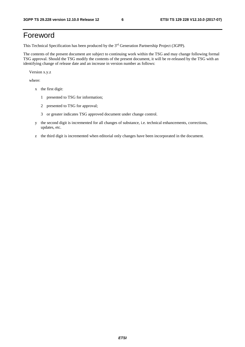# Foreword

This Technical Specification has been produced by the 3rd Generation Partnership Project (3GPP).

The contents of the present document are subject to continuing work within the TSG and may change following formal TSG approval. Should the TSG modify the contents of the present document, it will be re-released by the TSG with an identifying change of release date and an increase in version number as follows:

Version x.y.z

where:

- x the first digit:
	- 1 presented to TSG for information;
	- 2 presented to TSG for approval;
	- 3 or greater indicates TSG approved document under change control.
- y the second digit is incremented for all changes of substance, i.e. technical enhancements, corrections, updates, etc.
- z the third digit is incremented when editorial only changes have been incorporated in the document.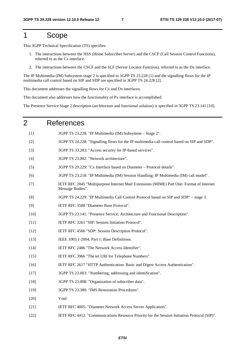# 1 Scope

This 3GPP Technical Specification (TS) specifies:

- 1. The interactions between the HSS (Home Subscriber Server) and the CSCF (Call Session Control Functions), referred to as the Cx interface.
- 2. The interactions between the CSCF and the SLF (Server Locator Function), referred to as the Dx interface.

The IP Multimedia (IM) Subsystem stage 2 is specified in 3GPP TS 23.228 [1] and the signalling flows for the IP multimedia call control based on SIP and SDP are specified in 3GPP TS 24.228 [2].

This document addresses the signalling flows for Cx and Dx interfaces.

This document also addresses how the functionality of Px interface is accomplished.

The Presence Service Stage 2 description (architecture and functional solution) is specified in 3GPP TS 23.141 [10].

| 2      | <b>References</b>                                                                                            |
|--------|--------------------------------------------------------------------------------------------------------------|
| $[1]$  | 3GPP TS 23.228: "IP Multimedia (IM) Subsystem - Stage 2".                                                    |
| $[2]$  | 3GPP TS 24.228: "Signalling flows for the IP multimedia call control based on SIP and SDP".                  |
| $[3]$  | 3GPP TS 33.203: "Access security for IP-based services".                                                     |
| $[4]$  | 3GPP TS 23.002: "Network architecture".                                                                      |
| $[5]$  | 3GPP TS 29.229: "Cx Interface based on Diameter - Protocol details".                                         |
| [6]    | 3GPP TS 23.218: "IP Multimedia (IM) Session Handling; IP Multimedia (IM) call model".                        |
| $[7]$  | IETF RFC 2045 "Multipurpose Internet Mail Extensions (MIME) Part One: Format of Internet<br>Message Bodies". |
| [8]    | 3GPP TS 24.229: "IP Multimedia Call Control Protocol based on SIP and SDP" - stage 3.                        |
| $[9]$  | IETF RFC 3588 "Diameter Base Protocol".                                                                      |
| $[10]$ | 3GPP TS 23.141: "Presence Service; Architecture and Functional Description".                                 |
| $[11]$ | IETF RFC 3261 "SIP: Session Initiation Protocol".                                                            |
| $[12]$ | IETF RFC 4566 "SDP: Session Description Protocol".                                                           |
| $[13]$ | IEEE 1003.1-2004, Part 1: Base Definitions.                                                                  |
| $[14]$ | IETF RFC 2486 "The Network Access Identifier".                                                               |
| $[15]$ | IETF RFC 3966 "The tel URI for Telephone Numbers".                                                           |
| $[16]$ | IETF RFC 2617 "HTTP Authentication: Basic and Digest Access Authentication".                                 |
| $[17]$ | 3GPP TS 23.003: "Numbering, addressing and identification".                                                  |
| $[18]$ | 3GPP TS 23.008: "Organization of subscriber data".                                                           |
| $[19]$ | 3GPP TS 23.380: "IMS Restoration Procedures".                                                                |
| $[20]$ | Void                                                                                                         |
| $[21]$ | IETF RFC 4005: "Diameter Network Access Server Application".                                                 |
| $[22]$ | IETF RFC 4412: "Communications Resource Priority for the Session Initiation Protocol (SIP)".                 |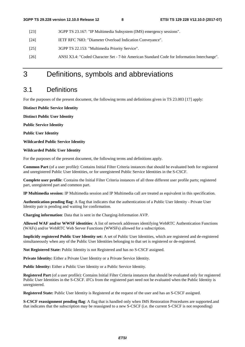- [23] 3GPP TS 23.167: "IP Multimedia Subsystem (IMS) emergency sessions".
- [24] IETF RFC 7683: "Diameter Overload Indication Conveyance".
- [25] 3GPP TS 22.153: "Multimedia Priority Service".
- [26] ANSI X3.4: "Coded Character Set 7-bit American Standard Code for Information Interchange".

# 3 Definitions, symbols and abbreviations

# 3.1 Definitions

For the purposes of the present document, the following terms and definitions given in TS 23.003 [17] apply:

**Distinct Public Service Identity** 

**Distinct Public User Identity** 

**Public Service Identity** 

**Public User Identity** 

**Wildcarded Public Service Identity** 

#### **Wildcarded Public User Identity**

For the purposes of the present document, the following terms and definitions apply.

**Common Part** (of a user profile): Contains Initial Filter Criteria instances that should be evaluated both for registered and unregistered Public User Identities, or for unregistered Public Service Identities in the S-CSCF.

**Complete user profile**: Contains the Initial Filter Criteria instances of all three different user profile parts; registered part, unregistered part and common part.

**IP Multimedia session:** IP Multimedia session and IP Multimedia call are treated as equivalent in this specification.

**Authentication pending flag**: A flag that indicates that the authentication of a Public User Identity - Private User Identity pair is pending and waiting for confirmation.

**Charging information**: Data that is sent in the Charging-Information AVP.

**Allowed WAF and/or WWSF identities**: A list of network addresses identifying WebRTC Authentication Functions (WAFs) and/or WebRTC Web Server Functions (WWSFs) allowed for a subscription.

**Implicitly registered Public User Identity set:** A set of Public User Identities, which are registered and de-registered simultaneously when any of the Public User Identities belonging to that set is registered or de-registered.

**Not Registered State:** Public Identity is not Registered and has no S-CSCF assigned.

Private Identity: Either a Private User Identity or a Private Service Identity.

Public Identity: Either a Public User Identity or a Public Service Identity.

**Registered Part** (of a user profile): Contains Initial Filter Criteria instances that should be evaluated only for registered Public User Identities in the S-CSCF. iFCs from the registered part need not be evaluated when the Public Identity is unregistered.

**Registered State:** Public User Identity is Registered at the request of the user and has an S-CSCF assigned.

**S-CSCF reassignment pending flag**: A flag that is handled only when IMS Restoration Procedures are supported.and that indicates that the subscription may be reassigned to a new S-CSCF (i.e. the current S-CSCF is not responding)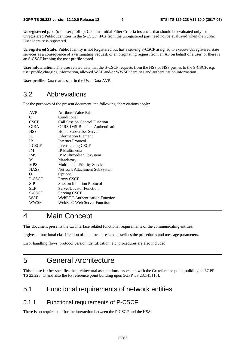**Unregistered part** (of a user profile): Contains Initial Filter Criteria instances that should be evaluated only for unregistered Public Identities in the S-CSCF. iFCs from the unregistered part need not be evaluated when the Public User Identity is registered.

**Unregistered State:** Public Identity is not Registered but has a serving S-CSCF assigned to execute Unregistered state services as a consequence of a terminating request, or an originating request from an AS on behalf of a user, or there is an S-CSCF keeping the user profile stored.

**User information:** The user related data that the S-CSCF requests from the HSS or HSS pushes to the S-CSCF, e.g. user profile,charging information, allowed WAF and/or WWSF identities and authentication information.

**User profile**: Data that is sent in the User-Data AVP.

# 3.2 Abbreviations

For the purposes of the present document, the following abbreviations apply:

| <b>AVP</b>  | Attribute Value Pair               |
|-------------|------------------------------------|
| C           | Conditional                        |
| <b>CSCF</b> | Call Session Control Function      |
| GIBA        | GPRS-IMS-Bundled-Authentication    |
| <b>HSS</b>  | Home Subscriber Server             |
| IE.         | <b>Information Element</b>         |
| <b>IP</b>   | Internet Protocol                  |
| I-CSCF      | <b>Interrogating CSCF</b>          |
| <b>IM</b>   | IP Multimedia                      |
| <b>IMS</b>  | IP Multimedia Subsystem            |
| M           | Mandatory                          |
| <b>MPS</b>  | Multimedia Priority Service        |
| <b>NASS</b> | Network Attachment SubSystem       |
| Ω           | Optional                           |
| P-CSCF      | Proxy CSCF                         |
| <b>SIP</b>  | <b>Session Initiation Protocol</b> |
| <b>SLF</b>  | Server Locator Function            |
| S-CSCF      | <b>Serving CSCF</b>                |
| WAF         | WebRTC Authentication Function     |
| WWSF        | <b>WebRTC Web Server Function</b>  |
|             |                                    |

# 4 Main Concept

This document presents the Cx interface related functional requirements of the communicating entities.

It gives a functional classification of the procedures and describes the procedures and message parameters.

Error handling flows, protocol version identification, etc. procedures are also included.

# 5 General Architecture

This clause further specifies the architectural assumptions associated with the Cx reference point, building on 3GPP TS 23.228 [1] and also the Px reference point building upon 3GPP TS 23.141 [10].

# 5.1 Functional requirements of network entities

### 5.1.1 Functional requirements of P-CSCF

There is no requirement for the interaction between the P-CSCF and the HSS.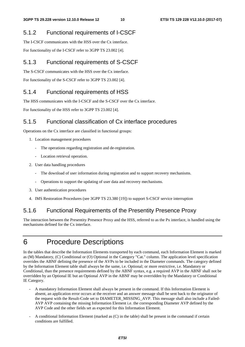### 5.1.2 Functional requirements of I-CSCF

The I-CSCF communicates with the HSS over the Cx interface. For functionality of the I-CSCF refer to 3GPP TS 23.002 [4].

### 5.1.3 Functional requirements of S-CSCF

The S-CSCF communicates with the HSS over the Cx interface.

For functionality of the S-CSCF refer to 3GPP TS 23.002 [4].

### 5.1.4 Functional requirements of HSS

The HSS communicates with the I-CSCF and the S-CSCF over the Cx interface.

For functionality of the HSS refer to 3GPP TS 23.002 [4].

### 5.1.5 Functional classification of Cx interface procedures

Operations on the Cx interface are classified in functional groups:

- 1. Location management procedures
	- The operations regarding registration and de-registration.
	- Location retrieval operation.
- 2. User data handling procedures
	- The download of user information during registration and to support recovery mechanisms.
	- Operations to support the updating of user data and recovery mechanisms.
- 3. User authentication procedures
- 4. IMS Restoration Procedures (see 3GPP TS 23.380 [19]) to support S-CSCF service interruption

### 5.1.6 Functional Requirements of the Presentity Presence Proxy

The interaction between the Presentity Presence Proxy and the HSS, referred to as the Px interface, is handled using the mechanisms defined for the Cx interface.

# 6 Procedure Descriptions

In the tables that describe the Information Elements transported by each command, each Information Element is marked as (M) Mandatory, (C) Conditional or (O) Optional in the Category "Cat." column. The application level specification overrides the ABNF defining the presence of the AVPs to be included in the Diameter commands. The category defined by the Information Element table shall always be the same, i.e. Optional; or more restrictive, i.e. Mandatory or Conditional, than the presence requirements defined by the ABNF syntax, e.g. a required AVP in the ABNF shall not be overridden by an Optional IE but an Optional AVP in the ABNF may be overridden by the Mandatory or Conditional IE Category.

- A mandatory Information Element shall always be present in the command. If this Information Element is absent, an application error occurs at the receiver and an answer message shall be sent back to the originator of the request with the Result-Code set to DIAMETER\_MISSING\_AVP. This message shall also include a Failed-AVP AVP containing the missing Information Element i.e. the corresponding Diameter AVP defined by the AVP Code and the other fields set as expected for this Information Element.
- A conditional Information Element (marked as (C) in the table) shall be present in the command if certain conditions are fulfilled.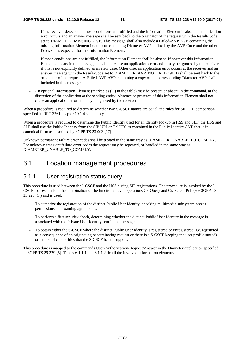- If the receiver detects that those conditions are fulfilled and the Information Element is absent, an application error occurs and an answer message shall be sent back to the originator of the request with the Result-Code set to DIAMETER\_MISSING\_AVP. This message shall also include a Failed-AVP AVP containing the missing Information Element i.e. the corresponding Diameter AVP defined by the AVP Code and the other fields set as expected for this Information Element.
- If those conditions are not fulfilled, the Information Element shall be absent. If however this Information Element appears in the message, it shall not cause an application error and it may be ignored by the receiver if this is not explicitly defined as an error case. Otherwise, an application error occurs at the receiver and an answer message with the Result-Code set to DIAMETER\_AVP\_NOT\_ALLOWED shall be sent back to the originator of the request. A Failed-AVP AVP containing a copy of the corresponding Diameter AVP shall be included in this message.
- An optional Information Element (marked as (O) in the table) may be present or absent in the command, at the discretion of the application at the sending entity. Absence or presence of this Information Element shall not cause an application error and may be ignored by the receiver.

When a procedure is required to determine whether two S-CSCF names are equal, the rules for SIP URI comparison specified in RFC 3261 chapter 19.1.4 shall apply.

When a procedure is required to determine the Public Identity used for an identity lookup in HSS and SLF, the HSS and SLF shall use the Public Identity from the SIP URI or Tel URI as contained in the Public-Identity AVP that is in canonical form as described by 3GPP TS 23.003 [17].

Unknown permanent failure error codes shall be treated in the same way as DIAMETER\_UNABLE\_TO\_COMPLY. For unknown transient failure error codes the request may be repeated, or handled in the same way as DIAMETER\_UNABLE\_TO\_COMPLY.

# 6.1 Location management procedures

#### 6.1.1 User registration status query

This procedure is used between the I-CSCF and the HSS during SIP registrations. The procedure is invoked by the I-CSCF, corresponds to the combination of the functional level operations Cx-Query and Cx-Select-Pull (see 3GPP TS 23.228 [1]) and is used:

- To authorize the registration of the distinct Public User Identity, checking multimedia subsystem access permissions and roaming agreements.
- To perform a first security check, determining whether the distinct Public User Identity in the message is associated with the Private User Identity sent in the message.
- To obtain either the S-CSCF where the distinct Public User Identity is registered or unregistered (i.e. registered as a consequence of an originating or terminating request or there is a S-CSCF keeping the user profile stored), or the list of capabilities that the S-CSCF has to support.

This procedure is mapped to the commands User-Authorization-Request/Answer in the Diameter application specified in 3GPP TS 29.229 [5]. Tables 6.1.1.1 and 6.1.1.2 detail the involved information elements.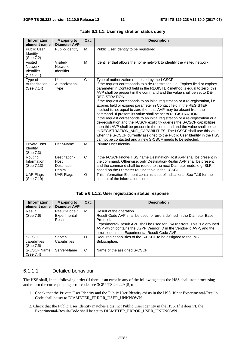| <b>Information</b><br>element name                   | <b>Mapping to</b><br><b>Diameter AVP</b>       | Cat.         | <b>Description</b>                                                                                                                                                                                                                                                                                                                                                                                                                                                                                                                                                                                                                                                                                                                                                                                                                                                                                                                                                                                                                                                        |
|------------------------------------------------------|------------------------------------------------|--------------|---------------------------------------------------------------------------------------------------------------------------------------------------------------------------------------------------------------------------------------------------------------------------------------------------------------------------------------------------------------------------------------------------------------------------------------------------------------------------------------------------------------------------------------------------------------------------------------------------------------------------------------------------------------------------------------------------------------------------------------------------------------------------------------------------------------------------------------------------------------------------------------------------------------------------------------------------------------------------------------------------------------------------------------------------------------------------|
| <b>Public User</b><br>Identity<br>(See 7.2)          | Public-Identity                                | M            | Public User Identity to be registered                                                                                                                                                                                                                                                                                                                                                                                                                                                                                                                                                                                                                                                                                                                                                                                                                                                                                                                                                                                                                                     |
| Visited<br><b>Network</b><br>Identifier<br>(See 7.1) | Visited-<br>Network-<br>Identifier             | M            | Identifier that allows the home network to identify the visited network                                                                                                                                                                                                                                                                                                                                                                                                                                                                                                                                                                                                                                                                                                                                                                                                                                                                                                                                                                                                   |
| Type of<br>Authorization<br>(See 7.14)               | User-<br>Authorization-<br><b>Type</b>         | $\mathsf{C}$ | Type of authorization requested by the I-CSCF.<br>If the request corresponds to a de-registration, i.e. Expires field or expires<br>parameter in Contact field in the REGISTER method is equal to zero, this<br>AVP shall be present in the command and the value shall be set to DE-<br><b>REGISTRATION.</b><br>If the request corresponds to an initial registration or a re-registration, i.e.<br>Expires field or expires parameter in Contact field in the REGISTER<br>method is not equal to zero then this AVP may be absent from the<br>command. If present its value shall be set to REGISTRATION.<br>If the request corresponds to an initial registration or a re-registration or a<br>de-registration and the I-CSCF explicitly queries the S-CSCF capabilities,<br>then this AVP shall be present in the command and the value shall be set<br>to REGISTRATION_AND_CAPABILITIES. The I-CSCF shall use this value<br>when the S-CSCF currently assigned to the Public User Identity in the HSS,<br>cannot be contacted and a new S-CSCF needs to be selected. |
| Private User<br>Identity<br>(See 7.3)                | User-Name                                      | M            | Private User Identity                                                                                                                                                                                                                                                                                                                                                                                                                                                                                                                                                                                                                                                                                                                                                                                                                                                                                                                                                                                                                                                     |
| Routing<br>Information<br>(See 7.13)                 | Destination-<br>Host.<br>Destination-<br>Realm | $\mathsf{C}$ | If the I-CSCF knows HSS name Destination-Host AVP shall be present in<br>the command. Otherwise, only Destination-Realm AVP shall be present<br>and the command shall be routed to the next Diameter node, e.g. SLF,<br>based on the Diameter routing table in the I-CSCF.                                                                                                                                                                                                                                                                                                                                                                                                                                                                                                                                                                                                                                                                                                                                                                                                |
| <b>UAR Flags</b><br>(See 7.19)                       | UAR-Flags                                      | $\circ$      | This Information Element contains a set of indications. See 7.19 for the<br>content of the information element.                                                                                                                                                                                                                                                                                                                                                                                                                                                                                                                                                                                                                                                                                                                                                                                                                                                                                                                                                           |

| Table 6.1.1.1: User registration status query |  |  |  |
|-----------------------------------------------|--|--|--|
|-----------------------------------------------|--|--|--|

#### **Table 6.1.1.2: User registration status response**

| <b>Information</b><br>element name  | <b>Mapping to</b><br><b>Diameter AVP</b> | Cat.    | <b>Description</b>                                                                                                                                                                                                                                                                                                    |
|-------------------------------------|------------------------------------------|---------|-----------------------------------------------------------------------------------------------------------------------------------------------------------------------------------------------------------------------------------------------------------------------------------------------------------------------|
| Result<br>(See 7.6)                 | Result-Code /<br>Experimental-<br>Result | м       | Result of the operation.<br>Result-Code AVP shall be used for errors defined in the Diameter Base<br>Protocol.<br>Experimental-Result AVP shall be used for Cx/Dx errors. This is a grouped<br>AVP which contains the 3GPP Vendor ID in the Vendor-Id AVP, and the<br>error code in the Experimental-Result-Code AVP. |
| S-CSCF<br>capabilities<br>(See 7.5) | Server-<br>Capabilities                  | $\circ$ | Required capabilities of the S-CSCF to be assigned to the IMS<br>Subscription.                                                                                                                                                                                                                                        |
| S-CSCF Name<br>(See 7.4)            | Server-Name                              | C       | Name of the assigned S-CSCF.                                                                                                                                                                                                                                                                                          |

#### 6.1.1.1 Detailed behaviour

The HSS shall, in the following order (if there is an error in any of the following steps the HSS shall stop processing and return the corresponding error code, see 3GPP TS 29.229 [5]):

- 1. Check that the Private User Identity and the Public User Identity exists in the HSS. If not Experimental-Result-Code shall be set to DIAMETER\_ERROR\_USER\_UNKNOWN.
- 2. Check that the Public User Identity matches a distinct Public User Identity in the HSS. If it doesn't, the Experimental-Result-Code shall be set to DIAMETER\_ERROR\_USER\_UNKNOWN.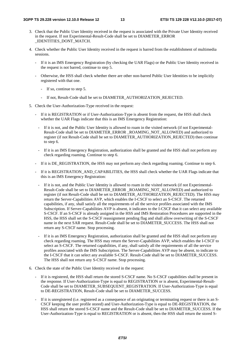- 3. Check that the Public User Identity received in the request is associated with the Private User Identity received in the request. If not Experimental-Result-Code shall be set to DIAMETER\_ERROR \_IDENTITIES\_DONT\_MATCH.
- 4. Check whether the Public User Identity received in the request is barred from the establishment of multimedia sessions.
	- If it is an IMS Emergency Registration (by checking the UAR Flags) or the Public User Identity received in the request is not barred, continue to step 5.
	- Otherwise, the HSS shall check whether there are other non-barred Public User Identities to be implicitly registered with that one.
		- If so, continue to step 5.
		- If not, Result-Code shall be set to DIAMETER\_AUTHORIZATION\_REJECTED.
- 5. Check the User-Authorization-Type received in the request:
	- If it is REGISTRATION or if User-Authorization-Type is absent from the request, the HSS shall check whether the UAR Flags indicate that this is an IMS Emergency Registration:
		- If it is not, and the Public User Identity is allowed to roam in the visited network (if not Experimental-Result-Code shall be set to DIAMETER\_ERROR \_ROAMING\_NOT\_ALLOWED) and authorized to register (if not Result-Code shall be set to DIAMETER\_AUTHORIZATION\_REJECTED) then continue to step 6.
		- If it is an IMS Emergency Registration, authorization shall be granted and the HSS shall not perform any check regarding roaming. Continue to step 6.
	- If it is DE\_REGISTRATION, the HSS may not perform any check regarding roaming. Continue to step 6.
	- If it is REGISTRATION\_AND\_CAPABILITIES, the HSS shall check whether the UAR Flags indicate that this is an IMS Emergency Registration:
		- If it is not, and the Public User Identity is allowed to roam in the visited network (if not Experimental-Result-Code shall be set to DIAMETER\_ERROR \_ROAMING\_NOT\_ALLOWED) and authorized to register (if not Result-Code shall be set to DIAMETER\_AUTHORIZATION\_REJECTED). The HSS may return the Server-Capabilities AVP, which enables the I-CSCF to select an S-CSCF. The returned capabilities, if any, shall satisfy all the requirements of all the service profiles associated with the IMS Subscription. If Server-Capabilities AVP is absent, it indicates to the I-CSCF that it can select any available S-CSCF. If an S-CSCF is already assigned in the HSS and IMS Restoration Procedures are supported in the HSS, the HSS shall set the S-CSCF reassignment pending flag and shall allow overwriting of the S-CSCF name in the next SAR request. Result-Code shall be set to DIAMETER\_SUCCESS. The HSS shall not return any S-CSCF name. Stop processing.
		- If it is an IMS Emergency Registration, authorization shall be granted and the HSS shall not perform any check regarding roaming. The HSS may return the Server-Capabilities AVP, which enables the I-CSCF to select an S-CSCF. The returned capabilities, if any, shall satisfy all the requirements of all the service profiles associated with the IMS Subscription. The Server-Capabilities AVP may be absent, to indicate to the I-CSCF that it can select any available S-CSCF. Result-Code shall be set to DIAMETER\_SUCCESS. The HSS shall not return any S-CSCF name. Stop processing.
- 6. Check the state of the Public User Identity received in the request:
	- If it is registered, the HSS shall return the stored S-CSCF name. No S-CSCF capabilities shall be present in the response. If User-Authorization-Type is equal to REGISTRATION or is absent, Experimental-Result-Code shall be set to DIAMETER\_SUBSEQUENT\_REGISTRATION. If User-Authorization-Type is equal to DE-REGISTRATION, Result-Code shall be set to DIAMETER\_SUCCESS.
	- If it is unregistered (i.e. registered as a consequence of an originating or terminating request or there is an S-CSCF keeping the user profile stored) and User-Authorization-Type is equal to DE-REGISTRATION, the HSS shall return the stored S-CSCF name and the Result-Code shall be set to DIAMETER\_SUCCESS. If the User-Authorization-Type is equal to REGISTRATION or is absent, then the HSS shall return the stored S-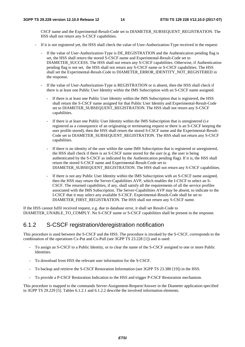CSCF name and the Experimental-Result-Code set to DIAMETER\_SUBSEQUENT\_REGISTRATION. The HSS shall not return any S-CSCF capabilities.

- If it is not registered yet, the HSS shall check the value of User-Authorization-Type received in the request:
	- If the value of User-Authorization-Type is DE\_REGISTRATION and the Authentication pending flag is set, the HSS shall return the stored S-CSCF name and Experimental-Result-Code set to DIAMETER\_SUCCESS. The HSS shall not return any S-CSCF capabilities. Otherwise, if Authentication pending flag is not set, the HSS shall not return any S-CSCF name or S-CSCF capabilities. The HSS shall set the Experimental-Result-Code to DIAMETER\_ERROR\_IDENTITY\_NOT\_REGISTERED in the response.
	- If the value of User-Authorization-Type is REGISTRATION or is absent, then the HSS shall check if there is at least one Public User Identity within the IMS Subscription with an S-CSCF name assigned.
		- If there is at least one Public User Identity within the IMS Subscription that is registered, the HSS shall return the S-CSCF name assigned for that Public User Identity and Experimental-Result-Code set to DIAMETER\_SUBSEQUENT\_REGISTRATION. The HSS shall not return any S-CSCF capabilities.
		- If there is at least one Public User Identity within the IMS Subscription that is unregistered (i.e. registered as a consequence of an originating or terminating request or there is an S-CSCF keeping the user profile stored), then the HSS shall return the stored S-CSCF name and the Experimental-Result-Code set to DIAMETER\_SUBSEQUENT\_REGISTRATION. The HSS shall not return any S-CSCF capabilities.
		- If there is no identity of the user within the same IMS Subscription that is registered or unregistered, the HSS shall check if there is an S-CSCF name stored for the user (e.g. the user is being authenticated by the S-CSCF as indicated by the Authentication pending flag). If it is, the HSS shall return the stored S-CSCF name and Experimental-Result-Code set to DIAMETER\_SUBSEQUENT\_REGISTRATION. The HSS shall not return any S-CSCF capabilities.
		- If there is not any Public User Identity within the IMS Subscription with an S-CSCF name assigned, then the HSS may return the Server-Capabilities AVP, which enables the I-CSCF to select an S-CSCF. The returned capabilities, if any, shall satisfy all the requirements of all the service profiles associated with the IMS Subscription. The Server-Capabilities AVP may be absent, to indicate to the I-CSCF that it may select any available S-CSCF. Experimental-Result-Code shall be set to DIAMETER\_FIRST\_REGISTRATION. The HSS shall not return any S-CSCF name.

If the HSS cannot fulfil received request, e.g. due to database error, it shall set Result-Code to DIAMETER\_UNABLE\_TO\_COMPLY. No S-CSCF name or S-CSCF capabilities shall be present in the response.

### 6.1.2 S-CSCF registration/deregistration notification

This procedure is used between the S-CSCF and the HSS. The procedure is invoked by the S-CSCF, corresponds to the combination of the operations Cx-Put and Cx-Pull (see 3GPP TS 23.228 [1]) and is used:

- To assign an S-CSCF to a Public Identity, or to clear the name of the S-CSCF assigned to one or more Public Identities.
- To download from HSS the relevant user information for the S-CSCF.
- To backup and retrieve the S-CSCF Restoration Information (see 3GPP TS 23.380 [19]) in the HSS.
- To provide a P-CSCF Restoration Indication to the HSS and trigger P-CSCF Restoration mechanism.

This procedure is mapped to the commands Server-Assignment-Request/Answer in the Diameter application specified in 3GPP TS 29.229 [5]. Tables 6.1.2.1 and 6.1.2.2 describe the involved information elements.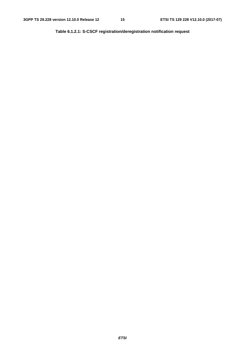**Table 6.1.2.1: S-CSCF registration/deregistration notification request**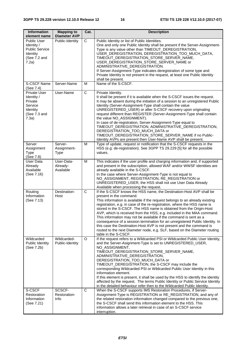| <b>Information</b><br>element name                                                             | <b>Mapping to</b><br><b>Diameter AVP</b> | Cat. | <b>Description</b>                                                                                                                                                                                                                                                                                                                                                                                                                                                                                                                                                                                                                                                                                                                           |
|------------------------------------------------------------------------------------------------|------------------------------------------|------|----------------------------------------------------------------------------------------------------------------------------------------------------------------------------------------------------------------------------------------------------------------------------------------------------------------------------------------------------------------------------------------------------------------------------------------------------------------------------------------------------------------------------------------------------------------------------------------------------------------------------------------------------------------------------------------------------------------------------------------------|
| <b>Public User</b><br>Identity /<br><b>Public Service</b><br>Identity<br>(See 7.2 and<br>7.2a) | Public-Identity                          | С    | Public Identity or list of Public Identities.<br>One and only one Public Identity shall be present if the Server-Assignment-<br>Type is any value other than TIMEOUT_DEREGISTRATION,<br>USER_DEREGISTRATION, DEREGISTRATION_TOO_MUCH_DATA,<br>TIMEOUT_DEREGISTRATION_STORE_SERVER_NAME,<br>USER_DEREGISTRATION_STORE_SERVER_NAME or<br>ADMINISTRATIVE_DEREGISTRATION.<br>If Server-Assignment-Type indicates deregistration of some type and<br>Private Identity is not present in the request, at least one Public Identity<br>shall be present.                                                                                                                                                                                            |
| S-CSCF Name<br>(See 7.4)                                                                       | Server-Name                              | M    | Name of the S-CSCF.                                                                                                                                                                                                                                                                                                                                                                                                                                                                                                                                                                                                                                                                                                                          |
| <b>Private User</b><br>Identity /<br>Private<br>Service<br>Identity<br>(See 7.3 and<br>7.3a)   | User-Name                                | C    | Private Identity.<br>It shall be present if it is available when the S-CSCF issues the request.<br>It may be absent during the initiation of a session to an unregistered Public<br>Identity (Server-Assignment-Type shall contain the value<br>UNREGISTERED_USER) or after S-CSCF recovery upon originating<br>request different than REGISTER (Server-Assignment-Type shall contain<br>the value NO_ASSIGNMENT).<br>In case of de-registration, Server-Assignment-Type equal to<br>TIMEOUT_DEREGISTRATION, ADMINISTRATIVE_DEREGISTRATION,<br>DEREGISTRATION_TOO_MUCH_DATA or<br>TIMEOUT_DEREGISTRATION_STORE_SERVER_NAME if no Public-<br>Identity AVPs are present then User-Name AVP shall be present.                                   |
| Server<br>Assignment<br><b>Type</b><br>(See 7.8)                                               | Server-<br>Assignment-<br><b>Type</b>    | M    | Type of update, request or notification that the S-CSCF requests in the<br>HSS (e.g: de-registration). See 3GPP TS 29.229 [5] for all the possible<br>values.                                                                                                                                                                                                                                                                                                                                                                                                                                                                                                                                                                                |
| <b>User Data</b><br>Already<br>Available<br>(See 7.16)                                         | User-Data-<br>Already-<br>Available      | M    | This indicates if the user profile and charging information and, if supported<br>and present in the subscription, allowed WAF and/or WWSF identities are<br>already available in the S-CSCF.<br>In the case where Server-Assignment-Type is not equal to<br>NO_ASSIGNMENT, REGISTRATION, RE_REGISTRATION or<br>UNREGISTERED_USER, the HSS shall not use User Data Already<br>Available when processing the request.                                                                                                                                                                                                                                                                                                                          |
| Routing<br>Information<br>(See 7.13)                                                           | Destination-<br>Host                     | C    | If the S-CSCF knows the HSS name, the Destination-Host AVP shall be<br>present in the command.<br>This information is available if the request belongs to an already existing<br>registration, e.g. in case of the re-registration, where the HSS name is<br>stored in the S-CSCF. The HSS name is obtained from the Origin-Host<br>AVP, which is received from the HSS, e.g. included in the MAA command.<br>This information may not be available if the command is sent as a<br>consequence of a session termination for an unregistered Public Identity. In<br>this case the Destination-Host AVP is not present and the command is<br>routed to the next Diameter node, e.g. SLF, based on the Diameter routing<br>table in the S-CSCF. |
| Wildcarded<br>Public Identity<br>(See 7.2b)                                                    | Wildcarded-<br>Public-Identity           | O    | If the request refers to a Wildcarded PSI or Wildcarded Public User Identity,<br>and the Server-Asignment-Type is set to UNREGISTERED_USER,<br>NO_ASSIGNMENT,<br>TIMEOUT_DEREGISTRATION_STORE_SERVER_NAME,<br>ADMINISTRATIVE_DEREGISTRATION,<br>DEREGISTRATION_TOO_MUCH_DATA or<br>TIMEOUT_DEREGISTRATION, the S-CSCF may include the<br>corresponding Wildcarded PSI or Wildcarded Public User Identity in this<br>information element.<br>If this element is present, it shall be used by the HSS to identify the identity<br>affected by the request. The terms Public Identity or Public Service Identity<br>in the detailed behaviour refer then to the Wildcarded Public Identity.                                                     |
| S-CSCF<br>Restoration<br>Information<br>(See 7.21)                                             | SCSCF-<br>Restoration-<br>Info           | C    | When the S-CSCF supports IMS Restoration Procedures, if Server-<br>Assignment-Type is REGISTRATION or RE_REGISTRATION, and any of<br>the related restoration information changed compared to the previous one,<br>the S-CSCF shall send this information element to the HSS. This<br>information allows a later retrieval in case of an S-CSCF service<br>interruption.                                                                                                                                                                                                                                                                                                                                                                      |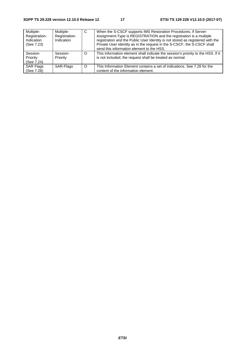| Multiple-<br>Registration-<br>Indication<br>(See 7.23) | Multiple-<br>Registration-<br>Indication | C       | When the S-CSCF supports IMS Restoration Procedures, if Server-<br>Assignment-Type is REGISTRATION and the registration is a multiple<br>registration and the Public User Identity is not stored as registered with the<br>Private User Identity as in the request in the S-CSCF, the S-CSCF shall<br>send this information element to the HSS. |
|--------------------------------------------------------|------------------------------------------|---------|-------------------------------------------------------------------------------------------------------------------------------------------------------------------------------------------------------------------------------------------------------------------------------------------------------------------------------------------------|
| Session-<br>Priority<br>(See 7.24)                     | Session-<br>Priority                     | O       | This information element shall indicate the session's priority to the HSS. If it<br>is not included, the request shall be treated as normal.                                                                                                                                                                                                    |
| <b>SAR Flags</b><br>(See 7.28)                         | SAR-Flags                                | $\circ$ | This Information Element contains a set of indications. See 7.28 for the<br>content of the information element.                                                                                                                                                                                                                                 |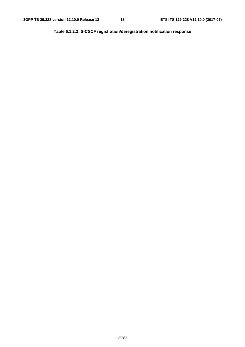**Table 6.1.2.2: S-CSCF registration/deregistration notification response**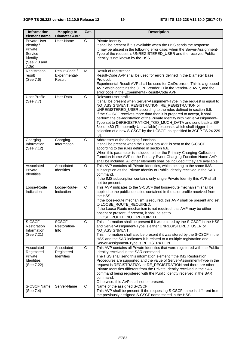| <b>Information</b><br>element name                                                    | <b>Mapping to</b><br><b>Diameter AVP</b> | Cat.           | <b>Description</b>                                                                                                                                                                                                                                                                                                                                                                                                                                                                                                                                                                                                     |
|---------------------------------------------------------------------------------------|------------------------------------------|----------------|------------------------------------------------------------------------------------------------------------------------------------------------------------------------------------------------------------------------------------------------------------------------------------------------------------------------------------------------------------------------------------------------------------------------------------------------------------------------------------------------------------------------------------------------------------------------------------------------------------------------|
| Private User<br>Identity /<br>Private<br>Service<br>Identity<br>(See 7.3 and<br>7.3a) | User-Name                                | С              | Private Identity.<br>It shall be present if it is available when the HSS sends the response.<br>It may be absent in the following error case: when the Server-Assignment-<br>Type of the request is UNREGISTERED_USER and the received Public<br>Identity is not known by the HSS.                                                                                                                                                                                                                                                                                                                                     |
| Registration<br>result<br>(See 7.6)                                                   | Result-Code /<br>Experimental-<br>Result | M              | Result of registration.<br>Result-Code AVP shall be used for errors defined in the Diameter Base<br>Protocol.<br>Experimental-Result AVP shall be used for Cx/Dx errors. This is a grouped<br>AVP which contains the 3GPP Vendor ID in the Vendor-Id AVP, and the<br>error code in the Experimental-Result-Code AVP.                                                                                                                                                                                                                                                                                                   |
| <b>User Profile</b><br>(See 7.7)                                                      | User-Data                                | $\overline{C}$ | Relevant user profile.<br>It shall be present when Server-Assignment-Type in the request is equal to<br>NO_ASSIGNMENT, REGISTRATION, RE_REGISTRATION or<br>UNREGISTERED_USER according to the rules defined in section 6.6.<br>If the S-CSCF receives more data than it is prepared to accept, it shall<br>perform the de-registration of the Private Identity with Server-Assignment-<br>Type set to DEREGISTRATION_TOO_MUCH_DATA and send back a SIP<br>3xx or 480 (Temporarily Unavailable) response, which shall trigger the<br>selection of a new S-CSCF by the I-CSCF, as specified in 3GPP TS 24.229<br>$[8]$ . |
| Charging<br>Information<br>(See 7.12)                                                 | Charging-<br>Information                 | $\overline{C}$ | Addresses of the charging functions.<br>It shall be present when the User-Data AVP is sent to the S-CSCF<br>according to the rules defined in section 6.6.<br>When this parameter is included, either the Primary-Charging-Collection-<br>Function-Name AVP or the Primary-Event-Charging-Function-Name AVP<br>shall be included. All other elements shall be included if they are available.                                                                                                                                                                                                                          |
| Associated<br>Private<br><b>Identities</b>                                            | Associated-<br>Identities                | O              | This AVP contains all Private Identities, which belong to the same IMS<br>subscription as the Private Identity or Public Identity received in the SAR<br>command.<br>If the IMS subscription contains only single Private Identity this AVP shall<br>not be present.                                                                                                                                                                                                                                                                                                                                                   |
| Loose-Route<br>Indication                                                             | Loose-Route-<br>Indication               | $\mathsf{C}$   | This AVP indicates to the S-CSCF that loose-route mechanism shall be<br>applied to the public identities contained in the user profile received from<br>the HSS.<br>If the loose-route mechanism is required, this AVP shall be present and set<br>to LOOSE_ROUTE_REQUIRED.<br>If the Loose-Route mechanism is not required, this AVP may be either<br>absent or present. If present, it shall be set to<br>LOOSE_ROUTE_NOT_REQUIRED.                                                                                                                                                                                  |
| S-CSCF<br>Restoration<br>Information<br>(See 7.21)                                    | SCSCF-<br>Restoration-<br>Info           | C              | This information shall be present if it was stored by the S-CSCF in the HSS<br>and Server-Assignment-Type is either UNREGISTERED_USER or<br>NO_ASSIGNMENT.<br>This information shall also be present if it was stored by the S-CSCF in the<br>HSS and the SAR indicates it is related to a multiple registration and<br>Server-Assignment-Type is REGISTRATION.                                                                                                                                                                                                                                                        |
| Associated<br>Registered<br>Private<br>Identities<br>(See 7.22)                       | Associated-<br>Registered-<br>Identities | C              | This AVP contains all Private Identities that were registered with the Public<br>Identity received in the SAR command.<br>The HSS shall send this information element if the IMS Restoration<br>Procedures are supported and the value of Server-Assignment-Type in the<br>request is REGISTRATION or RE_REGISTRATION and there are other<br>Private Identities different from the Private Identity received in the SAR<br>command being registered with the Public Identity received in the SAR<br>command.<br>Otherwise, this AVP shall not be present.                                                              |
| S-CSCF Name<br>(See 7.4)                                                              | Server-Name                              | C              | Name of the assigned S-CSCF.<br>This AVP shall be present, if the requesting S-CSCF name is different from<br>the previously assigned S-CSCF name stored in the HSS.                                                                                                                                                                                                                                                                                                                                                                                                                                                   |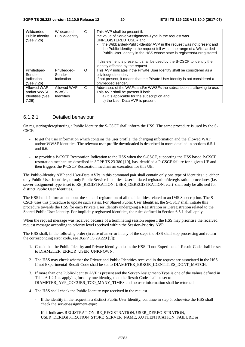| Wildcarded             | Wildcarded-       | C       | This AVP shall be present if:                                               |
|------------------------|-------------------|---------|-----------------------------------------------------------------------------|
| Public Identity        | Public-Identity   |         | the value of Server-Assignment-Type in the request was                      |
| (See 7.2b)             |                   |         | UNREGISTERED USER and                                                       |
|                        |                   |         | the Wildcarded-Public-Identity AVP in the request was not present and       |
|                        |                   |         | the Public Identity in the request fell within the range of a Wildcarded    |
|                        |                   |         | Public User Identity in the HSS whose state is registered/unregistered.     |
|                        |                   |         | If this element is present, it shall be used by the S-CSCF to identify the  |
|                        |                   |         | identity affected by the request.                                           |
| Priviledged-           | Priviledged-      | $\circ$ | This AVP indicates if the Private User Identity shall be considered as a    |
| Sender                 | Sender-           |         | priviledged sender.                                                         |
|                        |                   |         |                                                                             |
| Indication             | Indication        |         | If not present, it means that the Private User Identity is not considered a |
| (See 7.26)             |                   |         | priviledged sender.                                                         |
| Allowed WAF            | Allowed-WAF-      | C       | Addresses of the WAFs and/or WWSFs the subscription is allowing to use.     |
| and/or WWSF            | WWSF-             |         | This AVP shall be present if both                                           |
| <b>Identities (See</b> | <b>Identities</b> |         | a) it is applicable for the subscription and                                |
| 7.29                   |                   |         | b) the User-Data AVP is present.                                            |

#### 6.1.2.1 Detailed behaviour

On registering/deregistering a Public Identity the S-CSCF shall inform the HSS. The same procedure is used by the S-CSCF:

- to get the user information which contains the user profile, the charging information and the allowed WAF and/or WWSF Identities. The relevant user profile downloaded is described in more detailed in sections 6.5.1 and 6.6.
- to provide a P-CSCF Restoration Indication to the HSS when the S-CSCF, supporting the HSS based P-CSCF restoration mechanism described in 3GPP TS 23.380 [19], has identified a P-CSCF failure for a given UE and then triggers the P-CSCF Restoration mechanism execution for this UE.

The Public-Identity AVP and User-Data AVPs in this command pair shall contain only one type of identities i.e. either only Public User Identities, or only Public Service Identities. User initiated registration/deregistration procedures (i.e. server-assignment-type is set to RE\_REGISTRATION, USER\_DEREGISTRATION, etc.) shall only be allowed for distinct Public User Identities.

The HSS holds information about the state of registration of all the identities related to an IMS Subscription. The S-CSCF uses this procedure to update such states. For Shared Public User Identities, the S-CSCF shall initiate this procedure towards the HSS for each Private User Identity undergoing a Registration or Deregistration related to the Shared Public User Identity. For implicitly registered identities, the rules defined in Section 6.5.1 shall apply.

When the request message was received because of a terminating session request, the HSS may prioritise the received request message according to priority level received within the Session-Priority AVP.

The HSS shall, in the following order (in case of an error in any of the steps the HSS shall stop processing and return the corresponding error code, see 3GPP TS 29.229 [5]):

- 1. Check that the Public Identity and Private Identity exist in the HSS. If not Experimental-Result-Code shall be set to DIAMETER\_ERROR\_USER\_UNKNOWN.
- 2. The HSS may check whether the Private and Public Identities received in the request are associated in the HSS. If not Experimental-Result-Code shall be set to DIAMETER\_ERROR\_IDENTITIES\_DONT\_MATCH.
- 3. If more than one Public-Identity AVP is present and the Server-Assignment-Type is one of the values defined in Table 6.1.2.1 as applying for only one identity, then the Result Code shall be set to DIAMETER\_AVP\_OCCURS\_TOO\_MANY\_TIMES and no user information shall be returned.
- 4. The HSS shall check the Public Identity type received in the request.
	- If the identity in the request is a distinct Public User Identity, continue in step 5, otherwise the HSS shall check the server-assignment-type:

 If it indicates REGISTRATION, RE\_REGISTRATION, USER\_DEREGISTRATION, USER\_DEREGISTRATION\_STORE\_SERVER\_NAME, AUTHENTICATION\_FAILURE or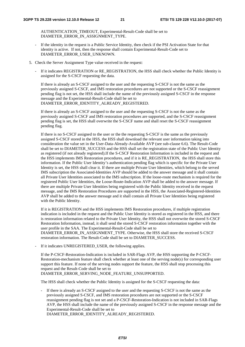AUTHENTICATION\_TIMEOUT, Experimental-Result-Code shall be set to DIAMETER\_ERROR\_IN\_ASSIGNMENT\_TYPE.

- If the identity in the request is a Public Service Identity, then check if the PSI Activation State for that identity is active. If not, then the response shall contain Experimental-Result-Code set to DIAMETER\_ERROR\_USER\_UNKNOWN.
- 5. Check the Server Assignment Type value received in the request:
	- If it indicates REGISTRATION or RE\_REGISTRATION, the HSS shall check whether the Public Identity is assigned for the S-CSCF requesting the data.

If there is already an S-CSCF assigned to the user and the requesting S-CSCF is not the same as the previously assigned S-CSCF, and IMS restoration procedures are not supported or the S-CSCF reassignment pending flag is not set, the HSS shall include the name of the previously assigned S-CSCF in the response message and the Experimental-Result-Code shall be set to DIAMETER\_ERROR\_IDENTITY\_ALREADY\_REGISTERED.

If there is already an S-CSCF assigned to the user and the requesting S-CSCF is not the same as the previously assigned S-CSCF and IMS restoration procedures are supported, and the S-CSCF reassignment pending flag is set, the HSS shall overwrite the S-CSCF name and shall reset the S-CSCF reassignment pending flag.

 If there is no S-CSCF assigned to the user or the the requesting S-CSCF is the same as the previously assigned S-CSCF stored in the HSS, the HSS shall download the relevant user information taking into consideration the value set in the User-Data-Already-Available AVP (see sub-clause 6.6). The Result-Code shall be set to DIAMETER\_SUCCESS and the HSS shall set the registration state of the Public User Identity as registered (if not already registered).If the S-CSCF Restoration Information is included in the request and the HSS implements IMS Restoration procedures, and if it is RE\_REGISTRATION, the HSS shall store this information. If the Public User Identity's authentication pending flag which is specific for the Private User Identity is set, the HSS shall clear it. If there are multiple Private User Identities, which belong to the served IMS subscription the Associated-Identities AVP should be added to the answer message and it shall contain all Private User Identities associated to the IMS subscription. If the loose-route mechanism is required for the registered Public User Identities, the Loose-Route-Indication AVP shall be added to the answer message. If there are multiple Private User Identities being registered with the Public Identity received in the request message, and the IMS Restoration Procedures are supported in the HSS, the Associated-Registered-Identities AVP shall be added to the answer message and it shall contain all Private User Identities being registered with the Public Identity.

If it is REGISTRATION and the HSS implements IMS Restoration procedures, if multiple registration indication is included in the request and the Public User Identity is stored as registered in the HSS, and there is restoration information related to the Private User Identity, the HSS shall not overwrite the stored S-CSCF Restoration Information, instead, it shall send the stored S-CSCF restoration information together with the user profile in the SAA. The Experimental-Result-Code shall be set to DIAMETER\_ERROR\_IN\_ASSIGNMENT\_TYPE. Otherwise, the HSS shall store the received S-CSCF restoration information. The Result-Code shall be set to DIAMETER\_SUCCESS.

If it indicates UNREGISTERED USER, the following applies.

If the P-CSCF-Restoration-Indication is included in SAR-Flags AVP, the HSS supporting the P-CSCF-Restoration-mechanism feature shall check whether at least one of the serving node(s) for corresponding user support this feature. If none of the serving nodes support the feature, the HSS shall stop processing this request and the Result-Code shall be set to DIAMETER\_ERROR\_SERVING\_NODE\_FEATURE\_UNSUPPORTED.

The HSS shall check whether the Public Identity is assigned for the S-CSCF requesting the data:

- If there is already an S-CSCF assigned to the user and the requesting S-CSCF is not the same as the previously assigned S-CSCF, and IMS restoration procedures are not supported or the S-CSCF reassignment pending flag is not set and a P-CSCF-Restoration-Indication is not included in SAR-Flags AVP, the HSS shall include the name of the previously assigned S-CSCF in the response message and the Experimental-Result-Code shall be set to DIAMETER\_ERROR\_IDENTITY\_ALREADY\_REGISTERED.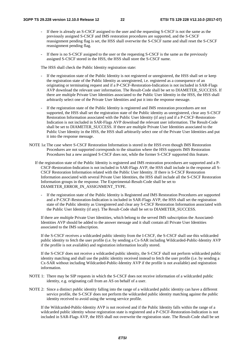- If there is already an S-CSCF assigned to the user and the requesting S-CSCF is not the same as the previously assigned S-CSCF and IMS restoration procedures are supported, and the S-CSCF reassignment pending flag is set, the HSS shall overwrite the S-CSCF name and shall reset the S-CSCF reassignment pending flag.
- If there is no S-CSCF assigned to the user or the requesting S-CSCF is the same as the previously assigned S-CSCF stored in the HSS, the HSS shall store the S-CSCF name.

The HSS shall check the Public Identity registration state:

- If the registration state of the Public Identity is not registered or unregistered, the HSS shall set or keep the registration state of the Public Identity as unregistered, i.e. registered as a consequence of an originating or terminating request and if a P-CSCF-Restoration-Indication is not included in SAR-Flags AVP download the relevant user information. The Result-Code shall be set to DIAMETER\_SUCCESS. If there are multiple Private User Identities associated to the Public User Identity in the HSS, the HSS shall arbitrarily select one of the Private User Identities and put it into the response message.
- If the registration state of the Public Identity is registered and IMS restoration procedures are not supported, the HSS shall set the registration state of the Public identity as unregistered, clear any S-CSCF Restoration Information associated with the Public User Identity (if any) and if a P-CSCF-Restoration-Indication is not included in SAR-Flags AVP download the relevant user information. The Result-Code shall be set to DIAMETER\_SUCCESS. If there are multiple Private User Identities associated to the Public User Identity in the HSS, the HSS shall arbitrarily select one of the Private User Identities and put it into the response message.
- NOTE 1a: The case where S-CSCF Restoration Information is stored in the HSS even though IMS Restoration Procedures are not supported corresponds to the situation where the HSS supports IMS Restoration Procedures but a new assigned S-CSCF does not, while the former S-CSCF supported this feature.
	- If the registration state of the Public Identity is registered and IMS restoration procedures are supported and a P-CSCF-Restoration-Indication is not included in SAR-Flags AVP, the HSS shall include in the response all S-CSCF Restoration Information related with the Public User Identity. If there is S-CSCF Restoration Information associated with several Private User Identities, the HSS shall include all the S-CSCF Restoration Information groups in the response. The Experimental-Result-Code shall be set to DIAMETER\_ERROR\_IN\_ASSIGNMENT\_TYPE.
		- If the registration state of the Public Identity is Registered and IMS Restoration Procedures are supported and a P-CSCF-Restoration-Indication is included in SAR-Flags AVP, the HSS shall set the registration state of the Public identity as Unregistered and clear any S-CSCF Restoration Information associated with the Public User Identity (if any). The Result-Code shall be set to DIAMETER\_SUCCESS.

If there are multiple Private User Identities, which belong to the served IMS subscription the Associated-Identities AVP should be added to the answer message and it shall contain all Private User Identities associated to the IMS subscription.

If the S-CSCF receives a wildcarded public identity from the I-CSCF, the S-CSCF shall use this wildcarded public identity to fetch the user profile (i.e. by sending a Cx-SAR including Wildcarded-Public-Identity AVP if the profile is not available) and registration information locally stored.

If the S-CSCF does not receive a wildcarded public identity, the S-CSCF shall not perform wildcarded public identity matching and shall use the public identity received instead to fetch the user profile (i.e. by sending a Cx-SAR without including Wildcarded-Public-Identity AVP if the profile is not available) and registration information.

- NOTE 1: There may be SIP requests in which the S-CSCF does not receive information of a wildcarded public identity, e.g. originating call from an AS on behalf of a user.
- NOTE 2: Since a distinct public identity falling into the range of a wildcarded public identity can have a different service profile, the S-CSCF does not perform the wildcarded public identity matching against the public identity received to avoid using the wrong service profile.

If the Wildcarded-Public-Identity AVP is not received and if the Public Identity falls within the range of a wildcarded public identity whose registration state is registered and a P-CSCF-Restoration-Indication is not included in SAR-Flags AVP, the HSS shall not overwrite the registration state. The Result-Code shall be set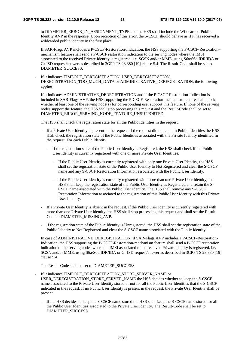to DIAMETER\_ERROR\_IN\_ASSIGNMENT\_TYPE and the HSS shall include the Wildcarded-Public-Identity AVP in the response. Upon reception of this error, the S-CSCF should behave as if it has received a wildcarded public identity in the first place.

If SAR-Flags AVP includes a P-CSCF-Restoration-Indication, the HSS supporting the P-CSCF-Restoration– mechanism feature shall send a P-CSCF restoration indication to the serving nodes where the IMSI associated to the received Private Identity is registered, i.e. SGSN and/or MME, using S6a/S6d IDR/IDA or Gr ISD request/answer as described in 3GPP TS 23.380 [19] clause 5.4. The Result-Code shall be set to DIAMETER\_SUCCESS.

If it indicates TIMEOUT\_DEREGISTRATION, USER\_DEREGISTRATION, DEREGISTRATION\_TOO\_MUCH\_DATA or ADMINISTRATIVE\_DEREGISTRATION, the following applies.

If it indicates ADMINISTRATIVE\_DEREGISTRATION and if the P-CSCF-Restoration-Indication is included in SAR-Flags AVP, the HSS supporting the P-CSCF-Restoration-mechanism feature shall check whether at least one of the serving node(s) for corresponding user support this feature. If none of the serving nodes support the feature, the HSS shall stop processing this request and the Result-Code shall be set to DIAMETER\_ERROR\_SERVING\_NODE\_FEATURE\_UNSUPPORTED.

The HSS shall check the registration state for all the Public Identities in the request.

- If a Private User Identity is present in the request, if the request did not contain Public Identities the HSS shall check the registration state of the Public Identities associated with the Private Identity identified in the request. For each Public Identity:
	- If the registration state of the Public User Identity is Registered, the HSS shall check if the Public User Identity is currently registered with one or more Private User Identities.
		- If the Public User Identity is currently registered with only one Private User Identity, the HSS shall set the registration state of the Public User Identity to Not Registered and clear the S-CSCF name and any S-CSCF Restoration Information associated with the Public User Identity.
		- If the Public User Identity is currently registered with more than one Private User Identity, the HSS shall keep the registration state of the Public User Identity as Registered and retain the S-CSCF name associated with the Public User Identity. The HSS shall remove any S-CSCF Restoration Information associated to the registration of this Public User Identity with this Private User Identity.
- If a Private User Identity is absent in the request, if the Public User Identity is currently registered with more than one Private User Identity, the HSS shall stop processing this request and shall set the Result-Code to DIAMETER\_MISSING\_AVP.
- if the registration state of the Public Identity is Unregistered, the HSS shall set the registration state of the Public Identity to Not Registered and clear the S-CSCF name associated with the Public Identity.

In case of ADMINISTRATIVE\_DEREGISTRATION, if SAR-Flags AVP includes a P-CSCF-Restoration-Indication, the HSS supporting the P-CSCF-Restoration-mechanism feature shall send a P-CSCF restoration indication to the serving nodes where the IMSI associated to the received Private Identity is registered, i.e. SGSN and/or MME, using S6a/S6d IDR/IDA or Gr ISD request/answer as described in 3GPP TS 23.380 [19] clause 5.4.

The Result-Code shall be set to DIAMETER\_SUCCESS

- If it indicates TIMEOUT\_DEREGISTRATION\_STORE\_SERVER\_NAME or USER\_DEREGISTRATION\_STORE\_SERVER\_NAME the HSS decides whether to keep the S-CSCF name associated to the Private User Identity stored or not for all the Public User Identities that the S-CSCF indicated in the request. If no Public User Identity is present in the request, the Private User Identity shall be present.
	- If the HSS decides to keep the S-CSCF name stored the HSS shall keep the S-CSCF name stored for all the Public User Identities associated to the Private User Identity. The Result-Code shall be set to DIAMETER\_SUCCESS.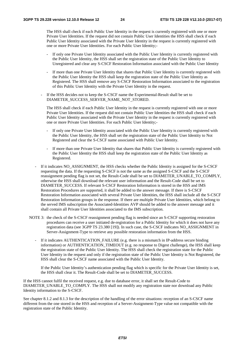The HSS shall check if each Public User Identity in the request is currently registered with one or more Private User Identities. If the request did not contain Public User Identities the HSS shall check if each Public User Identity associated with the Private User Identity in the request is currently registered with one or more Private User Identities. For each Public User Identity;-

- If only one Private User Identity associated with the Public User Identity is currently registered with the Public User Identity, the HSS shall set the registration state of the Public User Identity to Unregistered and clear any S-CSCF Restoration Information associated with the Public User Identity
- If more than one Private User Identity that shares that Public User Identity is currently registered with the Public User Identity the HSS shall keep the registration state of the Public User Identity as Registered. The HSS shall remove any S-CSCF Restoration Information associated to the registration of this Public User Identity with the Private User Identity in the request.
- If the HSS decides not to keep the S-CSCF name the Experimental-Result shall be set to DIAMETER\_SUCCESS\_SERVER\_NAME\_NOT\_STORED.

The HSS shall check if each Public User Identity in the request is currently registered with one or more Private User Identities. If the request did not contain Public User Identities the HSS shall check if each Public User Identity associated with the Private User Identity in the request is currently registered with one or more Private User Identities. For each Public User Identity;-

- If only one Private User Identity associated with the Public User Identity is currently registered with the Public User Identity, the HSS shall set the registration state of the Public User Identity to Not Registered and clear the S-CSCF name associated with Public User Identity.
- If more than one Private User Identity that shares that Public User Identity is currently registered with the Public User Identity the HSS shall keep the registration state of the Public User Identity as Registered.
- If it indicates NO\_ASSIGNMENT, the HSS checks whether the Public Identity is assigned for the S-CSCF requesting the data. If the requesting S-CSCF is not the same as the assigned S-CSCF and the S-CSCF reassignment pending flag is not set, the Result-Code shall be set to DIAMETER\_UNABLE\_TO\_COMPLY, otherwise the HSS shall download the relevant user information and the Result-Code shall be set to DIAMETER\_SUCCESS. If relevant S-CSCF Restoration Information is stored in the HSS and IMS Restoration Procedures are supported, it shall be added to the answer message. If there is S-CSCF Restoration Information associated with several Private User Identities, the HSS shall include all the S-CSCF Restoration Information groups in the response. If there are multiple Private User Identities, which belong to the served IMS subscription the Associated-Identities AVP should be added to the answer message and it shall contain all Private User Identities associated to the IMS subscription.
- NOTE 3: the check of the S-CSCF reassignment pending flag is needed since an S-CSCF supporting restoration procedures can receive a user initiated de-registration for a Public Identity for which it does not have any registration data (see 3GPP TS 23.380 [19]). In such case, the S-CSCF indicates NO\_ASSIGNMENT in Server-Assignment-Type to retrieve any possible restoration information from the HSS.
	- If it indicates AUTHENTICATION\_FAILURE (e.g. there is a mismatch in IP-address secure binding information) or AUTHENTICATION TIMEOUT (e.g. no response to Digest challenge), the HSS shall keep the registration state of the Public User Identity. The HSS shall check the registration state for the Public User Identity in the request and only if the registration state of the Public User Identity is Not Registered, the HSS shall clear the S-CSCF name associated with the Public User Identity.

If the Public User Identity's authentication pending flag which is specific for the Private User Identity is set, the HSS shall clear it. The Result-Code shall be set to DIAMETER\_SUCCESS.

If the HSS cannot fulfil the received request, e.g. due to database error, it shall set the Result-Code to DIAMETER\_UNABLE\_TO\_COMPLY. The HSS shall not modify any registration state nor download any Public Identity information to the S-CSCF.

See chapter 8.1.2 and 8.1.3 for the description of the handling of the error situations: reception of an S-CSCF name different from the one stored in the HSS and reception of a Server-Assignment-Type value not compatible with the registration state of the Public Identity.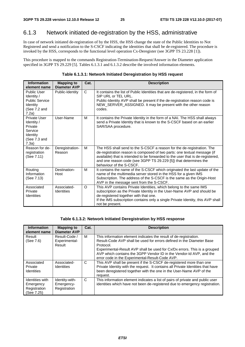# 6.1.3 Network initiated de-registration by the HSS, administrative

In case of network initiated de-registration of by the HSS, the HSS change the state of the Public Identities to Not Registered and send a notification to the S-CSCF indicating the identities that shall be de-registered. The procedure is invoked by the HSS, corresponds to the functional level operation Cx-Deregister (see 3GPP TS 23.228 [1]).

This procedure is mapped to the commands Registration-Termination-Request/Answer in the Diameter application specified in 3GPP TS 29.229 [5]. Tables 6.1.3.1 and 6.1.3.2 describe the involved information elements.

| <b>Information</b><br>element name                                                             | <b>Mapping to</b><br><b>Diameter AVP</b> | Cat.     | <b>Description</b>                                                                                                                                                                                                                                                                                                                   |
|------------------------------------------------------------------------------------------------|------------------------------------------|----------|--------------------------------------------------------------------------------------------------------------------------------------------------------------------------------------------------------------------------------------------------------------------------------------------------------------------------------------|
| <b>Public User</b><br>Identity /<br><b>Public Service</b><br>Identity<br>(See 7.2 and<br>7.2a) | Public-Identity                          | C        | It contains the list of Public Identities that are de-registered, in the form of<br>SIP URL or TEL URL.<br>Public-Identity AVP shall be present if the de-registration reason code is<br>NEW_SERVER_ASSIGNED. It may be present with the other reason<br>codes.                                                                      |
| Private User<br>Identity /<br>Private<br>Service<br>Identity<br>(See 7.3 and<br>7.3a)          | User-Name                                | M        | It contains the Private Identity in the form of a NAI. The HSS shall always<br>send a Private Identity that is known to the S-CSCF based on an earlier<br>SAR/SAA procedure.                                                                                                                                                         |
| Reason for de-<br>registration<br>(See 7.11)                                                   | Deregistration-<br>Reason                | M        | The HSS shall send to the S-CSCF a reason for the de-registration. The<br>de-registration reason is composed of two parts: one textual message (if<br>available) that is intended to be forwarded to the user that is de-registered,<br>and one reason code (see 3GPP TS 29.229 [5]) that determines the<br>behaviour of the S-CSCF. |
| Routing<br>Information<br>(See 7.13)                                                           | Destination-<br>Host                     | M        | It contains the name of the S-CSCF which originated the last update of the<br>name of the multimedia server stored in the HSS for a given IMS<br>Subscription. The address of the S-CSCF is the same as the Origin-Host<br>AVP in the message sent from the S-CSCF.                                                                  |
| Associated<br>Private<br><b>Identities</b>                                                     | Associated-<br><b>Identities</b>         | $\Omega$ | This AVP contains Private Identities, which belong to the same IMS<br>subscription as the Private Identity in the User-Name AVP and should be<br>de-registered together with that one.<br>If the IMS subscription contains only a single Private Identity, this AVP shall<br>not be present.                                         |

#### **Table 6.1.3.2: Network Initiated Deregistration by HSS response**

| <b>Information</b><br>element name                         | <b>Mapping to</b><br><b>Diameter AVP</b>     | Cat. | <b>Description</b>                                                                                                                                                                                                                                                                                                                                             |
|------------------------------------------------------------|----------------------------------------------|------|----------------------------------------------------------------------------------------------------------------------------------------------------------------------------------------------------------------------------------------------------------------------------------------------------------------------------------------------------------------|
| Result<br>(See 7.6)                                        | Result-Code /<br>Experimental-<br>Result     | м    | This information element indicates the result of de-registration.<br>Result-Code AVP shall be used for errors defined in the Diameter Base<br>Protocol.<br>Experimental-Result AVP shall be used for Cx/Dx errors. This is a grouped<br>AVP which contains the 3GPP Vendor ID in the Vendor-Id AVP, and the<br>error code in the Experimental-Result-Code AVP. |
| Associated<br>Private<br>Identities                        | Associated-<br><b>Identities</b>             | C    | This AVP shall be present if the S-CSCF de-registered more than one<br>Private Identity with the request. It contains all Private Identities that have<br>been deregistered together with the one in the User-Name AVP of the<br>request.                                                                                                                      |
| Identities with<br>Emergency<br>Registration<br>(See 7.25) | Identity-with-<br>Emergency-<br>Registration | C    | This information element indicates a list of pairs of private and public user<br>identities which have not been de-registered due to emergency registration.                                                                                                                                                                                                   |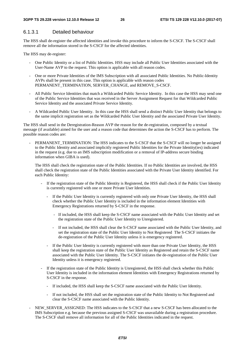#### 6.1.3.1 Detailed behaviour

The HSS shall de-register the affected identities and invoke this procedure to inform the S-CSCF. The S-CSCF shall remove all the information stored in the S-CSCF for the affected identities.

The HSS may de-register:

- One Public Identity or a list of Public Identities. HSS may include all Public User Identities associated with the User-Name AVP to the request. This option is applicable with all reason codes.
- One or more Private Identities of the IMS Subscription with all associated Public Identities. No Public-Identity AVPs shall be present in this case. This option is applicable with reason codes PERMANENT\_TERMINATION, SERVER\_CHANGE, and REMOVE\_S-CSCF.
- All Public Service Identities that match a Wildcarded Public Service Identity. In this case the HSS may send one of the Public Service Identities that was received in the Server Assignment Request for that Wildcarded Public Service Identity and the associated Private Service Identity.
- A Wildcarded Public User Identity. In this case the HSS shall send a distinct Public User Identity that belongs to the same implicit registration set as the Wildcarded Public User Identity and the associated Private User Identity.

The HSS shall send in the Deregistration-Reason AVP the reason for the de-registration, composed by a textual message (if available) aimed for the user and a reason code that determines the action the S-CSCF has to perform. The possible reason codes are:

PERMANENT\_TERMINATION: The HSS indicates to the S-CSCF that the S-CSCF will no longer be assigned to the Public Identity and associated implicitly registered Public Identities for the Private Identity(ies) indicated in the request (e.g. due to an IMS subscription modification or a removal of IP-address secure binding information when GIBA is used).

The HSS shall check the registration state of the Public Identities. If no Public Identities are involved, the HSS shall check the registration state of the Public Identities associated with the Private User Identity identified. For each Public Identity:

- If the registration state of the Public Identity is Registered, the HSS shall check if the Public User Identity is currently registered with one or more Private User Identities.
	- If the Public User Identity is currently registered with only one Private User Identity, the HSS shall check whether the Public User Identity is included in the information element Identities with Emergency Registrations returned by S-CSCF in the response.
		- If included, the HSS shall keep the S-CSCF name associated with the Public User Identity and set the registration state of the Public User Identity to Unregistered.
		- If not included, the HSS shall clear the S-CSCF name associated with the Public User Identity, and set the registration state of the Public User Identity to Not Registered The S-CSCF initiates the de-registration of the Public User Identity unless it is emergency registered.
	- If the Public User Identity is currently registered with more than one Private User Identity, the HSS shall keep the registration state of the Public User Identity as Registered and retain the S-CSCF name associated with the Public User Identity. The S-CSCF initiates the de-registration of the Public User Identity unless it is emergency registered.
- If the registration state of the Public Identity is Unregistered, the HSS shall check whether this Public User Identity is included in the information element Identities with Emergency Registrations returned by S-CSCF in the response.
	- If included, the HSS shall keep the S-CSCF name associated with the Public User Identity.
	- If not included, the HSS shall set the registration state of the Public Identity to Not Registered and clear the S-CSCF name associated with the Public Identity.
- NEW\_SERVER\_ASSIGNED: The HSS indicates to the S-CSCF that a new S-CSCF has been allocated to the IMS Subscription e.g. because the previous assigned S-CSCF was unavailable during a registration procedure. The S-CSCF shall remove all information for all of the Public Identities indicated in the request.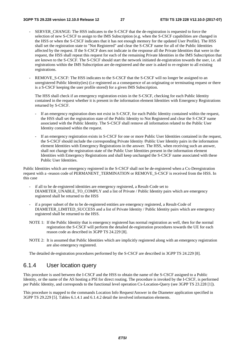- SERVER CHANGE: The HSS indicates to the S-CSCF that the de-registration is requested to force the selection of new S-CSCF to assign to the IMS Subscription (e.g. when the S-CSCF capabilities are changed in the HSS or when the S-CSCF indicates that it has not enough memory for the updated User Profile). The HSS shall set the registration state to "Not Registered" and clear the S-CSCF name for all of the Public Identities affected by the request. If the S-CSCF does not indicate in the response all the Private Identities that were in the request, the HSS shall repeat this request for each of the remaining Private Identities in the IMS Subscription that are known to the S-CSCF. The S-CSCF should start the network initiated de-registration towards the user, i.e. all registrations within the IMS Subscription are de-registered and the user is asked to re-register to all existing registrations.
- REMOVE\_S-CSCF: The HSS indicates to the S-CSCF that the S-CSCF will no longer be assigned to an unregistered Public Identity(ies) (i.e registered as a consequence of an originating or terminating request or there is a S-CSCF keeping the user profile stored) for a given IMS Subscription.

The HSS shall check if an emergency registration exists in the S-CSCF, checking for each Public Identity contained in the request whether it is present in the information element Identities with Emergency Registrations returned by S-CSCF.

- If an emergency registration does not exist in S-CSCF, for each Public Identity contained within the request, the HSS shall set the registration state of the Public Identity to Not Registered and clear the S-CSCF name associated with the Public Identity. The S-CSCF shall remove all information related to the Public User Identity contained within the request.
- If an emergency registration exists in S-CSCF for one or more Public User Identities contained in the request, the S-CSCF should include the corresponding Private Identity /Public User Identity pairs in the information element Identities with Emergency Registrations in the answer. The HSS, when receiving such an answer, shall not change the registration state of the Public User Identities present in the information element Identities with Emergency Registrations and shall keep unchanged the S-CSCF name associated with these Public User Identities.

Public Identities which are emergency registered in the S-CSCF shall not be de-registered when a Cx-Deregistration request with a -reason code of PERMANENT\_TERMINATION or REMOVE\_S-CSCF is received from the HSS. In this case

- if all to be de-registered identities are emergency registered, a Result-Code set to DIAMETER\_UNABLE\_TO\_COMPLY and a list of Private / Public Identity pairs which are emergency registered shall be returned to the HSS
- if a proper subset of the to be de-registered entities are emergency registered, a Result-Code of DIAMETER\_LIMITED\_SUCCESS and a list of Private Identity / Public Identity pairs which are emergency registered shall be returned to the HSS.
- NOTE 1: If the Public Identity that is emergency registered has normal registration as well, then for the normal registration the S-CSCF will perform the detailed de-registration procedures towards the UE for each reason code as described in 3GPP TS 24.229 [8].
- NOTE 2: It is assumed that Public Identities which are implicitly registered along with an emergency registration are also emergency registered.

The detailed de-registration procedures performed by the S-CSCF are described in 3GPP TS 24.229 [8].

### 6.1.4 User location query

This procedure is used between the I-CSCF and the HSS to obtain the name of the S-CSCF assigned to a Public Identity, or the name of the AS hosting a PSI for direct routing. The procedure is invoked by the I-CSCF, is performed per Public Identity, and corresponds to the functional level operation Cx-Location-Query (see 3GPP TS 23.228 [1]).

This procedure is mapped to the commands Location Info Request/Answer in the Diameter application specified in 3GPP TS 29.229 [5]. Tables 6.1.4.1 and 6.1.4.2 detail the involved information elements.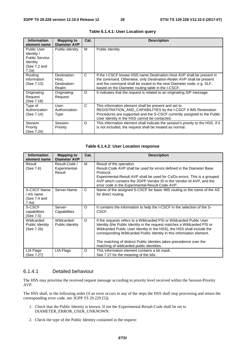| <b>Information</b><br>element name                                                             | <b>Mapping to</b><br><b>Diameter AVP</b>       | Cat.     | <b>Description</b>                                                                                                                                                                                                                                                         |
|------------------------------------------------------------------------------------------------|------------------------------------------------|----------|----------------------------------------------------------------------------------------------------------------------------------------------------------------------------------------------------------------------------------------------------------------------------|
| <b>Public User</b><br>Identity /<br><b>Public Service</b><br>Identity<br>(See 7.2 and<br>7.2a) | Public-Identity                                | м        | Public Identity                                                                                                                                                                                                                                                            |
| Routing<br>information<br>(See 7.13)                                                           | Destination-<br>Host,<br>Destination-<br>Realm | C        | If the I-CSCF knows HSS name Destination-Host AVP shall be present in<br>the command. Otherwise, only Destination-Realm AVP shall be present<br>and the command shall be routed to the next Diameter node, e.g. SLF,<br>based on the Diameter routing table in the I-CSCF. |
| Originating<br>Request<br>(See 7.18)                                                           | Originating-<br>Request                        | $\Omega$ | It indicates that the request is related to an originating SIP message.                                                                                                                                                                                                    |
| Type of<br>Authorization<br>(See 7.14)                                                         | User-<br>Authorization-<br>Type                | C        | This information element shall be present and set to<br>REGISTRATION_AND_CAPABILITIES by the I-CSCF if IMS Restoration<br>Procedures are supported and the S-CSCF currently assigned to the Public<br>User Identity in the HSS cannot be contacted.                        |
| Session<br>Priority<br>(See 7.24)                                                              | Session-<br>Priority                           | $\Omega$ | This information element shall indicate the session's priority to the HSS. If it<br>is not included, the request shall be treated as normal.                                                                                                                               |

#### **Table 6.1.4.1: User Location query**

#### **Table 6.1.4.2: User Location response**

| <b>Information</b><br>element name                | <b>Mapping to</b><br><b>Diameter AVP</b> | Cat.     | <b>Description</b>                                                                                                                                                                                                                                                                                                                                                                                                     |
|---------------------------------------------------|------------------------------------------|----------|------------------------------------------------------------------------------------------------------------------------------------------------------------------------------------------------------------------------------------------------------------------------------------------------------------------------------------------------------------------------------------------------------------------------|
| Result<br>(See 7.6)                               | Result-Code /<br>Experimental-<br>Result | м        | Result of the operation.<br>Result-Code AVP shall be used for errors defined in the Diameter Base<br>Protocol.<br>Experimental-Result AVP shall be used for Cx/Dx errors. This is a grouped<br>AVP which contains the 3GPP Vendor ID in the Vendor-Id AVP, and the<br>error code in the Experimental-Result-Code AVP.                                                                                                  |
| S-CSCF Name<br>/ AS name<br>(See 7.4 and<br>7.4a) | Server-Name                              | C        | Name of the assigned S-CSCF for basic IMS routing or the name of the AS<br>for direct routing.                                                                                                                                                                                                                                                                                                                         |
| S-CSCF<br>capabilities<br>(See 7.5)               | Server-<br>Capabilities                  | $\Omega$ | It contains the information to help the I-CSCF in the selection of the S-<br>CSCF.                                                                                                                                                                                                                                                                                                                                     |
| Wildcarded<br>Public Identity<br>(See 7.2b)       | Wildcarded-<br>Public-Identity           | $\Omega$ | If the requests refers to a Wildcarded PSI or Wildcarded Public User<br>Identity (the Public Identity in the request matches a Wildcarded PSI or<br>Wildcarded Public User Identity in the HSS), the HSS shall include the<br>corresponding Wildcarded Public Identity in this information element.<br>The matching of distinct Public Identies takes precedence over the<br>matching of wildcarded public identities. |
| LIA Flags<br>(See 7.27)                           | LIA-Flags                                | O        | This information element contains a bit mask.<br>See 7.27 for the meaning of the bits.                                                                                                                                                                                                                                                                                                                                 |

#### 6.1.4.1 Detailed behaviour

The HSS may prioritise the received request message according to priority level received within the Session-Priority AVP.

The HSS shall, in the following order (if an error occurs in any of the steps the HSS shall stop processing and return the corresponding error code, see 3GPP TS 29.229 [5]):

- 1. Check that the Public Identity is known. If not the Experimental-Result-Code shall be set to DIAMETER\_ERROR\_USER\_UNKNOWN.
- 2. Check the type of the Public Identity contained in the request: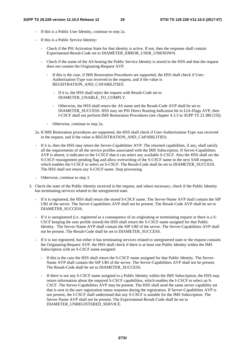- If this is a Public User Identity, continue to step 2a.
- If this is a Public Service Identity:
	- Check if the PSI Activation State for that identity is active. If not, then the response shall contain Experimental-Result-Code set to DIAMETER\_ERROR\_USER\_UNKNOWN.
	- Check if the name of the AS hosting the Public Service Identity is stored in the HSS and that the request does not contain the Originating-Request AVP.
		- If this is the case, if IMS Restoration Procedures are supported, the HSS shall check if User-Authorization-Type was received in the request, and if the value is REGISTRATION\_AND\_CAPABILITIES:
			- If it is, the HSS shall reject the request with Result-Code set to DIAMETER\_UNABLE\_TO\_COMPLY.
			- Otherwise, the HSS shall return the AS name and the Result-Code AVP shall be set to DIAMETER\_SUCCESS. HSS may set PSI Direct Routing Indication bit in LIA-Flags AVP, then I-CSCF shall not perform IMS Restoration Procedures (see chapter 4.3.3 in 3GPP TS 23.380 [19]).
		- Otherwise, continue to step 2a.
- 2a. If IMS Restoration procedures are supported, the HSS shall check if User-Authorization-Type was received in the request, and if the value is REGISTRATION\_AND\_CAPABILITIES:
- If it is, then the HSS may return the Server-Capabilities AVP. The returned capabilities, if any, shall satisfy all the requirements of all the service profiles associated with the IMS Subscription. If Server-Capabilities AVP is absent, it indicates to the I-CSCF that it can select any available S-CSCF. Also the HSS shall set the S-CSCF reassignment pending flag and allow overwriting of the S-CSCF name in the next SAR request, which enables the I-CSCF to select an S-CSCF. The Result-Code shall be set to DIAMETER\_SUCCESS. The HSS shall not return any S-CSCF name. Stop processing.
- Otherwise, continue to step 3.
- 3. Check the state of the Public Identity received in the request, and where necessary, check if the Public Identity has terminating services related to the unregistered state.
	- If it is registered, the HSS shall return the stored S-CSCF name. The Server-Name AVP shall contain the SIP URI of the server. The Server-Capabilities AVP shall not be present. The Result-Code AVP shall be set to DIAMETER\_SUCCESS.
	- If it is unregistered (i.e. registered as a consequence of an originating or terminating request or there is a S-CSCF keeping the user profile stored) the HSS shall return the S-CSCF name assigned for that Public Identity. The Server-Name AVP shall contain the SIP URI of the server. The Server-Capabilities AVP shall not be present. The Result-Code shall be set to DIAMETER\_SUCCESS.
	- If it is not registered, but either it has terminating services related to unregistered state or the request contains the Originating-Request AVP, the HSS shall check if there is at least one Public Identity within the IMS Subscription with an S-CSCF name assigned:
		- If this is the case the HSS shall return the S-CSCF name assigned for that Public Identity. The Server-Name AVP shall contain the SIP URI of the server. The Server-Capabilities AVP shall not be present. The Result-Code shall be set to DIAMETER\_SUCCESS.
		- If there is not any S-CSCF name assigned to a Public Identity within the IMS Subscription, the HSS may return information about the required S-CSCF capabilities, which enables the I-CSCF to select an S-CSCF. The Server-Capabilities AVP may be present. The HSS shall send the same server capability set that is sent in the user registration status response during the registration. If Server-Capabilities AVP is not present, the I-CSCF shall understand that any S-CSCF is suitable for the IMS Subscription. The Server-Name AVP shall not be present. The Experimental-Result-Code shall be set to DIAMETER\_UNREGISTERED\_SERVICE.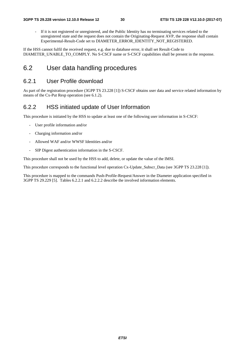- If it is not registered or unregistered, and the Public Identity has no terminating services related to the unregistered state and the request does not contain the Originating-Request AVP, the response shall contain Experimental-Result-Code set to DIAMETER\_ERROR\_IDENTITY\_NOT\_REGISTERED.

If the HSS cannot fulfil the received request, e.g. due to database error, it shall set Result-Code to DIAMETER\_UNABLE\_TO\_COMPLY. No S-CSCF name or S-CSCF capabilities shall be present in the response.

## 6.2 User data handling procedures

### 6.2.1 User Profile download

As part of the registration procedure (3GPP TS 23.228 [1]) S-CSCF obtains user data and service related information by means of the Cx-Put Resp operation (see 6.1.2).

### 6.2.2 HSS initiated update of User Information

This procedure is initiated by the HSS to update at least one of the following user information in S-CSCF:

- User profile information and/or
- Charging information and/or
- Allowed WAF and/or WWSF Identities and/or
- SIP Digest authentication information in the S-CSCF.

This procedure shall not be used by the HSS to add, delete, or update the value of the IMSI.

This procedure corresponds to the functional level operation Cx-Update\_Subscr\_Data (see 3GPP TS 23.228 [1]).

This procedure is mapped to the commands Push-Profile-Request/Answer in the Diameter application specified in 3GPP TS 29.229 [5]. Tables 6.2.2.1 and 6.2.2.2 describe the involved information elements.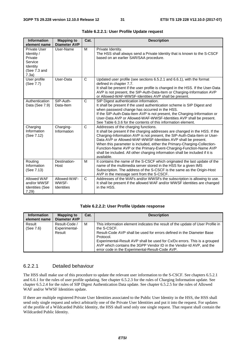| <b>Information</b><br>element name                                                    | <b>Mapping to</b><br><b>Diameter AVP</b>   | Cat.         | <b>Description</b>                                                                                                                                                                                                                                                                                                                                                                                                                                                                                               |
|---------------------------------------------------------------------------------------|--------------------------------------------|--------------|------------------------------------------------------------------------------------------------------------------------------------------------------------------------------------------------------------------------------------------------------------------------------------------------------------------------------------------------------------------------------------------------------------------------------------------------------------------------------------------------------------------|
| Private User<br>Identity /<br>Private<br>Service<br>Identity<br>(See 7.3 and<br>7.3a) | User-Name                                  | M            | Private Identity.<br>The HSS shall always send a Private Identity that is known to the S-CSCF<br>based on an earlier SAR/SAA procedure.                                                                                                                                                                                                                                                                                                                                                                          |
| User profile<br>(See 7.7)                                                             | User-Data                                  | C            | Updated user profile (see sections 6.5.2.1 and 6.6.1), with the format<br>defined in chapter 7.7.<br>It shall be present if the user profile is changed in the HSS. If the User-Data<br>AVP is not present, the SIP-Auth-Data-Item or Charging-Information AVP<br>or Allowed-WAF-WWSF-Identities AVP shall be present.                                                                                                                                                                                           |
| Authentication<br>Data (See 7.9)                                                      | SIP-Auth-<br>Data-Item                     | $\mathsf{C}$ | SIP Digest authentication information.<br>It shall be present if the used authentication scheme is SIP Digest and<br>when password change has occurred in the HSS.<br>If the SIP-Auth-Data-Item AVP is not present, the Charging-Information or<br>User-Data AVP or Allowed-WAF-WWSF-Identities AVP shall be present.<br>See Table 6.3.6 for the contents of this information element.                                                                                                                           |
| Charging<br>Information<br>(See 7.12)                                                 | Charging-<br>Information                   | $\mathsf{C}$ | Addresses of the charging functions.<br>It shall be present if the charging addresses are changed in the HSS. If the<br>Charging-Information AVP is not present, the SIP-Auth-Data-Item or User-<br>Data AVP or Allowed-WAF-WWSF-Identities AVP shall be present.<br>When this parameter is included, either the Primary-Charging-Collection-<br>Function-Name AVP or the Primary-Event-Charging-Function-Name AVP<br>shall be included. All other charging information shall be included if it is<br>available. |
| Routing<br>Information<br>(See 7.13)                                                  | Destination-<br>Host                       | М            | It contains the name of the S-CSCF which originated the last update of the<br>name of the multimedia server stored in the HSS for a given IMS<br>Subscription. The address of the S-CSCF is the same as the Origin-Host<br>AVP in the message sent from the S-CSCF.                                                                                                                                                                                                                                              |
| Allowed WAF<br>and/or WWSF<br><b>Identities (See</b><br>7.29                          | Allowed-WAF-<br>WWSF-<br><b>Identities</b> | C            | Addresses of the WAFs and/or WWSFs the subscription is allowing to use.<br>It shall be present if the allowed WAF and/or WWSF identities are changed<br>in the HSS.                                                                                                                                                                                                                                                                                                                                              |

| Table 6.2.2.1: User Profile Update request |  |
|--------------------------------------------|--|
|--------------------------------------------|--|

#### **Table 6.2.2.2: User Profile Update response**

| <b>Information</b><br>element name | <b>Mapping to</b><br><b>Diameter AVP</b> | Cat. | <b>Description</b>                                                                                                                                                                                                                                                                                                                                                                         |
|------------------------------------|------------------------------------------|------|--------------------------------------------------------------------------------------------------------------------------------------------------------------------------------------------------------------------------------------------------------------------------------------------------------------------------------------------------------------------------------------------|
| Result<br>(See 7.6)                | Result-Code /<br>Experimental-<br>Result | м    | This information element indicates the result of the update of User Profile in<br>the S-CSCF.<br>Result-Code AVP shall be used for errors defined in the Diameter Base<br>Protocol.<br>Experimental-Result AVP shall be used for Cx/Dx errors. This is a grouped<br>AVP which contains the 3GPP Vendor ID in the Vendor-Id AVP, and the<br>error code in the Experimental-Result-Code AVP. |

#### 6.2.2.1 Detailed behaviour

The HSS shall make use of this procedure to update the relevant user information to the S-CSCF. See chapters 6.5.2.1 and 6.6.1 for the rules of user profile updating. See chapter 6.5.2.3 for the rules of Charging Information update. See chapter 6.5.2.4 for the rules of SIP Digest Authentication Data update. See chapter 6.5.2.5 for the rules of Allowed WAF and/or WWSF Identities update.

If there are multiple registered Private User Identities associated to the Public User Identity in the HSS, the HSS shall send only single request and select arbitrarily one of the Private User Identities and put it into the request. For updates of the profile of a Wildcarded Public Identity, the HSS shall send only one single request. That request shall contain the Wildcarded Public Identity.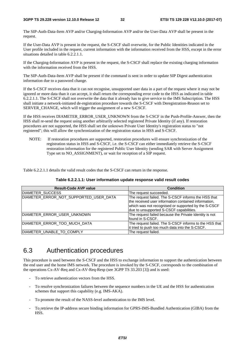The SIP-Auth-Data-Item AVP and/or Charging-Information AVP and/or the User-Data AVP shall be present in the request.

If the User-Data AVP is present in the request, the S-CSCF shall overwrite, for the Public Identities indicated in the User profile included in the request, current information with the information received from the HSS, except in the error situations detailed in table 6.2.2.1.1.

If the Charging-Information AVP is present in the request, the S-CSCF shall replace the existing charging information with the information received from the HSS.

The SIP-Auth-Data-Item AVP shall be present if the command is sent in order to update SIP Digest authentication information due to a password change.

If the S-CSCF receives data that it can not recognise, unsupported user data in a part of the request where it may not be ignored or more data than it can accept, it shall return the corresponding error code to the HSS as indicated in table 6.2.2.1.1. The S-CSCF shall not overwrite the data that it already has to give service to the IMS Subscription. The HSS shall initiate a network-initiated de-registration procedure towards the S-CSCF with Deregistration-Reason set to SERVER\_CHANGE, which will trigger the assignment of a new S-CSCF.

If the HSS receives DIAMETER\_ERROR\_USER\_UNKNOWN from the S-CSCF in the Push-Profile-Answer, then the HSS shall re-send the request using another arbitrarily selected registered Private Identity (if any). If restoration procedures are not supported, the HSS shall set the unknown Private User Identity's registration status to "not registered"; this will allow the synchronization of the registration status in HSS and S-CSCF.

NOTE: If restoration procedures are supported, restoration procedures will ensure synchronization of the registration status in HSS and S-CSCF, i.e. the S-CSCF can either immediately retrieve the S-CSCF restoration information for the registered Public User Identity (sending SAR with Server Assignment Type set to NO\_ASSIGNMENT), or wait for reception of a SIP request.

Table 6.2.2.1.1 details the valid result codes that the S-CSCF can return in the response.

| <b>Result-Code AVP value</b>           | <b>Condition</b>                                                                                                                                                                                              |
|----------------------------------------|---------------------------------------------------------------------------------------------------------------------------------------------------------------------------------------------------------------|
| DIAMETER_SUCCESS                       | The request succeeded.                                                                                                                                                                                        |
| DIAMETER_ERROR_NOT_SUPPORTED_USER_DATA | The request failed. The S-CSCF informs the HSS that<br>the received user information contained information,<br>which was not recognised or supported by the S-CSCF<br>due to unsupported S-CSCF capabilities. |
| DIAMETER ERROR USER UNKNOWN            | The request failed because the Private Identity is not<br>found in S-CSCF.                                                                                                                                    |
| DIAMETER_ERROR_TOO_MUCH_DATA           | The request failed. The S-CSCF informs to the HSS that<br>lit tried to push too much data into the S-CSCF.                                                                                                    |
| DIAMETER_UNABLE_TO_COMPLY              | The request failed.                                                                                                                                                                                           |

**Table 6.2.2.1.1: User information update response valid result codes** 

# 6.3 Authentication procedures

This procedure is used between the S-CSCF and the HSS to exchange information to support the authentication between the end user and the home IMS network. The procedure is invoked by the S-CSCF, corresponds to the combination of the operations Cx-AV-Req and Cx-AV-Req-Resp (see 3GPP TS 33.203 [3]) and is used:

- To retrieve authentication vectors from the HSS.
- To resolve synchronization failures between the sequence numbers in the UE and the HSS for authentication schemes that support this capability (e.g. IMS-AKA).
- To promote the result of the NASS-level authentication to the IMS level.
- To retrieve the IP-address secure binding information for GPRS-IMS-Bundled Authentication (GIBA) from the HSS.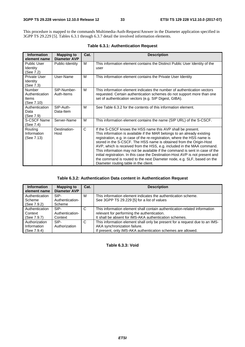This procedure is mapped to the commands Multimedia-Auth-Request/Answer in the Diameter application specified in 3GPP TS 29.229 [5]. Tables 6.3.1 through 6.3.7 detail the involved information elements.

| <b>Information</b><br>element name                     | <b>Mapping to</b><br><b>Diameter AVP</b> | Cat. | <b>Description</b>                                                                                                                                                                                                                                                                                                                                                                                                                                                                                                                                                                                                                                       |
|--------------------------------------------------------|------------------------------------------|------|----------------------------------------------------------------------------------------------------------------------------------------------------------------------------------------------------------------------------------------------------------------------------------------------------------------------------------------------------------------------------------------------------------------------------------------------------------------------------------------------------------------------------------------------------------------------------------------------------------------------------------------------------------|
| Public User<br>Identity<br>(See 7.2)                   | Public-Identity                          | М    | This information element contains the Distinct Public User Identity of the<br>user                                                                                                                                                                                                                                                                                                                                                                                                                                                                                                                                                                       |
| <b>Private User</b><br>Identity<br>(See 7.3)           | User-Name                                | М    | This information element contains the Private User Identity                                                                                                                                                                                                                                                                                                                                                                                                                                                                                                                                                                                              |
| Number<br>Authentication<br><b>Items</b><br>(See 7.10) | SIP-Number-<br>Auth-Items                | М    | This information element indicates the number of authentication vectors<br>requested. Certain authentication schemes do not support more than one<br>set of authentication vectors (e.g. SIP Digest, GIBA).                                                                                                                                                                                                                                                                                                                                                                                                                                              |
| Authentication<br>Data<br>(See 7.9)                    | SIP-Auth-<br>Data-Item                   | М    | See Table 6.3.2 for the contents of this information element.                                                                                                                                                                                                                                                                                                                                                                                                                                                                                                                                                                                            |
| S-CSCF Name<br>(See 7.4)                               | Server-Name                              | M    | This information element contains the name (SIP URL) of the S-CSCF.                                                                                                                                                                                                                                                                                                                                                                                                                                                                                                                                                                                      |
| Routing<br>Information<br>(See 7.13)                   | Destination-<br>Host                     | C    | If the S-CSCF knows the HSS name this AVP shall be present.<br>This information is available if the MAR belongs to an already existing<br>registration, e.g. in case of the re-registration, where the HSS name is<br>stored in the S-CSCF. The HSS name is obtained from the Origin-Host<br>AVP, which is received from the HSS, e.g. included in the MAA command.<br>This information may not be available if the command is sent in case of the<br>initial registration. In this case the Destination-Host AVP is not present and<br>the command is routed to the next Diameter node, e.g. SLF, based on the<br>Diameter routing table in the client. |

#### **Table 6.3.1: Authentication Request**

#### **Table 6.3.2: Authentication Data content in Authentication Request**

| <b>Information</b> | <b>Mapping to</b>   | Cat. | <b>Description</b>                                                          |
|--------------------|---------------------|------|-----------------------------------------------------------------------------|
| element name       | <b>Diameter AVP</b> |      |                                                                             |
| Authentication     | SIP-                | M    | This information element indicates the authentication scheme.               |
| Scheme             | Authentication-     |      | See 3GPP TS 29.229 [5] for a list of values                                 |
| (See 7.9.2)        | Scheme              |      |                                                                             |
| Authentication     | SIP-                | C    | This information element shall contain authentication-related information   |
| Context            | Authentication-     |      | relevant for performing the authentication.                                 |
| (See 7.9.7)        | Context             |      | It shall be absent for IMS-AKA authentication schemes.                      |
| Authorization      | SIP-                | C    | This information element shall only be present for a request due to an IMS- |
| Information        | Authorization       |      | AKA synchronization failure.                                                |
| (See 7.9.4)        |                     |      | If present, only IMS-AKA authentication schemes are allowed.                |

**Table 6.3.3: Void**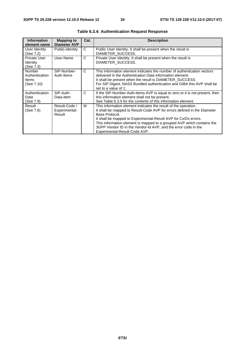| <b>Information</b><br>element name              | <b>Mapping to</b><br><b>Diameter AVP</b> | Cat. | <b>Description</b>                                                                                                                                                                                                                                                                                                                                                                                            |
|-------------------------------------------------|------------------------------------------|------|---------------------------------------------------------------------------------------------------------------------------------------------------------------------------------------------------------------------------------------------------------------------------------------------------------------------------------------------------------------------------------------------------------------|
| User Identity<br>(See 7.2)                      | Public-Identity                          | C    | Public User Identity. It shall be present when the result is<br>DIAMETER SUCCESS.                                                                                                                                                                                                                                                                                                                             |
| Private User<br>Identity<br>(See 7.3)           | User-Name                                | C    | Private User Identity. It shall be present when the result is<br>DIAMETER SUCCESS.                                                                                                                                                                                                                                                                                                                            |
| Number<br>Authentication<br>Items<br>(See 7.10) | SIP-Number-<br>Auth-Items                | C    | This information element indicates the number of authentication vectors<br>delivered in the Authentication Data information element.<br>It shall be present when the result is DIAMETER_SUCCESS.<br>For SIP Digest, NASS Bundled authentication and GIBA this AVP shall be<br>set to a value of 1.                                                                                                            |
| Authentication<br>Data<br>(See 7.9)             | SIP-Auth-<br>Data-Item                   | C    | If the SIP-Number-Auth-Items AVP is equal to zero or it is not present, then<br>this information element shall not be present.<br>See Table 6.3.5 for the contents of this information element.                                                                                                                                                                                                               |
| Result<br>(See 7.6)                             | Result-Code /<br>Experimental-<br>Result | м    | This information element indicates the result of the operation.<br>It shall be mapped to Result-Code AVP for errors defined in the Diameter<br>Base Protocol.<br>It shall be mapped to Experimental-Result AVP for Cx/Dx errors.<br>This information element is mapped to a grouped AVP which contains the<br>3GPP Vendor ID in the Vendor-Id AVP, and the error code in the<br>Experimental-Result-Code AVP. |

| <b>Table 6.3.4: Authentication Request Response</b> |  |
|-----------------------------------------------------|--|
|-----------------------------------------------------|--|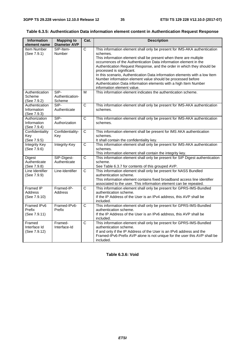#### **Table 6.3.5: Authentication Data information element content in Authentication Request Response**

| <b>Information</b><br>element name           | <b>Mapping to</b><br><b>Diameter AVP</b> | Cat.                  | <b>Description</b>                                                                                                                                                                                                                                                                                                                                                                                                                                                                                                                                                                    |
|----------------------------------------------|------------------------------------------|-----------------------|---------------------------------------------------------------------------------------------------------------------------------------------------------------------------------------------------------------------------------------------------------------------------------------------------------------------------------------------------------------------------------------------------------------------------------------------------------------------------------------------------------------------------------------------------------------------------------------|
| Item Number<br>(See 7.9.1)                   | SIP-Item-<br>Number                      | C                     | This information element shall only be present for IMS-AKA authentication<br>schemes.<br>This information element shall be present when there are multiple<br>occurrences of the Authentication Data information element in the<br>Authentication Request Response, and the order in which they should be<br>processed is significant.<br>In this scenario, Authentication Data information elements with a low Item<br>Number information element value should be processed before<br>Authentication Data information elements with a high Item Number<br>information element value. |
| Authentication<br>Scheme<br>(See 7.9.2)      | SIP-<br>Authentication-<br>Scheme        | M                     | This information element indicates the authentication scheme.                                                                                                                                                                                                                                                                                                                                                                                                                                                                                                                         |
| Authentication<br>Information<br>(See 7.9.3) | $SIP-$<br>Authenticate                   | $\overline{\text{c}}$ | This information element shall only be present for IMS-AKA authentication<br>schemes.                                                                                                                                                                                                                                                                                                                                                                                                                                                                                                 |
| Authorization<br>Information<br>(See 7.9.4)  | $SIP-$<br>Authorization                  | $\overline{\text{c}}$ | This information element shall only be present for IMS-AKA authentication<br>schemes.                                                                                                                                                                                                                                                                                                                                                                                                                                                                                                 |
| Confidentiality<br>Key<br>(See 7.9.5)        | Confidentiality-<br>Key                  | C                     | This information element shall be present for IMS AKA authentication<br>schemes.<br>It shall contain the confidentiality key.                                                                                                                                                                                                                                                                                                                                                                                                                                                         |
| <b>Integrity Key</b><br>(See 7.9.6)          | Integrity-Key                            | $\overline{C}$        | This information element shall only be present for IMS-AKA authentication<br>schemes.<br>This information element shall contain the integrity key.                                                                                                                                                                                                                                                                                                                                                                                                                                    |
| Digest<br>Authenticate<br>(See 7.9.8)        | SIP-Digest-<br>Authenticate              | C                     | This information element shall only be present for SIP Digest authentication<br>scheme.<br>See Table 6.3.7 for contents of this grouped AVP.                                                                                                                                                                                                                                                                                                                                                                                                                                          |
| Line Identifier<br>(See 7.9.9)               | Line-Identifier                          | $\mathsf{C}$          | This information element shall only be present for NASS Bundled<br>authentication scheme.<br>This information element contains fixed broadband access line identifier<br>associated to the user. This information element can be repeated.                                                                                                                                                                                                                                                                                                                                            |
| Framed IP<br><b>Address</b><br>(See 7.9.10)  | Framed-IP-<br>Address                    | C                     | This information element shall only be present for GPRS-IMS-Bundled<br>authentication scheme.<br>If the IP Address of the User is an IPv4 address, this AVP shall be<br>included.                                                                                                                                                                                                                                                                                                                                                                                                     |
| Framed IPv6<br>Prefix<br>(See 7.9.11)        | Framed-IPv6-<br>Prefix                   | $\overline{\text{c}}$ | This information element shall only be present for GPRS-IMS-Bundled<br>authentication scheme.<br>If the IP Address of the User is an IPv6 address, this AVP shall be<br>included.                                                                                                                                                                                                                                                                                                                                                                                                     |
| Framed<br>Interface Id<br>(See 7.9.12)       | Framed-<br>Interface-Id                  | C                     | This information element shall only be present for GPRS-IMS-Bundled<br>authentication scheme.<br>If and only if the IP Address of the User is an IPv6 address and the<br>Framed-IPv6-Prefix AVP alone is not unique for the user this AVP shall be<br>included.                                                                                                                                                                                                                                                                                                                       |

**Table 6.3.6: Void**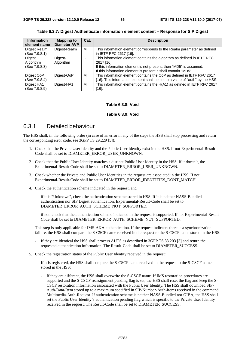| <b>Information</b><br>element name   | <b>Mapping to</b><br><b>Diameter AVP</b> | Cat. | <b>Description</b>                                                                                                                                                                                                           |
|--------------------------------------|------------------------------------------|------|------------------------------------------------------------------------------------------------------------------------------------------------------------------------------------------------------------------------------|
| Digest Realm<br>(See 7.9.8.1)        | Digest-Realm                             | м    | This information element corresponds to the Realm parameter as defined<br>in IETF RFC 2617 [16].                                                                                                                             |
| Digest<br>Algorithm<br>(See 7.9.8.3) | Digest-<br>Algorithm                     | O    | This information element contains the algorithm as defined in IETF RFC<br>2617 [16].<br>If this information element is not present, then "MD5" is assumed.<br>If this information element is present it shall contain "MD5". |
| Digest QoP<br>(See 7.9.8.4)          | Digest-QoP                               | M    | This information element contains the QoP as defined in IETF RFC 2617<br>[16]. This information element shall be set to a value of "auth" by the HSS.                                                                        |
| Digest HA1<br>(See 7.9.8.5)          | Digest-HA1                               | м    | This information element contains the H(A1) as defined in IETF RFC 2617<br>$[16]$ .                                                                                                                                          |

**Table 6.3.7: Digest Authenticate information element content – Response for SIP Digest** 

#### **Table 6.3.8: Void**

#### **Table 6.3.9: Void**

#### 6.3.1 Detailed behaviour

The HSS shall, in the following order (in case of an error in any of the steps the HSS shall stop processing and return the corresponding error code, see 3GPP TS 29.229 [5]):

- 1. Check that the Private User Identity and the Public User Identity exist in the HSS. If not Experimental-Result-Code shall be set to DIAMETER\_ERROR\_USER\_UNKNOWN.
- 2. Check that the Public User Identity matches a distinct Public User Identity in the HSS. If it doesn't, the Experimental-Result-Code shall be set to DIAMETER\_ERROR\_USER\_UNKNOWN.
- 3. Check whether the Private and Public User Identities in the request are associated in the HSS. If not Experimental-Result-Code shall be set to DIAMETER\_ERROR\_IDENTITIES\_DONT\_MATCH.
- 4. Check the authentication scheme indicated in the request, and
	- if it is "Unknown", check the authentication scheme stored in HSS. If it is neither NASS-Bundled authentication nor SIP Digest authentication, Experimental-Result-Code shall be set to DIAMETER\_ERROR\_AUTH\_SCHEME\_NOT\_SUPPORTED.
	- if not, check that the authentication scheme indicated in the request is supported. If not Experimental-Result-Code shall be set to DIAMETER\_ERROR\_AUTH\_SCHEME\_NOT\_SUPPORTED.

 This step is only applicable for IMS-AKA authentication. If the request indicates there is a synchronization failure, the HSS shall compare the S-CSCF name received in the request to the S-CSCF name stored in the HSS:

- If they are identical the HSS shall process AUTS as described in 3GPP TS 33.203 [3] and return the requested authentication information. The Result-Code shall be set to DIAMETER\_SUCCESS.
- 5. Check the registration status of the Public User Identity received in the request:
	- If it is registered, the HSS shall compare the S-CSCF name received in the request to the S-CSCF name stored in the HSS:
		- If they are different, the HSS shall overwrite the S-CSCF name. If IMS restoration procedures are supported and the S-CSCF reassignment pending flag is set, the HSS shall reset the flag and keep the S-CSCF restoration information associated with the Public User Identity. The HSS shall download SIP-Auth-Data-Item stored up to a maximum specified in SIP-Number-Auth-Items received in the command Multimedia-Auth-Request. If authentication scheme is neither NASS-Bundled nor GIBA, the HSS shall set the Public User Identity's authentication pending flag which is specific to the Private User Identity received in the request. The Result-Code shall be set to DIAMETER\_SUCCESS.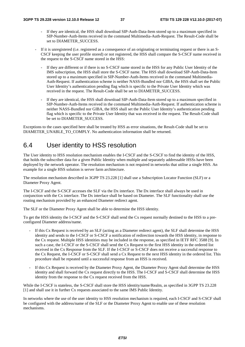- If they are identical, the HSS shall download SIP-Auth-Data-Item stored up to a maximum specified in SIP-Number-Auth-Items received in the command Multimedia-Auth-Request. The Result-Code shall be set to DIAMETER\_SUCCESS.
- If it is unregistered (i.e. registered as a consequence of an originating or terminating request or there is an S-CSCF keeping the user profile stored) or not registered, the HSS shall compare the S-CSCF name received in the request to the S-CSCF name stored in the HSS:
	- If they are different or if there is no S-CSCF name stored in the HSS for any Public User Identity of the IMS subscription, the HSS shall store the S-CSCF name. The HSS shall download SIP-Auth-Data-Item stored up to a maximum specified in SIP-Number-Auth-Items received in the command Multimedia-Auth-Request. If authentication scheme is neither NASS-Bundled nor GIBA, the HSS shall set the Public User Identity's authentication pending flag which is specific to the Private User Identity which was received in the request. The Result-Code shall be set to DIAMETER\_SUCCESS.
	- If they are identical, the HSS shall download SIP-Auth-Data-Item stored up to a maximum specified in SIP-Number-Auth-Items received in the command Multimedia-Auth-Request. If authentication scheme is neither NASS-Bundled nor GIBA, the HSS shall set the Public User Identity's authentication pending flag which is specific to the Private User Identity that was received in the request. The Result-Code shall be set to DIAMETER\_SUCCESS.

Exceptions to the cases specified here shall be treated by HSS as error situations, the Result-Code shall be set to DIAMETER\_UNABLE\_TO\_COMPLY. No authentication information shall be returned.

#### 6.4 User identity to HSS resolution

The User identity to HSS resolution mechanism enables the I-CSCF and the S-CSCF to find the identity of the HSS, that holds the subscriber data for a given Public Identity when multiple and separately addressable HSSs have been deployed by the network operator. The resolution mechanism is not required in networks that utilise a single HSS. An example for a single HSS solution is server farm architecture.

The resolution mechanism described in 3GPP TS 23.228 [1] shall use a Subscription Locator Function (SLF) or a Diameter Proxy Agent.

The I-CSCF and the S-CSCF accesses the SLF via the Dx interface. The Dx interface shall always be used in conjunction with the Cx interface. The Dx interface shall be based on Diameter. The SLF functionality shall use the routing mechanism provided by an enhanced Diameter redirect agent.

The SLF or the Diameter Proxy Agent shall be able to determine the HSS identity.

To get the HSS identity the I-CSCF and the S-CSCF shall send the Cx request normally destined to the HSS to a preconfigured Diameter address/name.

- If this Cx Request is received by an SLF (acting as a Diameter redirect agent), the SLF shall determine the HSS identity and sends to the I-CSCF or S-CSCF a notification of redirection towards the HSS identity, in response to the Cx request. Multiple HSS identities may be included in the response, as specified in IETF RFC 3588 [9]. In such a case, the I-CSCF or the S-CSCF shall send the Cx Request to the first HSS identity in the ordered list received in the Cx Response from the SLF. If the I-CSCF or S-CSCF does not receive a successful response to the Cx Request, the I-CSCF or S-CSCF shall send a Cx Request to the next HSS identity in the ordered list. This procedure shall be repeated until a successful response from an HSS is received.
- If this Cx Request is received by the Diameter Proxy Agent, the Diameter Proxy Agent shall determine the HSS identity and shall forward the Cx request directly to the HSS. The I-CSCF and S-CSCF shall determine the HSS identity from the response to the Cx request received from the HSS.

While the I-CSCF is stateless, the S-CSCF shall store the HSS identity/name/Realm, as specified in 3GPP TS 23.228 [1] and shall use it in further Cx requests associated to the same IMS Public Identity.

In networks where the use of the user identity to HSS resolution mechanism is required, each I-CSCF and S-CSCF shall be configured with the address/name of the SLF or the Diameter Proxy Agent to enable use of these resolution mechanisms.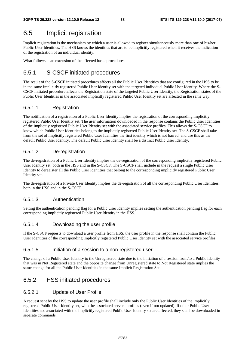### 6.5 Implicit registration

Implicit registration is the mechanism by which a user is allowed to register simultaneously more than one of his/her Public User Identities. The HSS knows the identities that are to be implicitly registered when it receives the indication of the registration of an individual identity.

What follows is an extension of the affected basic procedures.

#### 6.5.1 S-CSCF initiated procedures

The result of the S-CSCF initiated procedures affects all the Public User Identities that are configured in the HSS to be in the same implicitly registered Public User Identity set with the targeted individual Public User Identity. Where the S-CSCF initiated procedure affects the Registration state of the targeted Public User Identity, the Registration states of the Public User Identities in the associated implicitly registered Public User Identity set are affected in the same way.

#### 6.5.1.1 Registration

The notification of a registration of a Public User Identity implies the registration of the corresponding implicitly registered Public User Identity set. The user information downloaded in the response contains the Public User Identities of the implicitly registered Public User Identity set with the associated service profiles. This allows the S-CSCF to know which Public User Identities belong to the implicitly registered Public User Identity set. The S-CSCF shall take from the set of implicitly registered Public User Identities the first identity which is not barred, and use this as the default Public User Identity. The default Public User Identity shall be a distinct Public User Identity.

#### 6.5.1.2 De-registration

The de-registration of a Public User Identity implies the de-registration of the corresponding implicitly registered Public User Identity set, both in the HSS and in the S-CSCF. The S-CSCF shall include in the request a single Public User Identity to deregister all the Public User Identities that belong to the corresponding implicitly registered Public User Identity set.

The de-registration of a Private User Identity implies the de-registration of all the corresponding Public User Identities, both in the HSS and in the S-CSCF.

#### 6.5.1.3 Authentication

Setting the authentication pending flag for a Public User Identity implies setting the authentication pending flag for each corresponding implicitly registered Public User Identity in the HSS.

#### 6.5.1.4 Downloading the user profile

If the S-CSCF requests to download a user profile from HSS, the user profile in the response shall contain the Public User Identities of the corresponding implicitly registered Public User Identity set with the associated service profiles.

#### 6.5.1.5 Initiation of a session to a non-registered user

The change of a Public User Identity to the Unregistered state due to the initiation of a session from/to a Public Identity that was in Not Registered state and the opposite change from Unregistered state to Not Registered state implies the same change for all the Public User Identities in the same Implicit Registration Set.

#### 6.5.2 HSS initiated procedures

#### 6.5.2.1 Update of User Profile

A request sent by the HSS to update the user profile shall include only the Public User Identities of the implicitly registered Public User Identity set, with the associated service profiles (even if not updated). If other Public User Identities not associated with the implicitly registered Public User Identity set are affected, they shall be downloaded in separate commands.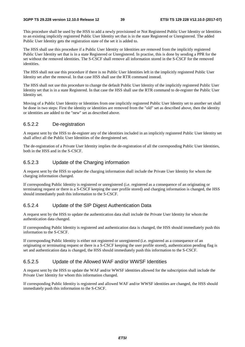This procedure shall be used by the HSS to add a newly provisioned or Not Registered Public User Identity or Identities to an existing implicitly registered Public User Identity set that is in the state Registered or Unregistered. The added Public User Identity gets the registration state of the set it is added to.

The HSS shall use this procedure if a Public User Identity or Identities are removed from the implicitly registered Public User Identity set that is in a state Registered or Unregistered. In practise, this is done by sending a PPR for the set without the removed identities. The S-CSCF shall remove all information stored in the S-CSCF for the removed identities.

The HSS shall not use this procedure if there is no Public User Identities left in the implicitly registered Public User Identity set after the removal. In that case HSS shall use the RTR command instead.

The HSS shall not use this procedure to change the default Public User Identity of the implicitly registered Public User Identity set that is in a state Registered. In that case the HSS shall use the RTR command to de-register the Public User Identity set.

Moving of a Public User Identity or Identities from one implicitly registered Public User Identity set to another set shall be done in two steps: First the identity or identities are removed from the "old" set as described above, then the identity or identities are added to the "new" set as described above.

#### 6.5.2.2 De-registration

A request sent by the HSS to de-register any of the identities included in an implicitly registered Public User Identity set shall affect all the Public User Identities of the deregistered set.

The de-registration of a Private User Identity implies the de-registration of all the corresponding Public User Identities, both in the HSS and in the S-CSCF.

#### 6.5.2.3 Update of the Charging information

A request sent by the HSS to update the charging information shall include the Private User Identity for whom the charging information changed.

If corresponding Public Identity is registered or unregistered (i.e. registered as a consequence of an originating or terminating request or there is a S-CSCF keeping the user profile stored) and charging information is changed, the HSS should immediately push this information to the S-CSCF.

#### 6.5.2.4 Update of the SIP Digest Authentication Data

A request sent by the HSS to update the authentication data shall include the Private User Identity for whom the authentication data changed.

If corresponding Public Identity is registered and authentication data is changed, the HSS should immediately push this information to the S-CSCF.

If corresponding Public Identity is either not registered or unregistered (i.e. registered as a consequence of an originating or terminating request or there is a S-CSCF keeping the user profile stored), authentication pending flag is set and authentication data is changed, the HSS should immediately push this information to the S-CSCF.

#### 6.5.2.5 Update of the Allowed WAF and/or WWSF Identities

A request sent by the HSS to update the WAF and/or WWSF identities allowed for the subscription shall include the Private User Identity for whom this information changed.

If corresponding Public Identity is registered and allowed WAF and/or WWSF identities are changed, the HSS should immediately push this information to the S-CSCF.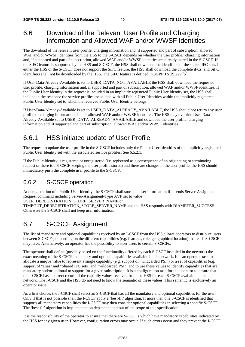# 6.6 Download of the Relevant User Profile and Charging Information and Allowed WAF and/or WWSF Identities

The download of the relevant user profile, charging information and, if supported and part of subscription, allowed WAF and/or WWSF identities from the HSS to the S-CSCF depends on whether the user profile, charging information and, if supported and part of subscription, allowed WAF and/or WWSF identities are already stored in the S-CSCF. If the SiFC feature is supported by the HSS and S-CSCF, the HSS shall download the identifiers of the shared iFC sets. If either the HSS or the S-CSCF does not support the SiFC feature, the HSS shall download the complete iFCs, and SiFC identifiers shall not be downloaded by the HSS. The SiFC feature is defined in 3GPP TS 29.229 [5].

If User-Data-Already-Available is set to USER\_DATA\_NOT\_AVAILABLE the HSS shall download the requested user profile, charging information and, if supported and part of subscription, allowed WAF and/or WWSF identities. If the Public User Identity in the request is included in an implicitly registered Public User Identity set, the HSS shall include in the response the service profiles associated with all Public User Identities within the implicitly registered Public User Identity set to which the received Public User Identity belongs.

If User-Data-Already-Available is set to USER\_DATA\_ALREADY\_AVAILABLE, the HSS should not return any user profile or charging information data or allowed WAF and/or WWSF identities. The HSS may override User-Data-Already-Available set to USER\_DATA\_ALREADY\_AVAILABLE and download the user profile, charging information and, if supported and part of subscription, allowed WAF and/or WWSF identities.

# 6.6.1 HSS initiated update of User Profile

The request to update the user profile in the S-CSCF includes only the Public User Identities of the implicitly registered Public User Identity set with the associated service profiles. See 6.5.2.1.

If the Public Identity is registered or unregistered (i.e. registered as a consequence of an originating or terminating request or there is a S-CSCF keeping the user profile stored) and there are changes in the user profile, the HSS should immediately push the complete user profile to the S-CSCF.

### 6.6.2 S-CSCF operation

At deregistration of a Public User Identity, the S-CSCF shall store the user information if it sends Server-Assignment-Request command including Server-Assignment-Type AVP set to value

USER\_DEREGISTRATION\_STORE\_SERVER\_NAME or

TIMEOUT\_DEREGISTRATION\_STORE\_SERVER\_NAME and the HSS responds with DIAMETER\_SUCCESS. Otherwise the S-CSCF shall not keep user information.

## 6.7 S-CSCF Assignment

The list of mandatory and optional capabilities received by an I-CSCF from the HSS allows operators to distribute users between S-CSCFs, depending on the different capabilities (e.g. features, role, geographical location) that each S-CSCF may have. Alternatively, an operator has the possibility to steer users to certain S-CSCFs.

The operator shall define (possibly based on the functionality offered by each S-CSCF installed in the network) the exact meaning of the S-CSCF mandatory and optional capabilities available in his network. It is an operator task to allocate a unique value to represent a single capability (e.g. support of "wildcarded PSI") or a set of capabilities (e.g. support of "alias" and "Shared IFC sets" and "wildcarded PSI") and to use these values to identify capabilities that are mandatory and/or optional to support for a given subscription. It is a configuration task for the operator to ensure that the I-CSCF has a correct record of the capabily values received from the HSS for each S-CSCF available in his network. The I-CSCF and the HSS do not need to know the semantic of these values. This semantic is exclusively an operator issue.

As a first choice, the I-CSCF shall select an S-CSCF that has all the mandatory and optional capabilities for the user. Only if that is not possible shall the I-CSCF apply a 'best-fit' algorithm. If more than one S-CSCF is identified that supports all mandatory capabilities the I-CSCF may then consider optional capabilities in selecting a specific S-CSCF. The 'best-fit' algorithm is implementation dependent and out of the scope of this specification.

It is the responsibility of the operator to ensure that there are S-CSCFs which have mandatory capabilities indicated by the HSS for any given user. However, configuration errors may occur. If such errors occur and they prevent the I-CSCF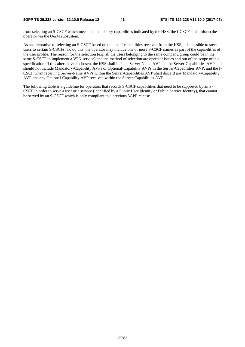from selecting an S-CSCF which meets the mandatory capabilities indicated by the HSS, the I-CSCF shall inform the operator via the O&M subsystem.

As an alternative to selecting an S-CSCF based on the list of capabilities received from the HSS, it is possible to steer users to certain S-CSCFs. To do this, the operator may include one or more S-CSCF names as part of the capabilities of the user profile. The reason for the selection (e.g. all the users belonging to the same company/group could be in the same S-CSCF to implement a VPN service) and the method of selection are operator issues and out of the scope of this specification. If this alternative is chosen, the HSS shall include Server-Name AVPs in the Server-Capabilities AVP and should not include Mandatory-Capability AVPs or Optional-Capability AVPs in the Server-Capabilities AVP, and the I-CSCF when receiving Server-Name AVPs within the Server-Capabilities AVP shall discard any Mandatory-Capability AVP and any Optional-Capability AVP received within the Server-Capabilities AVP.

The following table is a guideline for operators that records S-CSCF capabilities that need to be supported by an S-CSCF in order to serve a user or a service (identified by a Public User Identity or Public Service Identity), that cannot be served by an S-CSCF which is only compliant to a previous 3GPP release.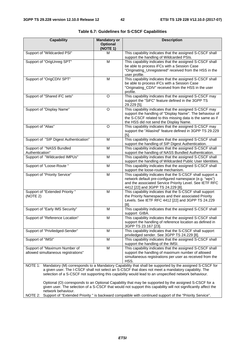| <b>Capability</b>                                                                                                                                                                                                    | <b>Mandatory or</b><br><b>Optional</b> | <b>Description</b>                                                                                                    |  |  |  |  |
|----------------------------------------------------------------------------------------------------------------------------------------------------------------------------------------------------------------------|----------------------------------------|-----------------------------------------------------------------------------------------------------------------------|--|--|--|--|
|                                                                                                                                                                                                                      | (NOTE 1)                               |                                                                                                                       |  |  |  |  |
| Support of "Wildcarded PSI"                                                                                                                                                                                          | м                                      | This capability indicates that the assigned S-CSCF shall<br>support the handling of Wildcarded PSIs.                  |  |  |  |  |
| Support of "OrigUnreg SPT"                                                                                                                                                                                           | M                                      | This capability indicates that the assigned S-CSCF shall                                                              |  |  |  |  |
|                                                                                                                                                                                                                      |                                        | be able to process iFCs with a Session Case<br>"Originating_Unregistered" received from the HSS in the                |  |  |  |  |
|                                                                                                                                                                                                                      |                                        | user profile.                                                                                                         |  |  |  |  |
| Support of "OrigCDIV SPT"                                                                                                                                                                                            | M                                      | This capability indicates that the assigned S-CSCF shall                                                              |  |  |  |  |
|                                                                                                                                                                                                                      |                                        | be able to process iFCs with a Session Case                                                                           |  |  |  |  |
|                                                                                                                                                                                                                      |                                        | "Originating_CDIV" received from the HSS in the user                                                                  |  |  |  |  |
| Support of "Shared iFC sets"                                                                                                                                                                                         | O                                      | profile.<br>This capability indicates that the assigned S-CSCF may                                                    |  |  |  |  |
|                                                                                                                                                                                                                      |                                        | support the "SiFC" feature defined in the 3GPP TS                                                                     |  |  |  |  |
|                                                                                                                                                                                                                      |                                        | 29.229 [5].                                                                                                           |  |  |  |  |
| Support of "Display Name"                                                                                                                                                                                            | O                                      | This capability indicates that the assigned S-CSCF may                                                                |  |  |  |  |
|                                                                                                                                                                                                                      |                                        | support the handling of "Display Name". The behaviour of<br>the S-CSCF related to this missing data is the same as if |  |  |  |  |
|                                                                                                                                                                                                                      |                                        | the HSS did not send the Display Name.                                                                                |  |  |  |  |
| Support of "Alias"                                                                                                                                                                                                   | O                                      | This capability indicates that the assigned S-CSCF may                                                                |  |  |  |  |
|                                                                                                                                                                                                                      |                                        | support the "AliasInd" feature defined in 3GPP TS 29.229                                                              |  |  |  |  |
|                                                                                                                                                                                                                      |                                        | $[5]$ .                                                                                                               |  |  |  |  |
| Support of "SIP Digest Authentication"                                                                                                                                                                               | M                                      | This capability indicates that the assigned S-CSCF shall<br>support the handling of SIP Digest Authentication.        |  |  |  |  |
| Support of "NASS Bundled                                                                                                                                                                                             | M                                      | This capability indicates that the assigned S-CSCF shall                                                              |  |  |  |  |
| Authentication"                                                                                                                                                                                                      |                                        | support the handling of NASS Bundled Authentication.                                                                  |  |  |  |  |
| Support of "Wildcarded IMPUs"                                                                                                                                                                                        | M                                      | This capability indicates that the assigned S-CSCF shall                                                              |  |  |  |  |
|                                                                                                                                                                                                                      |                                        | support the handling of Wildcarded Public User Identities.                                                            |  |  |  |  |
| Support of "Loose-Route "                                                                                                                                                                                            | M                                      | This capability indicates that the assigned S-CSCF shall<br>support the loose-route mechanism.                        |  |  |  |  |
| Support of "Priority Service"                                                                                                                                                                                        | M                                      | This capability indicates that the S-CSCF shall support a                                                             |  |  |  |  |
|                                                                                                                                                                                                                      |                                        | network default pre-configured namespace (e.g. "wps")                                                                 |  |  |  |  |
|                                                                                                                                                                                                                      |                                        | and the associated Service Priority Level. See IETF RFC                                                               |  |  |  |  |
|                                                                                                                                                                                                                      |                                        | 4412 [22] and 3GPP TS 24.229 [8].                                                                                     |  |  |  |  |
| Support of "Extended Priority"<br>(NOTE 2)                                                                                                                                                                           | M                                      | This capability indicates that the S-CSCF shall support<br>the Priority Namespaces and their associated Priority      |  |  |  |  |
|                                                                                                                                                                                                                      |                                        | Levels. See IETF RFC 4412 [22] and 3GPP TS 24.229                                                                     |  |  |  |  |
|                                                                                                                                                                                                                      |                                        | [8]                                                                                                                   |  |  |  |  |
| Support of "Early IMS Security"                                                                                                                                                                                      | M                                      | This capability indicates that the assigned S-CSCF shall                                                              |  |  |  |  |
|                                                                                                                                                                                                                      | M                                      | support GIBA.<br>This capability indicates that the assigned S-CSCF shall                                             |  |  |  |  |
| Support of "Reference Location"                                                                                                                                                                                      |                                        | support the handling of reference location as defined in                                                              |  |  |  |  |
|                                                                                                                                                                                                                      |                                        | 3GPP TS 23.167 [23].                                                                                                  |  |  |  |  |
| Support of "Priviledged-Sender"                                                                                                                                                                                      | M                                      | This capability indicates that the S-CSCF shall support                                                               |  |  |  |  |
|                                                                                                                                                                                                                      |                                        | priviledged sender. See 3GPP TS 24.229 [8].                                                                           |  |  |  |  |
| Support of "IMSI"                                                                                                                                                                                                    | M                                      | This capability indicates that the assigned S-CSCF shall<br>support the handling of the IMSI.                         |  |  |  |  |
| Support of "Maximum Number of                                                                                                                                                                                        | M                                      | This capability indicates that the assigned S-CSCF shall                                                              |  |  |  |  |
| allowed simultaneous registrations"                                                                                                                                                                                  |                                        | support the handling of maximum number of allowed                                                                     |  |  |  |  |
|                                                                                                                                                                                                                      |                                        | simultaneous registrations per user as received from the                                                              |  |  |  |  |
|                                                                                                                                                                                                                      |                                        | HSS.                                                                                                                  |  |  |  |  |
| NOTE 1: Mandatory (M) corresponds to a Mandatory Capability that shall be supported by the assigned S-CSCF for<br>a given user. The I-CSCF shall not select an S-CSCF that does not meet a mandatory capability. The |                                        |                                                                                                                       |  |  |  |  |
|                                                                                                                                                                                                                      |                                        | selection of a S-CSCF not supporting this capability would lead to an unspecified network behaviour.                  |  |  |  |  |
|                                                                                                                                                                                                                      |                                        |                                                                                                                       |  |  |  |  |
|                                                                                                                                                                                                                      |                                        | Optional (O) corresponds to an Optional Capability that may be supported by the assigned S-CSCF for a                 |  |  |  |  |
|                                                                                                                                                                                                                      |                                        | given user. The selection of a S-CSCF that would not support this capability will not significantly affect the        |  |  |  |  |

network behaviour. NOTE 2: Support of "Extended Priority " is backward compatible with continued support of the "Priority Service".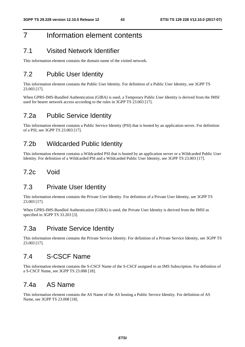# 7 Information element contents

### 7.1 Visited Network Identifier

This information element contains the domain name of the visited network.

# 7.2 Public User Identity

This information element contains the Public User Identity. For definition of a Public User Identity, see 3GPP TS 23.003 [17].

When GPRS-IMS-Bundled Authentication (GIBA) is used, a Temporary Public User Identity is derived from the IMSI used for bearer network access according to the rules in 3GPP TS 23.003 [17].

### 7.2a Public Service Identity

This information element contains a Public Service Identity (PSI) that is hosted by an application server. For definition of a PSI, see 3GPP TS 23.003 [17].

### 7.2b Wildcarded Public Identity

This information element contains a Wildcarded PSI that is hosted by an application server or a Wildcarded Public User Identity. For definition of a Wildcarded PSI and a Wildcarded Public User Identity, see 3GPP TS 23.003 [17].

### 7.2c Void

#### 7.3 Private User Identity

This information element contains the Private User Identity. For definition of a Private User Identity, see 3GPP TS 23.003 [17].

When GPRS-IMS-Bundled Authentication (GIBA) is used, the Private User Identity is derived from the IMSI as specified in 3GPP TS 33.203 [3].

### 7.3a Private Service Identity

This information element contains the Private Service Identity. For definition of a Private Service Identity, see 3GPP TS 23.003 [17].

### 7.4 S-CSCF Name

This information element contains the S-CSCF Name of the S-CSCF assigned to an IMS Subscription. For definition of a S-CSCF Name, see 3GPP TS 23.008 [18].

### 7.4a AS Name

This information element contains the AS Name of the AS hosting a Public Service Identity. For definition of AS Name, see 3GPP TS 23.008 [18].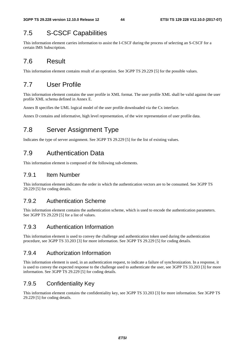# 7.5 S-CSCF Capabilities

This information element carries information to assist the I-CSCF during the process of selecting an S-CSCF for a certain IMS Subscription.

## 7.6 Result

This information element contains result of an operation. See 3GPP TS 29.229 [5] for the possible values.

## 7.7 User Profile

This information element contains the user profile in XML format. The user profile XML shall be valid against the user profile XML schema defined in Annex E.

Annex B specifies the UML logical model of the user profile downloaded via the Cx interface.

Annex D contains and informative, high level representation, of the wire representation of user profile data.

# 7.8 Server Assignment Type

Indicates the type of server assignment. See 3GPP TS 29.229 [5] for the list of existing values.

## 7.9 Authentication Data

This information element is composed of the following sub-elements.

#### 7.9.1 Item Number

This information element indicates the order in which the authentication vectors are to be consumed. See 3GPP TS 29.229 [5] for coding details.

#### 7.9.2 Authentication Scheme

This information element contains the authentication scheme, which is used to encode the authentication parameters. See 3GPP TS 29.229 [5] for a list of values.

#### 7.9.3 Authentication Information

This information element is used to convey the challenge and authentication token used during the authentication procedure, see 3GPP TS 33.203 [3] for more information. See 3GPP TS 29.229 [5] for coding details.

#### 7.9.4 Authorization Information

This information element is used, in an authentication request, to indicate a failure of synchronization. In a response, it is used to convey the expected response to the challenge used to authenticate the user, see 3GPP TS 33.203 [3] for more information. See 3GPP TS 29.229 [5] for coding details.

### 7.9.5 Confidentiality Key

This information element contains the confidentiality key, see 3GPP TS 33.203 [3] for more information. See 3GPP TS 29.229 [5] for coding details.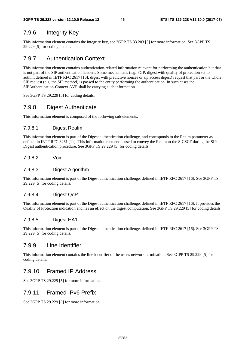#### 7.9.6 Integrity Key

This information element contains the integrity key, see 3GPP TS 33.203 [3] for more information. See 3GPP TS 29.229 [5] for coding details.

#### 7.9.7 Authentication Context

This information element contains authentication-related information relevant for performing the authentication but that is not part of the SIP authentication headers. Some mechanisms (e.g. PGP, digest with quality of protection set to authint defined in IETF RFC 2617 [16], digest with predictive nonces or sip access digest) request that part or the whole SIP request (e.g. the SIP method) is passed to the entity performing the authentication. In such cases the SIPAuthentication-Context AVP shall be carrying such information.

See 3GPP TS 29.229 [5] for coding details.

#### 7.9.8 Digest Authenticate

This information element is composed of the following sub-elements.

#### 7.9.8.1 Digest Realm

This information element is part of the Digest authentication challenge, and corresponds to the Realm parameter as defined in IETF RFC 3261 [11]. This information element is used to convey the Realm to the S-CSCF during the SIP Digest authentication procedure. See 3GPP TS 29.229 [5] for coding details.

#### 7.9.8.2 Void

#### 7.9.8.3 Digest Algorithm

This information element is part of the Digest authentication challenge, defined in IETF RFC 2617 [16]. See 3GPP TS 29.229 [5] for coding details.

#### 7.9.8.4 Digest QoP

This information element is part of the Digest authentication challenge, defined in IETF RFC 2617 [16]. It provides the Quality of Protection indication and has an effect on the digest computation. See 3GPP TS 29.229 [5] for coding details.

#### 7.9.8.5 Digest HA1

This information element is part of the Digest authentication challenge, defined in IETF RFC 2617 [16]. See 3GPP TS 29.229 [5] for coding details.

#### 7.9.9 Line Identifier

This information element contains the line identifier of the user's network termination. See 3GPP TS 29.229 [5] for coding details.

#### 7.9.10 Framed IP Address

See 3GPP TS 29.229 [5] for more information.

#### 7.9.11 Framed IPv6 Prefix

See 3GPP TS 29.229 [5] for more information.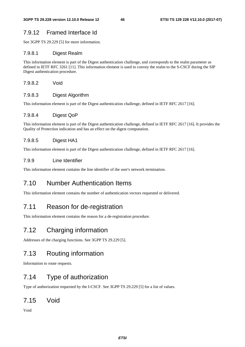### 7.9.12 Framed Interface Id

See 3GPP TS 29.229 [5] for more information.

#### 7.9.8.1 Digest Realm

This information element is part of the Digest authentication challenge, and corresponds to the realm parameter as defined in IETF RFC 3261 [11]. This information element is used to convey the realm to the S-CSCF during the SIP Digest authentication procedure.

7.9.8.2 Void

#### 7.9.8.3 Digest Algorithm

This information element is part of the Digest authentication challenge, defined in IETF RFC 2617 [16].

#### 7.9.8.4 Digest QoP

This information element is part of the Digest authentication challenge, defined in IETF RFC 2617 [16]. It provides the Quality of Protection indication and has an effect on the digest computation.

#### 7.9.8.5 Digest HA1

This information element is part of the Digest authentication challenge, defined in IETF RFC 2617 [16].

#### 7.9.9 Line Identifier

This information element contains the line identifier of the user's network termination.

# 7.10 Number Authentication Items

This information element contains the number of authentication vectors requested or delivered.

### 7.11 Reason for de-registration

This information element contains the reason for a de-registration procedure.

# 7.12 Charging information

Addresses of the charging functions. See 3GPP TS 29.229 [5].

## 7.13 Routing information

Information to route requests.

## 7.14 Type of authorization

Type of authorization requested by the I-CSCF. See 3GPP TS 29.229 [5] for a list of values.

### 7.15 Void

Void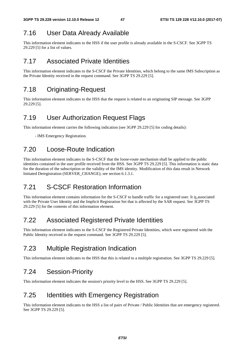## 7.16 User Data Already Available

This information element indicates to the HSS if the user profile is already available in the S-CSCF. See 3GPP TS 29.229 [5] for a list of values.

### 7.17 Associated Private Identities

This information element indicates to the S-CSCF the Private Identities, which belong to the same IMS Subscription as the Private Identity received in the request command. See 3GPP TS 29.229 [5].

### 7.18 Originating-Request

This information element indicates to the HSS that the request is related to an originating SIP message. See 3GPP 29.229 [5].

## 7.19 User Authorization Request Flags

This information element carries the following indication (see 3GPP 29.229 [5] for coding details):

- IMS Emergency Registration.

## 7.20 Loose-Route Indication

This information element indicates to the S-CSCF that the loose-route mechanism shall be applied to the public identities contained in the user profile received from the HSS. See 3GPP TS 29.229 [5]. This information is static data for the duration of the subscription or the validity of the IMS identity. Modification of this data result in Network Initiated Deregistration (SERVER\_CHANGE); see section 6.1.3.1.

### 7.21 S-CSCF Restoration Information

This information element contains information for the S-CSCF to handle traffic for a registered user. It is associated with the Private User Identity and the Implicit Registration Set that is affected by the SAR request. See 3GPP TS 29.229 [5] for the contents of this information element.

## 7.22 Associated Registered Private Identities

This information element indicates to the S-CSCF the Registered Private Identities, which were registered with the Public Identity received in the request command. See 3GPP TS 29.229 [5].

## 7.23 Multiple Registration Indication

This information element indicates to the HSS that this is related to a multiple registration. See 3GPP TS 29.229 [5].

### 7.24 Session-Priority

This information element indicates the session's priority level to the HSS. See 3GPP TS 29.229 [5].

### 7.25 Identities with Emergency Registration

This information element indicates to the HSS a list of pairs of Private / Public Identities that are emergency registered. See 3GPP TS 29.229 [5].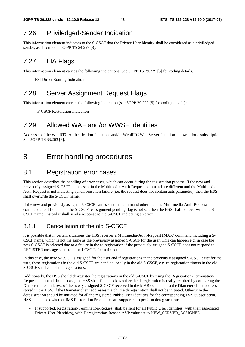## 7.26 Priviledged-Sender Indication

This information element indicates to the S-CSCF that the Private User Identity shall be considered as a priviledged sender, as described in 3GPP TS 24.229 [8].

# 7.27 LIA Flags

This information element carries the following indications. See 3GPP TS 29.229 [5] for coding details.

- PSI Direct Routing Indication

### 7.28 Server Assignment Request Flags

This information element carries the following indication (see 3GPP 29.229 [5] for coding details):

- P-CSCF Restoration Indication

## 7.29 Allowed WAF and/or WWSF Identities

Addresses of the WebRTC Authentication Functions and/or WebRTC Web Server Functions allowed for a subscription. See 3GPP TS 33.203 [3].

# 8 Error handling procedures

### 8.1 Registration error cases

This section describes the handling of error cases, which can occur during the registration process. If the new and previously assigned S-CSCF names sent in the Multimedia-Auth-Request command are different and the Multimedia-Auth-Request is not indicating synchronisation failure (i.e. the request does not contain auts parameter), then the HSS shall overwrite the S-CSCF name.

If the new and previously assigned S-CSCF names sent in a command other than the Multimedia-Auth-Request command are different and the S-CSCF reassignment pending flag is not set, then the HSS shall not overwrite the S-CSCF name; instead it shall send a response to the S-CSCF indicating an error.

### 8.1.1 Cancellation of the old S-CSCF

It is possible that in certain situations the HSS receives a Multimedia-Auth-Request (MAR) command including a S-CSCF name, which is not the same as the previously assigned S-CSCF for the user. This can happen e.g. in case the new S-CSCF is selected due to a failure in the re-registration if the previously assigned S-CSCF does not respond to REGISTER message sent from the I-CSCF after a timeout.

In this case, the new S-CSCF is assigned for the user and if registrations in the previously assigned S-CSCF exist for the user, these registrations in the old S-CSCF are handled locally in the old S-CSCF, e.g. re-registration timers in the old S-CSCF shall cancel the registrations.

Additionally, the HSS should de-register the registrations in the old S-CSCF by using the Registration-Termination-Request command. In this case, the HSS shall first check whether the deregistration is really required by comparing the Diameter client address of the newly assigned S-CSCF received in the MAR command to the Diameter client address stored in the HSS. If the Diameter client addresses match, the deregistration shall not be initiated. Otherwise the deregistration should be initiated for all the registered Public User Identities for the corresponding IMS Subscription. HSS shall check whether IMS Restoration Procedures are supported to perform deregistration:

- If supported, Registration-Termination-Request shall be sent for all Public User Identities (with their associated Private User Identities), with Deregistration-Reason AVP value set to NEW\_SERVER\_ASSIGNED.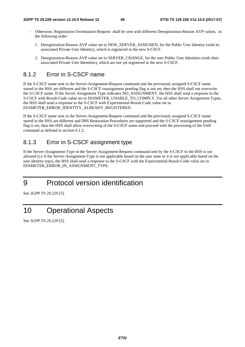- Otherwise, Registration-Termination-Request shall be sent with different Deregistration-Reason AVP values, in the following order:
	- 1. Deregistration-Reason AVP value set to NEW\_SERVER\_ASSIGNED, for the Public User Identity (with its associated Private User Identity), which is registered in the new S-CSCF.
	- 2. Deregistration-Reason AVP value set to SERVER\_CHANGE, for the user Public User Identities (with their associated Private User Identities), which are not yet registered in the new S-CSCF.

#### 8.1.2 Error in S-CSCF name

If the S-CSCF name sent in the Server-Assignment-Request command and the previously assigned S-CSCF name stored in the HSS are different and the S-CSCF reassignment pending flag is not set, then the HSS shall not overwrite the S-CSCF name. If the Server Assignment Type indicates NO\_ASSIGNMENT, the HSS shall send a response to the S-CSCF with Result-Code value set to DIAMETER\_UNABLE\_TO\_COMPLY. For all other Server Assignment Types, the HSS shall send a response to the S-CSCF with Experimental-Result-Code value set to DIAMETER\_ERROR\_IDENTITY\_ALREADY\_REGISTERED.

If the S-CSCF name sent in the Server-Assignment-Request command and the previously assigned S-CSCF name stored in the HSS are different and IMS Restoration Procedures are supported and the S-CSCF reassignment pending flag is set, then the HSS shall allow overwriting of the S-CSCF name and proceed with the processing of the SAR command as defined in section 6.1.2.

#### 8.1.3 Error in S-CSCF assignment type

If the Server-Assignment-Type in the Server-Assignment-Request command sent by the S-CSCF to the HSS is not allowed (i.e if the Server-Assignment-Type is not applicable based on the user state or it is not applicable based on the user identity type), the HSS shall send a response to the S-CSCF with the Experimental-Result-Code value set to DIAMETER\_ERROR\_IN\_ASSIGNMENT\_TYPE.

# 9 Protocol version identification

See 3GPP TS 29.229 [5].

# 10 Operational Aspects

See 3GPP TS 29.229 [5].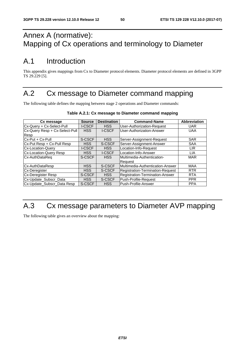# Annex A (normative): Mapping of Cx operations and terminology to Diameter

# A.1 Introduction

This appendix gives mappings from Cx to Diameter protocol elements. Diameter protocol elements are defined in 3GPP TS 29.229 [5].

# A.2 Cx message to Diameter command mapping

The following table defines the mapping between stage 2 operations and Diameter commands:

| Cx message                     | <b>Source</b> | <b>Destination</b> | <b>Command-Name</b>                     | <b>Abbreviation</b> |
|--------------------------------|---------------|--------------------|-----------------------------------------|---------------------|
| Cx-Query + Cx-Select-Pull      | <b>I-CSCF</b> | <b>HSS</b>         | User-Authorization-Request              | <b>UAR</b>          |
| Cx-Query Resp + Cx-Select-Pull | <b>HSS</b>    | <b>I-CSCF</b>      | User-Authorization-Answer               | <b>UAA</b>          |
| Resp                           |               |                    |                                         |                     |
| Cx-Put + Cx-Pull               | S-CSCF        | <b>HSS</b>         | Server-Assignment-Request               | <b>SAR</b>          |
| Cx-Put Resp + Cx-Pull Resp     | <b>HSS</b>    | S-CSCF             | Server-Assignment-Answer                | <b>SAA</b>          |
| Cx-Location-Query              | <b>I-CSCF</b> | HSS                | Location-Info-Request                   | <b>LIR</b>          |
| Cx-Location-Query Resp         | <b>HSS</b>    | <b>I-CSCF</b>      | Location-Info-Answer                    | <b>LIA</b>          |
| Cx-AuthDataReq                 | S-CSCF        | <b>HSS</b>         | <b>Multimedia-Authentication-</b>       | <b>MAR</b>          |
|                                |               |                    | lReauest                                |                     |
| Cx-AuthDataResp                | <b>HSS</b>    | S-CSCF             | Multimedia-Authentication-Answer        | <b>MAA</b>          |
| Cx-Deregister                  | <b>HSS</b>    | S-CSCF             | <b>Registration-Termination-Request</b> | <b>RTR</b>          |
| Cx-Deregister Resp             | S-CSCF        | HSS                | Registration-Termination-Answer         | <b>RTA</b>          |
| Cx-Update_Subscr_Data          | <b>HSS</b>    | S-CSCF             | Push-Profile-Request                    | <b>PPR</b>          |
| Cx-Update_Subscr_Data Resp     | S-CSCF        | <b>HSS</b>         | <b>IPush-Profile-Answer</b>             | <b>PPA</b>          |

#### **Table A.2.1: Cx message to Diameter command mapping**

# A.3 Cx message parameters to Diameter AVP mapping

The following table gives an overview about the mapping: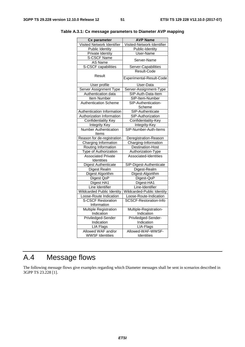|                                   | <b>AVP Name</b>               |
|-----------------------------------|-------------------------------|
| Cx parameter                      |                               |
| Visited Network Identifier        | Visited-Network-Identifier    |
| <b>Public Identity</b>            | Public-Identity               |
| <b>Private Identity</b>           | <b>User-Name</b>              |
| <b>S-CSCF Name</b>                | Server-Name                   |
| AS Name                           |                               |
| S-CSCF capabilities               | Server-Capabilities           |
|                                   | Result-Code                   |
| Result                            | Experimental-Result-Code      |
| User profile                      | User-Data                     |
| Server Assignment Type            | Server-Assignment-Type        |
| Authentication data               | SIP-Auth-Data-Item            |
| Item Number                       | SIP-Item-Number               |
| <b>Authentication Scheme</b>      | SIP-Authentication-           |
|                                   | Scheme                        |
| Authentication Information        | SIP-Authenticate              |
| Authorization Information         | SIP-Authorization             |
| <b>Confidentiality Key</b>        | Confidentiality-Key           |
| <b>Integrity Key</b>              | Integrity-Key                 |
| <b>Number Authentication</b>      | SIP-Number-Auth-Items         |
| Items                             |                               |
| Reason for de-registration        | Deregistration-Reason         |
| Charging Information              | Charging-Information          |
| Routing Information               | <b>Destination-Host</b>       |
| Type of Authorization             | Authorization-Type            |
| <b>Associated Private</b>         | Associated-Identities         |
| Identities                        |                               |
| <b>Digest Authenticate</b>        | SIP-Digest-Authenticate       |
| <b>Digest Realm</b>               | Digest-Realm                  |
| Digest Algorithm                  | Digest-Algorithm              |
| Digest QoP                        | Digest-QoP                    |
| Digest HA1                        | Digest-HA1                    |
| Line Identifier                   | Line-Identifier               |
| <b>Wildcarded Public Identity</b> | Wildcarded-Public Identity    |
| Loose-Route Indication            | Loose-Route-Indication        |
| <b>S-CSCF Restoration</b>         | <b>SCSCF-Restoration-Info</b> |
| Information                       |                               |
| <b>Multiple Registration</b>      | Multiple-Registration-        |
| Indication                        | Indication                    |
| Priviledged-Sender                | Priviledged-Sender-           |
| Indication                        | Indication                    |
| <b>LIA Flags</b>                  | LIA-Flags                     |
| Allowed WAF and/or                | Allowed-WAF-WWSF-             |
| <b>WWSF Identities</b>            | Identities                    |

**Table A.3.1: Cx message parameters to Diameter AVP mapping** 

# A.4 Message flows

The following message flows give examples regarding which Diameter messages shall be sent in scenarios described in 3GPP TS 23.228 [1].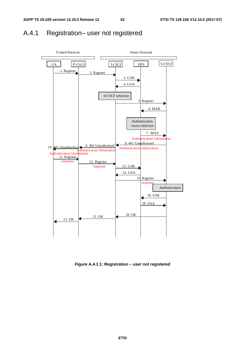# A.4.1 Registration– user not registered



**Figure A.4.1.1: Registration – user not registered**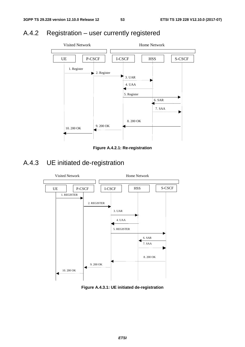# A.4.2 Registration – user currently registered



**Figure A.4.2.1: Re-registration** 

# A.4.3 UE initiated de-registration



**Figure A.4.3.1: UE initiated de-registration**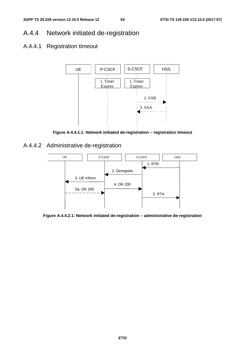## A.4.4 Network initiated de-registration

## A.4.4.1 Registration timeout



**Figure A.4.4.1.1: Network initiated de-registration – registration timeout** 

A.4.4.2 Administrative de-registration



**Figure A.4.4.2.1: Network initiated de-registration – administrative de-registration**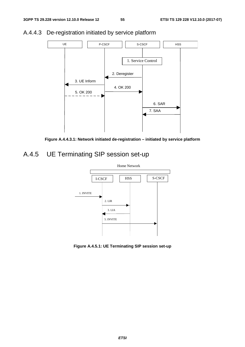

### A.4.4.3 De-registration initiated by service platform



# A.4.5 UE Terminating SIP session set-up



**Figure A.4.5.1: UE Terminating SIP session set-up**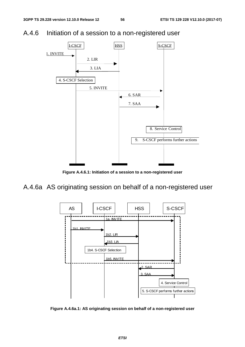A.4.6 Initiation of a session to a non-registered user



**Figure A.4.6.1: Initiation of a session to a non-registered user** 

A.4.6a AS originating session on behalf of a non-registered user



**Figure A.4.6a.1: AS originating session on behalf of a non-registered user**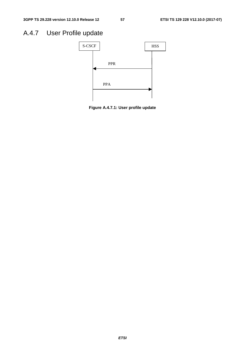# A.4.7 User Profile update



**Figure A.4.7.1: User profile update**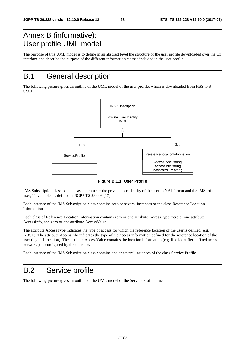# Annex B (informative): User profile UML model

The purpose of this UML model is to define in an abstract level the structure of the user profile downloaded over the Cx interface and describe the purpose of the different information classes included in the user profile.

# B.1 General description

The following picture gives an outline of the UML model of the user profile, which is downloaded from HSS to S-CSCF:



**Figure B.1.1: User Profile** 

IMS Subscription class contains as a parameter the private user identity of the user in NAI format and the IMSI of the user, if available, as defined in 3GPP TS 23.003 [17].

Each instance of the IMS Subscription class contains zero or several instances of the class Reference Location Information.

Each class of Reference Location Information contains zero or one attribute AccessType, zero or one attribute AccessInfo, and zero or one attribute AccessValue.

The attribute AccessType indicates the type of access for which the reference location of the user is defined (e.g. ADSL). The attribute AccessInfo indicates the type of the access information defined for the reference location of the user (e.g. dsl-location). The attribute AccessValue contains the location information (e.g. line identifier in fixed access networks) as configured by the operator.

Each instance of the IMS Subscription class contains one or several instances of the class Service Profile.

## B.2 Service profile

The following picture gives an outline of the UML model of the Service Profile class: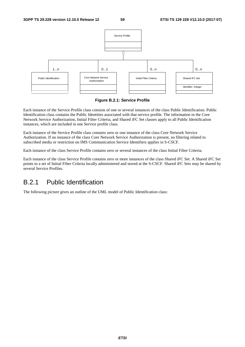

**Figure B.2.1: Service Profile** 

Each instance of the Service Profile class consists of one or several instances of the class Public Identification. Public Identification class contains the Public Identities associated with that service profile. The information in the Core Network Service Authorization, Initial Filter Criteria, and Shared iFC Set classes apply to all Public Identification instances, which are included in one Service profile class.

Each instance of the Service Profile class contains zero or one instance of the class Core Network Service Authorization. If no instance of the class Core Network Service Authorization is present, no filtering related to subscribed media or restriction on IMS Communication Service Identifiers applies in S-CSCF.

Each instance of the class Service Profile contains zero or several instances of the class Initial Filter Criteria.

Each instance of the class Service Profile contains zero or more instances of the class Shared iFC Set. A Shared iFC Set points to a set of Initial Filter Criteria locally administered and stored at the S-CSCF. Shared iFC Sets may be shared by several Service Profiles.

### B.2.1 Public Identification

The following picture gives an outline of the UML model of Public Identification class: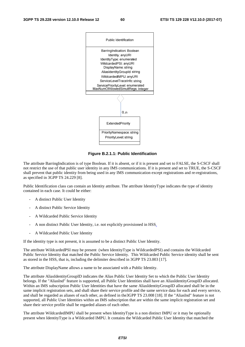

**Figure B.2.1.1: Public Identification** 

The attribute BarringIndication is of type Boolean. If it is absent, or if it is present and set to FALSE, the S-CSCF shall not restrict the use of that public user identity in any IMS communications. If it is present and set to TRUE, the S-CSCF shall prevent that public identity from being used in any IMS communication except registrations and re-registrations, as specified in 3GPP TS 24.229 [8].

Public Identification class can contain an Identity attribute. The attribute IdentityType indicates the type of identity contained in each case. It could be either:

- A distinct Public User Identity
- A distinct Public Service Identity
- A Wildcarded Public Service Identity
- A non distinct Public User Identity, i.e. not explicitly provisioned in HSS.
- A Wildcarded Public User Identity

If the identity type is not present, it is assumed to be a distinct Public User Identity.

The attribute WildcardedPSI may be present (when IdentityType is WildcardedPSI) and contains the Wildcarded Public Service Identity that matched the Public Service Identity. This Wildcarded Public Service identity shall be sent as stored in the HSS, that is, including the delimiter described in 3GPP TS 23.003 [17].

The attribute DisplayName allows a name to be associated with a Public Identity.

The attribute AliasIdentityGroupID indicates the Alias Public User Identity Set to which the Public User Identity belongs. If the "AliasInd" feature is supported, all Public User Identities shall have an AliasIdentityGroupID allocated. Within an IMS subscription Public User Identities that have the same AliasIdentityGroupID allocated shall be in the same implicit registration sets, and shall share their service profile and the same service data for each and every service, and shall be regarded as aliases of each other, as defined in the3GPP TS 23.008 [18]. If the "AliasInd" feature is not supported, all Public User Identities within an IMS subscription that are within the same implicit registration set and share their service profile shall be regarded aliases of each other.

The attribute WildcardedIMPU shall be present when IdentityType is a non distinct IMPU or it may be optionally present when IdentityType is a Wildcarded IMPU. It contains the Wildcarded Public User Identity that matched the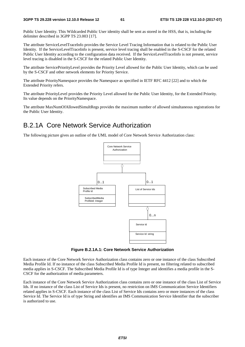Public User Identity. This Wildcarded Public User identity shall be sent as stored in the HSS, that is, including the delimiter described in 3GPP TS 23.003 [17].

The attribute ServiceLevelTraceInfo provides the Service Level Tracing Information that is related to the Public User Identity. If the ServiceLevelTraceInfo is present, service level tracing shall be enabled in the S-CSCF for the related Public User Identity according to the configuration data received. If the ServiceLevelTraceInfo is not present, service level tracing is disabled in the S-CSCF for the related Public User Identity.

The attribute ServicePriorityLevel provides the Priority Level allowed for the Public User Identity, which can be used by the S-CSCF and other network elements for Priority Service.

The attribute PriorityNamespace provides the Namespace as specified in IETF RFC 4412 [22] and to which the Extended Priority refers.

The attribute PriorityLevel provides the Priority Level allowed for the Public User Identity, for the Extended Priority. Its value depends on the PriorityNamespace.

The attribute MaxNumOfAllowedSimultRegs provides the maximum number of allowed simultaneous registrations for the Public User Identity.

### B.2.1A Core Network Service Authorization

The following picture gives an outline of the UML model of Core Network Service Authorization class:



**Figure B.2.1A.1: Core Network Service Authorization** 

Each instance of the Core Network Service Authorization class contains zero or one instance of the class Subscribed Media Profile Id. If no instance of the class Subscribed Media Profile Id is present, no filtering related to subscribed media applies in S-CSCF. The Subscribed Media Profile Id is of type Integer and identifies a media profile in the S-CSCF for the authorization of media parameters.

Each instance of the Core Network Service Authorization class contains zero or one instance of the class List of Service Ids. If no instance of the class List of Service Ids is present, no restriction on IMS Communication Service Identifiers related applies in S-CSCF. Each instance of the class List of Service Ids contains zero or more instances of the class Service Id. The Service Id is of type String and identifies an IMS Communication Service Identifier that the subscriber is authorized to use.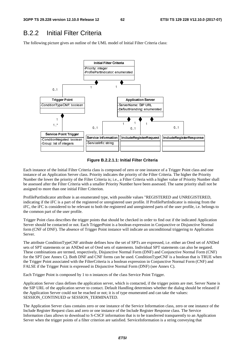### B.2.2 Initial Filter Criteria

The following picture gives an outline of the UML model of Initial Filter Criteria class:



**Figure B.2.2.1.1: Initial Filter Criteria** 

Each instance of the Initial Filter Criteria class is composed of zero or one instance of a Trigger Point class and one instance of an Application Server class. Priority indicates the priority of the Filter Criteria. The higher the Priority Number the lower the priority of the Filter Criteria is; i.e., a Filter Criteria with a higher value of Priority Number shall be assessed after the Filter Criteria with a smaller Priority Number have been assessed. The same priority shall not be assigned to more than one initial Filter Criterion.

ProfilePartIndicator attribute is an enumerated type, with possible values "REGISTERED and UNREGISTERED, indicating if the iFC is a part of the registered or unregistered user profile. If ProfilePartIndicator is missing from the iFC, the iFC is considered to be relevant to both the registered and unregistered parts of the user profile, i.e. belongs to the common part of the user profile.

Trigger Point class describes the trigger points that should be checked in order to find out if the indicated Application Server should be contacted or not. Each TriggerPoint is a boolean expression in Conjunctive or Disjunctive Normal form (CNF of DNF). The absence of Trigger Point instance will indicate an unconditional triggering to Application Server.

The attribute ConditionTypeCNF attribute defines how the set of SPTs are expressed, i.e. either an Ored set of ANDed sets of SPT statements or an ANDed set of Ored sets of statements. Individual SPT statements can also be negated. These combinations are termed, respectively, Disjunctive Normal Form (DNF) and Conjunctive Normal Form (CNF) for the SPT (see Annex C). Both DNF and CNF forms can be used. ConditionTypeCNF is a boolean that is TRUE when the Trigger Point associated with the FilterCriteria is a boolean expression in Conjunctive Normal Form (CNF) and FALSE if the Trigger Point is expressed in Disjunctive Normal Form (DNF) (see Annex C).

Each Trigger Point is composed by 1 to n instances of the class Service Point Trigger.

Application Server class defines the application server, which is contacted, if the trigger points are met. Server Name is the SIP URL of the application server to contact. Default Handling determines whether the dialog should be released if the Application Server could not be reached or not; it is of type enumerated and can take the values: SESSION\_CONTINUED or SESSION\_TERMINATED.

The Application Server class contains zero or one instance of the Service Information class, zero or one instance of the Include Register Request class and zero or one instance of the Include Register Response class. The Service Information class allows to download to S-CSCF information that is to be transferred transparently to an Application Server when the trigger points of a filter criterion are satisfied. ServiceInformation is a string conveying that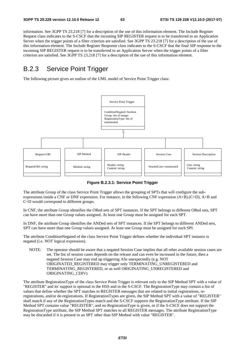information. See 3GPP TS 23.218 [7] for a description of the use of this information element. The Include Register Request class indicates to the S-CSCF that the incoming SIP REGISTER request is to be transferred to an Application Server when the trigger points of a filter criterion are satisfied. See 3GPP TS 23.218 [7] for a description of the use of this information element. The Include Register Response class indicates to the S-CSCF that the final SIP response to the incoming SIP REGISTER request is to be transferred to an Application Server when the trigger points of a filter criterion are satisfied. See 3GPP TS 23.218 [7] for a description of the use of this information element.

## B.2.3 Service Point Trigger

The following picture gives an outline of the UML model of Service Point Trigger class:



**Figure B.2.3.1: Service Point Trigger** 

The attribute Group of the class Service Point Trigger allows the grouping of SPTs that will configure the subexpressions inside a CNF or DNF expression. For instance, in the following CNF expression (A+B).(C+D), A+B and C+D would correspond to different groups.

In CNF, the attribute Group identifies the ORed sets of SPT instances. If the SPT belongs to different ORed sets, SPT can have more than one Group values assigned. At least one Group must be assigned for each SPT.

In DNF, the attribute Group identifies the ANDed sets of SPT instances. If the SPT belongs to different ANDed sets, SPT can have more than one Group values assigned. At least one Group must be assigned for each SPI.

The attribute ConditionNegated of the class Service Point Trigger defines whether the individual SPT instance is negated (i.e. NOT logical expression).

NOTE: The operator should be aware that a negated Session Case implies that all other available session cases are set. The list of session cases depends on the release and can even be increased in the future, then a negated Session Case may end up triggering ASs unexpectedly (e.g. NOT ORIGINATED\_REGISTERED may trigger only TERMINATING\_UNREGISTERED and TERMINATING\_REGISTERED, or as well ORIGINATING\_UNREGISTERED and ORIGINATING\_CDIV).

The attribute RegistrationType of the class Service Point Trigger is relevant only to the SIP Method SPT with a value of "REGISTER" and its' support is optional in the HSS and in the S-CSCF. The RegistrationType may contain a list of values that define whether the SPT matches to REGISTER messages that are related to initial registrations, reregistrations, and/or de-registrations. If RegistrationTypes are given, the SIP Method SPT with a value of "REGISTER" shall match if any of the RegistrationTypes match and the S-CSCF supports the RegistrationType attribute. If the SIP Method SPT contains value "REGISTER", and no RegistrationType is given, or if the S-CSCF does not support the RegistrationType attribute, the SIP Method SPT matches to all REGISTER messages. The attribute RegistrationType may be discarded if it is present in an SPT other than SIP Method with value "REGISTER".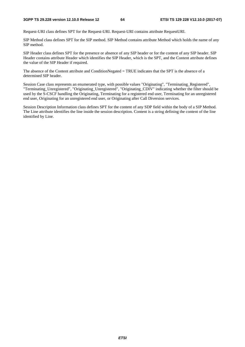#### **3GPP TS 29.228 version 12.10.0 Release 12 64 ETSI TS 129 228 V12.10.0 (2017-07)**

Request-URI class defines SPT for the Request-URI. Request-URI contains attribute RequestURI.

SIP Method class defines SPT for the SIP method. SIP Method contains attribute Method which holds the name of any SIP method.

SIP Header class defines SPT for the presence or absence of any SIP header or for the content of any SIP header. SIP Header contains attribute Header which identifies the SIP Header, which is the SPT, and the Content attribute defines the value of the SIP Header if required.

The absence of the Content attribute and ConditionNegated = TRUE indicates that the SPT is the absence of a determined SIP header.

Session Case class represents an enumerated type, with possible values "Originating", "Terminating\_Registered", "Terminating\_Unregistered", "Originating\_Unregistered", "Originating\_CDIV" indicating whether the filter should be used by the S-CSCF handling the Originating, Terminating for a registered end user, Terminating for an unregistered end user, Originating for an unregistered end user, or Originating after Call Diversion services.

Session Description Information class defines SPT for the content of any SDP field within the body of a SIP Method. The Line attribute identifies the line inside the session description. Content is a string defining the content of the line identified by Line.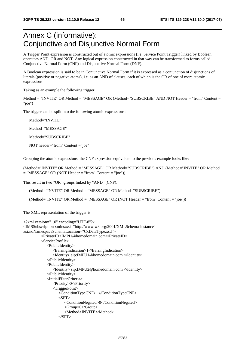# Annex C (informative): Conjunctive and Disjunctive Normal Form

A Trigger Point expression is constructed out of atomic expressions (i.e. Service Point Trigger) linked by Boolean operators AND, OR and NOT. Any logical expression constructed in that way can be transformed to forms called Conjunctive Normal Form (CNF) and Disjunctive Normal Form (DNF).

A Boolean expression is said to be in Conjunctive Normal Form if it is expressed as a conjunction of disjunctions of literals (positive or negative atoms), i.e. as an AND of clauses, each of which is the OR of one of more atomic expressions.

Taking as an example the following trigger:

Method = "INVITE" OR Method = "MESSAGE" OR (Method="SUBSCRIBE" AND NOT Header = "from" Content = "joe")

The trigger can be split into the following atomic expressions:

Method="INVITE"

Method="MESSAGE"

Method="SUBSCRIBE"

NOT header="from" Content ="joe"

Grouping the atomic expressions, the CNF expression equivalent to the previous example looks like:

(Method="INVITE" OR Method = "MESSAGE" OR Method="SUBSCRIBE") AND (Method="INVITE" OR Method  $=$  "MESSAGE" OR (NOT Header  $=$  "from" Content  $=$  "joe"))

This result in two "OR" groups linked by "AND" (CNF):

(Method="INVITE" OR Method = "MESSAGE" OR Method="SUBSCRIBE")

(Method="INVITE" OR Method = "MESSAGE" OR (NOT Header = "from" Content = "joe"))

The XML representation of the trigger is:

```
<?xml version="1.0" encoding="UTF-8"?> 
<IMSSubscription xmlns:xsi="http://www.w3.org/2001/XMLSchema-instance" 
xsi:noNamespaceSchemaLocation="CxDataType.xsd"> 
          <PrivateID>IMPI1@homedomain.com</PrivateID> 
          <ServiceProfile> 
              <PublicIdentity> 
                 <BarringIndication>1</BarringIndication> 
                 <Identity> sip:IMPU1@homedomain.com </Identity> 
              </PublicIdentity> 
              <PublicIdentity> 
                 <Identity> sip:IMPU2@homedomain.com </Identity> 
              </PublicIdentity> 
              <InitialFilterCriteria> 
                 <Priority>0</Priority> 
                 <TriggerPoint> 
                    <ConditionTypeCNF>1</ConditionTypeCNF> 
                   <SPT> <ConditionNegated>0</ConditionNegated> 
                        <Group>0</Group> 
                        <Method>INVITE</Method> 
                   <SPT>
```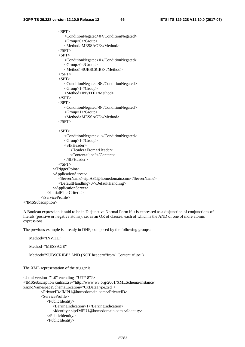```
\langleSPT> <ConditionNegated>0</ConditionNegated> 
              <Group>0</Group> 
              <Method>MESSAGE</Method> 
         <SPT><SPT> <ConditionNegated>0</ConditionNegated> 
              <Group>0</Group> 
              <Method>SUBSCRIBE</Method> 
         </SPT>
         <SPT> <ConditionNegated>0</ConditionNegated> 
             <Group>1</Group> 
              <Method>INVITE</Method> 
         \langle/SPT><SPT> <ConditionNegated>0</ConditionNegated> 
             <Group>1</Group> 
              <Method>MESSAGE</Method> 
         </SPT>\langleSPT> <ConditionNegated>1</ConditionNegated> 
             <Group>1</Group> 
             <SIPHeader> 
                 <Header>From</Header> 
                 <Content>"joe"</Content> 
              </SIPHeader> 
         </SPT>
       </TriggerPoint> 
       <ApplicationServer> 
          <ServerName>sip:AS1@homedomain.com</ServerName> 
          <DefaultHandling>0</DefaultHandling> 
       </ApplicationServer> 
    </InitialFilterCriteria> 
 </ServiceProfile>
```

```
</IMSSubscription>
```
A Boolean expression is said to be in Disjunctive Normal Form if it is expressed as a disjunction of conjunctions of literals (positive or negative atoms), i.e. as an OR of clauses, each of which is the AND of one of more atomic expressions.

The previous example is already in DNF, composed by the following groups:

```
Method="INVITE" 
Method="MESSAGE"
```
Method="SUBSCRIBE" AND (NOT header="from" Content ="joe")

The XML representation of the trigger is:

```
<?xml version="1.0" encoding="UTF-8"?> 
<IMSSubscription xmlns:xsi="http://www.w3.org/2001/XMLSchema-instance" 
xsi:noNamespaceSchemaLocation="CxDataType.xsd"> 
           <PrivateID>IMPI1@homedomain.com</PrivateID> 
           <ServiceProfile> 
              <PublicIdentity> 
                 <BarringIndication>1</BarringIndication> 
                 <Identity> sip:IMPU1@homedomain.com </Identity> 
              </PublicIdentity> 
              <PublicIdentity>
```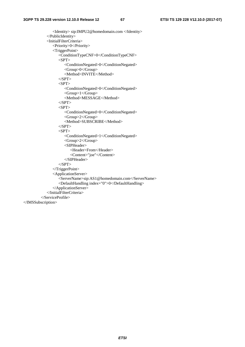<Identity> sip:IMPU2@homedomain.com </Identity> </PublicIdentity> <InitialFilterCriteria> <Priority>0</Priority> <TriggerPoint> <ConditionTypeCNF>0</ConditionTypeCNF>  $<$ SPT $>$  <ConditionNegated>0</ConditionNegated> <Group>0</Group> <Method>INVITE</Method>  $\langle$ SPT>  $\langle$ SPT $>$  <ConditionNegated>0</ConditionNegated> <Group>1</Group> <Method>MESSAGE</Method>  $<$ /SPT>  $<$ SPT $>$  <ConditionNegated>0</ConditionNegated> <Group>2</Group> <Method>SUBSCRIBE</Method>  $<$ /SPT $>$  $<$ SPT $>$  <ConditionNegated>1</ConditionNegated> <Group>2</Group> <SIPHeader> <Header>From</Header> <Content>"joe"</Content> </SIPHeader>  $<$ /SPT> </TriggerPoint> <ApplicationServer> <ServerName>sip:AS1@homedomain.com</ServerName> <DefaultHandling index="0">0</DefaultHandling> </ApplicationServer> </InitialFilterCriteria> </ServiceProfile> </IMSSubscription>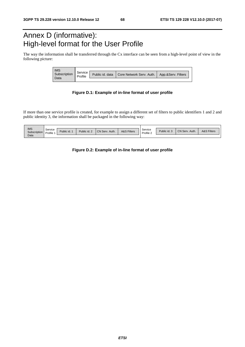# Annex D (informative): High-level format for the User Profile

The way the information shall be transferred through the Cx interface can be seen from a high-level point of view in the following picture:

| <b>IMS</b><br><br>Data<br>.<br>. | Service |                                                                 |  |  |
|----------------------------------|---------|-----------------------------------------------------------------|--|--|
|                                  |         | Public id. data   Core Network Serv. Auth.   App.&Serv. Filters |  |  |
|                                  |         |                                                                 |  |  |

#### **Figure D.1: Example of in-line format of user profile**

If more than one service profile is created, for example to assign a different set of filters to public identifiers 1 and 2 and public identity 3, the information shall be packaged in the following way:

| -------------------------<br><br><br>. |         |                |                                             |                        |                        |           |                         |                                                          |                                |
|----------------------------------------|---------|----------------|---------------------------------------------|------------------------|------------------------|-----------|-------------------------|----------------------------------------------------------|--------------------------------|
| IMS<br>---------<br>.                  | Service | <br>Public id. | ___________________________<br>Public id. 2 | <br><br>CN Serv. Auth. | <b>A&amp;S Filters</b> | Service   | <br><br>Public id. 3    | <br>,,,,,,,,,,,,,,,,,,,,,,,,,,,,,<br>CN Serv.<br>. Auth. | <br><b>A&amp;S Filters</b>     |
| Subscription                           | Profile |                |                                             |                        |                        | Profile 2 | ,,,,,,,,,,,,,,,,,,,,,,, | ,,,,,,,,,,,,,,,,,,,,,,,,,,,,,                            | ,,,,,,,,,,,,,,,,,,,,,,,,,,<br> |
| Data<br>______<br>.<br><br>            |         |                |                                             |                        |                        |           |                         |                                                          |                                |

#### **Figure D.2: Example of in-line format of user profile**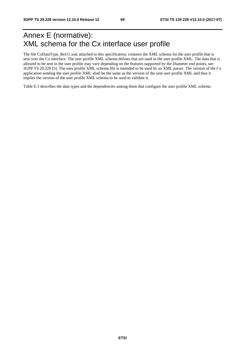# Annex E (normative): XML schema for the Cx interface user profile

The file CxDataType\_Rel11.xsd, attached to this specification, contains the XML schema for the user profile that is sent over the Cx interface. The user profile XML schema defines that are used in the user profile XML. The data that is allowed to be sent in the user profile may vary depending on the features supported by the Diameter end points, see 3GPP TS 29.229 [5]. The user profile XML schema file is intended to be used by an XML parser. The version of the Cx application sending the user profile XML shall be the same as the version of the sent user profile XML and thus it implies the version of the user profile XML schema to be used to validate it.

Table E.1 describes the data types and the dependencies among them that configure the user profile XML schema.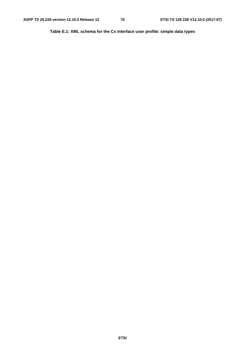**Table E.1: XML schema for the Cx interface user profile: simple data types**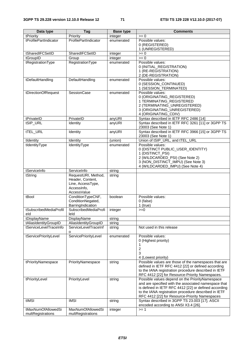| Data type                     | <b>Tag</b>                                                                                 | <b>Base type</b> | <b>Comments</b>                                                                                                                                                                                                                                                            |
|-------------------------------|--------------------------------------------------------------------------------------------|------------------|----------------------------------------------------------------------------------------------------------------------------------------------------------------------------------------------------------------------------------------------------------------------------|
| tPriority                     | Priority                                                                                   | integer          | $>= 0$                                                                                                                                                                                                                                                                     |
| tProfilePartIndicator         | ProfilePartIndicator                                                                       | enumerated       | Possible values:<br>0 (REGISTERED)<br>1 (UNREGISTERED)                                                                                                                                                                                                                     |
| tSharedIFCSetID               | SharedIFCSetID                                                                             | integer          | $>= 0$                                                                                                                                                                                                                                                                     |
| tGroupID                      | Group                                                                                      | integer          | $= 0$                                                                                                                                                                                                                                                                      |
| tRegistrationType             | RegistrationType                                                                           | enumerated       | Possible values:<br>0 (INITIAL_REGISTRATION)<br>1 (RE-REGISTRATION)<br>2 (DE-REGISTRATION)                                                                                                                                                                                 |
| tDefaultHandling              | DefaultHandling                                                                            | enumerated       | Possible values:<br>0 (SESSION_CONTINUED)<br>1 (SESSION_TERMINATED)                                                                                                                                                                                                        |
| tDirectionOfRequest           | SessionCase                                                                                | enumerated       | Possible values:<br>0 (ORIGINATING_REGISTERED)<br>1 TERMINATING_REGISTERED<br>2 (TERMINATING_UNREGISTERED)<br>3 (ORIGINATING_UNREGISTERED)<br>4 (ORIGINATING_CDIV)                                                                                                         |
| tPrivateID                    | PrivateID                                                                                  | anyURI           | Syntax described in IETF RFC 2486 [14]                                                                                                                                                                                                                                     |
| tSIP_URL                      | Identity                                                                                   | anyURI           | Syntax described in IETF RFC 3261 [11] or 3GPP TS<br>23003 (See Note 1)                                                                                                                                                                                                    |
| tTEL_URL                      | Identity                                                                                   | anyURI           | Syntax described in IETF RFC 3966 [15] or 3GPP TS<br>23003 (See Note 1)                                                                                                                                                                                                    |
| tIdentity                     | Identity                                                                                   | (union)          | Union of tSIP_URL, and tTEL_URL                                                                                                                                                                                                                                            |
| tIdentityType                 | IdentityType                                                                               | enumerated       | Possible values:<br>0 (DISTINCT PUBLIC_USER_IDENTITY)<br>1 (DISTINCT_PSI)<br>2 (WILDCARDED_PSI) (See Note 2)<br>3 (NON_DISTINCT_IMPU) (See Note 3)<br>4 (WILDCARDED_IMPU) (See Note 4)                                                                                     |
| tServiceInfo                  | ServiceInfo                                                                                | string           |                                                                                                                                                                                                                                                                            |
| tString                       | RequestURI, Method,<br>Header, Content,<br>Line, AccessType,<br>Accessinfo,<br>AccessValue | string           |                                                                                                                                                                                                                                                                            |
| tBool                         | ConditionTypeCNF,<br>ConditionNegated,<br>BarringIndication                                | boolean          | Possible values:<br>0 (false)<br>$1$ (true)                                                                                                                                                                                                                                |
| tSubscribedMediaProfil<br>eld | SubscribedMediaProfi<br>leld                                                               | integer          | $>=0$                                                                                                                                                                                                                                                                      |
| tDisplayName                  | DisplayName                                                                                | string           |                                                                                                                                                                                                                                                                            |
| tAliasIdentityGroupID         | AliasIdentityGroupID                                                                       | string           |                                                                                                                                                                                                                                                                            |
| tServiceLevelTraceInfo        | ServiceLevelTraceInf<br>o                                                                  | string           | Not used in this release                                                                                                                                                                                                                                                   |
| tServicePriorityLevel         | ServicePriorityLevel                                                                       | enumerated       | Possible values:<br>0 (Highest priority)<br>1<br>2<br>3<br>4 (Lowest priority)                                                                                                                                                                                             |
| tPriorityNamespace            | PriorityNamespace                                                                          | string           | Possible values are those of the namespaces that are<br>defined in IETF RFC 4412 [22] or defined according<br>to the IANA registration procedure described in IETF<br>RFC 4412 [22] for Resource-Priority Namespaces.                                                      |
| tPriorityLevel                | PriorityLevel                                                                              | string           | Possible values depend on the PriorityNamespace<br>and are specified with the associated namespace that<br>is defined in IETF RFC 4412 [22] or defined according<br>to the IANA registration procedure described in IETF<br>RFC 4412 [22] for Resource-Priority Namespaces |
| tIMSI                         | <b>IMSI</b>                                                                                | string           | Syntax described in 3GPP TS 23.003 [17]. ASCII<br>encoded according to ANSI X3.4 [26].                                                                                                                                                                                     |
| tMaxNumOfAllowedSi            | MaxNumOfAllowedSi                                                                          | integer          | $>= 1$                                                                                                                                                                                                                                                                     |
| multRegistrations             | multRegistrations                                                                          |                  |                                                                                                                                                                                                                                                                            |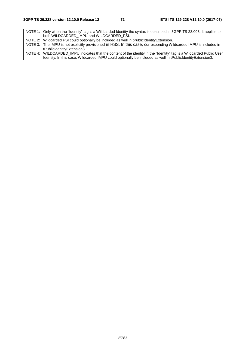NOTE 1: Only when the "Identity" tag is a Wildcarded Identity the syntax is described in 3GPP TS 23.003. It applies to both WILDCARDED\_IMPU and WILDCARDED\_PSI. NOTE 2: Wildcarded PSI could optionally be included as well in tPublicIdentityExtension.

NOTE 3: The IMPU is not explicitly provisioned in HSS. In this case, corresponding Wildcarded IMPU is included in tPublicIdentityExtension3.

NOTE 4: WILDCARDED\_IMPU indicates that the content of the identity in the "Identity" tag is a Wildcarded Public User Identity. In this case, Wildcarded IMPU could optionally be included as well in tPublicIdentityExtension3.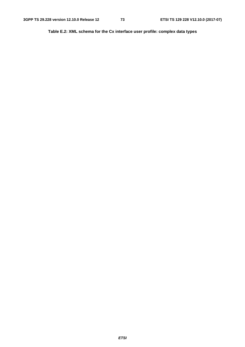**Table E.2: XML schema for the Cx interface user profile: complex data types**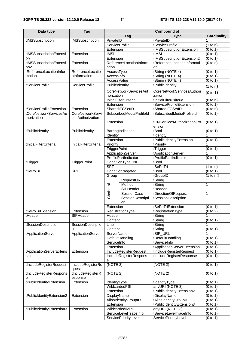| Data type                 | <b>Tag</b>                                  |                       |                               | <b>Compound of</b>                        |                                |  |  |
|---------------------------|---------------------------------------------|-----------------------|-------------------------------|-------------------------------------------|--------------------------------|--|--|
|                           |                                             |                       | <b>Tag</b>                    | <b>Type</b>                               | <b>Cardinality</b>             |  |  |
| tIMSSubscription          | <b>IMSSubscription</b>                      | PrivateID             |                               | tPrivateID                                | 1                              |  |  |
|                           |                                             | <b>ServiceProfile</b> |                               | tServiceProfile                           | $\overline{(1 \text{ to } n)}$ |  |  |
|                           |                                             | Extension             |                               | tIMSSubscriptionExtension                 | (0 to 1)                       |  |  |
| tIMSSubscriptionExtensi   | Extension                                   | <b>IMSI</b>           |                               | tIMSI                                     | (0 to 1)                       |  |  |
| on                        |                                             | Extension             |                               | tIMSSubscriptionExtension2                | (0 to 1)                       |  |  |
| tIMSSubscriptionExtensi   | Extension                                   |                       | ReferenceLocationInform       | tReferenceLocationInformati               | (0 to n)                       |  |  |
| on <sub>2</sub>           |                                             | ation                 |                               | on                                        |                                |  |  |
| tReferenceLocationInfor   | ReferenceLocatio                            | AccessType            |                               | tString (NOTE 4)                          | $\overline{(0}$ to 1)          |  |  |
| mation                    | nInformation                                | AccessInfo            |                               | tString (NOTE 4)                          | (0 to 1)                       |  |  |
|                           | <b>ServiceProfile</b>                       | AccessValue           |                               | tString (NOTE 4)                          | (0 to 1)                       |  |  |
| tServiceProfile           |                                             | PublicIdentity        |                               | tPublicIdentity                           | (1 to n)                       |  |  |
|                           |                                             |                       | <b>CoreNetworkServicesAut</b> | CoreNetworkServicesAuthori                | (0 to 1)                       |  |  |
|                           |                                             | horization            |                               | zation                                    |                                |  |  |
|                           |                                             |                       | <b>InitialFilterCriteria</b>  | tInitialFilterCriteria                    | (0 to n)                       |  |  |
|                           |                                             | Extension             |                               | tServiceProfileExtension                  | (0 to 1)                       |  |  |
| tServiceProfileExtension  | Extension                                   |                       | SharedIFCSetID                | tSharedIFCSetID                           | (0 to n)                       |  |  |
| tCoreNetworkServicesAu    | <b>CoreNetworkServi</b><br>cesAuthorization |                       | SubscribedMediaProfileId      | tSubscribedMediaProfileId                 | (0 to 1)                       |  |  |
| thorization               |                                             | Extension             |                               | tCNServicesAuthorizationExt               | (0 to 1)                       |  |  |
|                           |                                             |                       |                               | ension                                    |                                |  |  |
| tPublicIdentity           | PublicIdentity                              |                       | BarringIndication             | tBool                                     | (0 to 1)                       |  |  |
|                           |                                             | Identity              |                               | tIdentity                                 |                                |  |  |
|                           |                                             | Extension             |                               | tPublicIdentityExtension                  | (0 to 1)                       |  |  |
| tInitialFilterCriteria    | <b>InitialFilterCriteria</b>                | Priority              |                               | tPriority                                 | 1                              |  |  |
|                           |                                             | <b>TriggerPoint</b>   |                               | tTrigger                                  | (0 to 1)                       |  |  |
|                           |                                             |                       | ApplicationServer             | tApplicationServer                        | 1                              |  |  |
|                           |                                             |                       | ProfilePartIndicator          | tProfilePartIndicator                     | (0 to 1)                       |  |  |
| tTrigger                  | TriggerPoint                                |                       | ConditionTypeCNF              | tBool                                     | 1                              |  |  |
|                           |                                             | <b>SPT</b>            |                               | tSePoTri                                  | (1 to n)                       |  |  |
| tSePoTri                  | <b>SPT</b>                                  |                       | ConditionNegated              | tBool                                     | (0 to 1)                       |  |  |
|                           |                                             | Group                 |                               | tGroupID                                  | (1 to $n\square$               |  |  |
|                           |                                             |                       | RequestURI                    | tString                                   | 1                              |  |  |
|                           |                                             | Choice of             | Method                        | tString                                   | 1                              |  |  |
|                           |                                             |                       | SIPHeader                     | tHeader                                   | $\mathbf{1}$                   |  |  |
|                           |                                             |                       | SessionCase                   | tDirectionOfRequest                       | $\mathbf{1}$                   |  |  |
|                           |                                             |                       | <b>SessionDescripti</b>       | tSessionDescription                       | $\mathbf{1}$                   |  |  |
|                           |                                             |                       | on                            | tSePoTriExtension                         |                                |  |  |
| tSePoTriExtension         | Extension                                   | Extension             | RegistrationType              |                                           | (0 to 1)<br>(0 to 2)           |  |  |
| tHeader                   | SIPHeader                                   | Header                |                               | tRegistrationType<br>tString              | 1                              |  |  |
|                           |                                             | Content               |                               | tString                                   | (0 to 1)                       |  |  |
| tSessionDescription       | SessionDescriptio                           | Line                  |                               | tString                                   | 1                              |  |  |
|                           | n                                           | Content               |                               | tString                                   | (0 to 1)                       |  |  |
| tApplicationServer        | ApplicationServer                           | ServerName            |                               | tSIP_URL                                  |                                |  |  |
|                           |                                             |                       | DefaultHandling               | tDefaultHandling                          | (0 to 1)                       |  |  |
|                           |                                             | ServiceInfo           |                               | tServiceInfo                              | (0 to 1)                       |  |  |
|                           |                                             | Extension             |                               | tApplicationServerExtension               | (0 to 1)                       |  |  |
| tApplicationServerExtens  | Extension                                   |                       | IncludeRegisterRequest        | tIncludeRegisterRequest                   | (0 to 1)                       |  |  |
| ion                       |                                             |                       | IncludeRegisterRespons        | tIncludeRegisterResponse                  | (0 to 1)                       |  |  |
|                           |                                             | е                     |                               |                                           |                                |  |  |
| tIncludeRegisterRequest   | IncludeRegisterRe                           | (NOTE 2)              |                               | (NOTE 2)                                  | (0 to 1)                       |  |  |
|                           | quest                                       |                       |                               |                                           |                                |  |  |
| tIncludeRegisterRespons   | tIncludeRegisterR                           | (NOTE 2)              |                               | (NOTE 2)                                  | (0 to 1)                       |  |  |
| е                         | esponse                                     |                       |                               |                                           |                                |  |  |
| tPublicIdentityExtension  | Extension                                   | IdentityType          |                               | tIdentityType                             | (0 to 1)                       |  |  |
|                           |                                             |                       | WildcardedPSI                 | anyURI (NOTE 3)                           | (0 to 1)                       |  |  |
|                           |                                             | Extension             |                               | tPublicIdentityExtension2                 | (0 to 1)                       |  |  |
| tPublicIdentityExtension2 | Extension                                   | DisplayName           |                               | tDisplayName                              | (0 to 1)                       |  |  |
|                           |                                             |                       | AliasIdentityGroupID          | tAliasIdentityGroupID                     | (0 to 1)                       |  |  |
|                           |                                             | Extension             | WildcardedIMPU                | tPublicIdentityExtension3                 | (0 to 1)                       |  |  |
| tPublicIdentityExtension3 | Extension                                   |                       | ServiceLevelTraceInfo         | anyURI (NOTE 3)<br>tServiceLevelTraceInfo | (0 to 1)<br>(0 to 1)           |  |  |
|                           |                                             |                       | ServicePriorityLevel          | ServicePriorityLevel                      | (0 to 1)                       |  |  |
|                           |                                             |                       |                               |                                           |                                |  |  |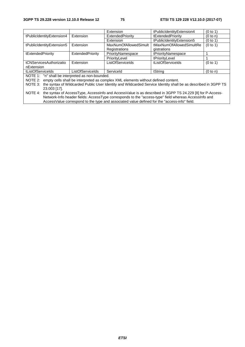|                                                  |                         | Extension                                                                                 | tPublicIdentityExtension4                                                                                                                                                                                                                                                                                     | (0 to 1) |
|--------------------------------------------------|-------------------------|-------------------------------------------------------------------------------------------|---------------------------------------------------------------------------------------------------------------------------------------------------------------------------------------------------------------------------------------------------------------------------------------------------------------|----------|
| tPublicIdentityExtension4                        | Extension               | ExtendedPriority                                                                          | tExtendedPriority                                                                                                                                                                                                                                                                                             | (0 to n) |
|                                                  |                         | Extension                                                                                 | tPublicIdentityExtension5                                                                                                                                                                                                                                                                                     | (0 to 1) |
| tPublicIdentityExtension5                        | Extension               | <b>MaxNumOfAllowedSimult</b>                                                              | tMaxNumOfAllowedSimultRe                                                                                                                                                                                                                                                                                      | (0 to 1) |
|                                                  |                         | Registrations                                                                             | gistrations                                                                                                                                                                                                                                                                                                   |          |
| tExtendedPriority                                | ExtendedPriority        | PriorityNamespace                                                                         | tPriorityNamespace                                                                                                                                                                                                                                                                                            |          |
|                                                  |                         | PriorityLevel                                                                             | tPriorityLevel                                                                                                                                                                                                                                                                                                |          |
| tCNServicesAuthorizatio                          | Extension               | <b>ListOfServiceIds</b>                                                                   | tListOfServiceIds                                                                                                                                                                                                                                                                                             | (0 to 1) |
| nExtension                                       |                         |                                                                                           |                                                                                                                                                                                                                                                                                                               |          |
| tListOfServiceIds                                | <b>ListOfServiceIds</b> | Serviceld                                                                                 | tString                                                                                                                                                                                                                                                                                                       | (0 to n) |
| NOTE 1: "n" shall be interpreted as non-bounded. |                         |                                                                                           |                                                                                                                                                                                                                                                                                                               |          |
|                                                  |                         | NOTE 2: empty cells shall be interpreted as complex XML elements without defined content. |                                                                                                                                                                                                                                                                                                               |          |
| NOTE 3:                                          |                         |                                                                                           | the syntax of Wildcarded Public User Identity and Wildcarded Service Identity shall be as described in 3GPP TS                                                                                                                                                                                                |          |
| 23.003 [17].                                     |                         |                                                                                           |                                                                                                                                                                                                                                                                                                               |          |
|                                                  |                         |                                                                                           | $\mathbf{u}$ , a $\mathbf{u}$ , a $\mathbf{u}$ , $\mathbf{u}$ , $\mathbf{u}$ , $\mathbf{u}$ , $\mathbf{u}$ , $\mathbf{u}$ , $\mathbf{u}$ , $\mathbf{u}$ , $\mathbf{u}$ , $\mathbf{u}$ , $\mathbf{u}$ , $\mathbf{u}$ , $\mathbf{u}$ , $\mathbf{u}$ , $\mathbf{u}$ , $\mathbf{u}$ , $\mathbf{u}$ , $\mathbf{u}$ |          |

NOTE 4: the syntax of AccessType, AccessInfo and AccessValue is as described in 3GPP TS 24.229 [8] for P-Access-Network-Info header fields: AccessType corresponds to the "access-type" field whereas AccessInfo and AccessValue correspond to the type and associated value defined for the "access-info" field.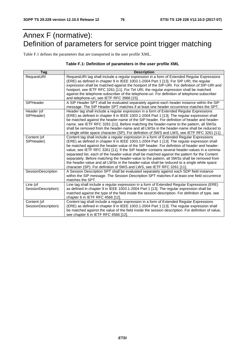# Annex F (normative): Definition of parameters for service point trigger matching

Table F.1 defines the parameters that are transported in the user profile XML.

#### **Table F.1: Definition of parameters in the user profile XML**

| Tag                 | <b>Description</b>                                                                                                                                                                     |
|---------------------|----------------------------------------------------------------------------------------------------------------------------------------------------------------------------------------|
| RequestURI          | RequestURI tag shall include a regular expression in a form of Extended Regular Expressions<br>(ERE) as defined in chapter 9 in IEEE 1003.1-2004 Part 1 [13]. For SIP URI, the regular |
|                     | expression shall be matched against the hostport of the SIP-URI. For definition of SIP-URI and                                                                                         |
|                     | hostport, see IETF RFC 3261 [11]. For Tel URI, the regular expression shall be matched                                                                                                 |
|                     | against the telephone-subscriber of the telephone-uri. For definition of telephone-subscriber                                                                                          |
|                     | and telephone-uri, see IETF RFC 3966 [15].                                                                                                                                             |
| SIPHeader           | A SIP Header SPT shall be evaluated separately against each header instance within the SIP                                                                                             |
|                     | message. The SIP Header SPT matches if at least one header occurrence matches the SPT.                                                                                                 |
| Header (of          | Header tag shall include a regular expression in a form of Extended Regular Expressions                                                                                                |
| SIPHeader)          | (ERE) as defined in chapter 9 in IEEE 1003.1-2004 Part 1 [13]. The regular expression shall                                                                                            |
|                     | be matched against the header-name of the SIP header. For definition of header and header-                                                                                             |
|                     | name, see IETF RFC 3261 [11]. Before matching the header-name to the pattern, all SWSs                                                                                                 |
|                     | shall be removed from the header-name and all LWSs in the header-name shall be reduced to                                                                                              |
|                     | a single white space character (SP). For definition of SWS and LWS, see IETF RFC 3261 [11].                                                                                            |
| Content (of         | Content tag shall include a regular expression in a form of Extended Regular Expressions                                                                                               |
| SIPHeader)          | (ERE) as defined in chapter 9 in IEEE 1003.1-2004 Part 1 [13]. The regular expression shall                                                                                            |
|                     | be matched against the header-value of the SIP header. For definition of header and header-                                                                                            |
|                     | value, see IETF RFC 3261 [11]. If the SIP header contains several header-values in a comma-                                                                                            |
|                     | separated list, each of the header-value shall be matched against the pattern for the Content                                                                                          |
|                     | separately. Before matching the header-value to the pattern, all SWSs shall be removed from                                                                                            |
|                     | the header-value and all LWSs in the header-value shall be reduced to a single white space                                                                                             |
|                     | character (SP). For definition of SWS and LWS, see IETF RFC 3261 [11].                                                                                                                 |
| SessionDescription  | A Session Description SPT shall be evaluated separately against each SDP field instance                                                                                                |
|                     | within the SIP message. The Session Description SPT matches if at least one field occurrence                                                                                           |
|                     | matches the SPT.                                                                                                                                                                       |
| Line (of            | Line tag shall include a regular expression in a form of Extended Regular Expressions (ERE)                                                                                            |
| SessionDescription) | as defined in chapter 9 in IEEE 1003.1-2004 Part 1 [13]. The regular expression shall be                                                                                               |
|                     | matched against the type of the field inside the session description. For definition of type, see                                                                                      |
|                     | chapter 6 in IETF RFC 4566 [12].                                                                                                                                                       |
| Content (of         | Content tag shall include a regular expression in a form of Extended Regular Expressions                                                                                               |
| SessionDescription) | (ERE) as defined in chapter 9 in IEEE 1003.1-2004 Part 1 [13]. The regular expression shall                                                                                            |
|                     | be matched against the value of the field inside the session description. For definition of value,                                                                                     |
|                     | see chapter 6 in IETF RFC 4566 [12].                                                                                                                                                   |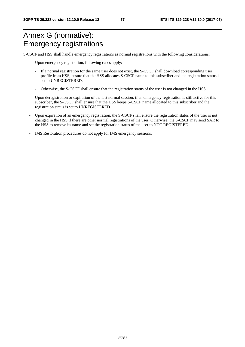# Annex G (normative): Emergency registrations

S-CSCF and HSS shall handle emergency registrations as normal registrations with the following considerations:

- Upon emergency registration, following cases apply:
	- If a normal registration for the same user does not exist, the S-CSCF shall download corresponding user profile from HSS, ensure that the HSS allocates S-CSCF name to this subscriber and the registration status is set to UNREGISTERED.
	- Otherwise, the S-CSCF shall ensure that the registration status of the user is not changed in the HSS.
- Upon deregistration or expiration of the last normal session, if an emergency registration is still active for this subscriber, the S-CSCF shall ensure that the HSS keeps S-CSCF name allocated to this subscriber and the registration status is set to UNREGISTERED.
- Upon expiration of an emergency registration, the S-CSCF shall ensure the registration status of the user is not changed in the HSS if there are other normal registrations of the user. Otherwise, the S-CSCF may send SAR to the HSS to remove its name and set the registration status of the user to NOT REGISTERED.
- IMS Restoration procedures do not apply for IMS emergency sessions.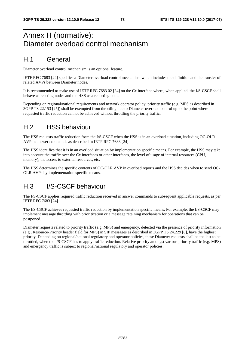## Annex H (normative): Diameter overload control mechanism

#### H.1 General

Diameter overload control mechanism is an optional feature.

IETF RFC 7683 [24] specifies a Diameter overload control mechanism which includes the definition and the transfer of related AVPs between Diameter nodes.

It is recommended to make use of IETF RFC 7683 02 [24] on the Cx interface where, when applied, the I/S-CSCF shall behave as reacting nodes and the HSS as a reporting node.

Depending on regional/national requirements and network operator policy, priority traffic (e.g. MPS as described in 3GPP TS 22.153 [25]) shall be exempted from throttling due to Diameter overload control up to the point where requested traffic reduction cannot be achieved without throttling the priority traffic.

### H.2 HSS behaviour

The HSS requests traffic reduction from the I/S-CSCF when the HSS is in an overload situation, including OC-OLR AVP in answer commands as described in IETF RFC 7683 [24].

The HSS identifies that it is in an overload situation by implementation specific means. For example, the HSS may take into account the traffic over the Cx interfaces or other interfaces, the level of usage of internal resources (CPU, memory), the access to external resources, etc.

The HSS determines the specific contents of OC-OLR AVP in overload reports and the HSS decides when to send OC-OLR AVPs by implementation specific means.

## H.3 I/S-CSCF behaviour

The I/S-CSCF applies required traffic reduction received in answer commands to subsequent applicable requests, as per IETF RFC 7683 [24].

The I/S-CSCF achieves requested traffic reduction by implementation specific means. For example, the I/S-CSCF may implement message throttling with prioritization or a message retaining mechanism for operations that can be postponed.

Diameter requests related to priority traffic (e.g. MPS) and emergency, detected via the presence of priority information (e.g., Resource-Priority header field for MPS) in SIP messages as described in 3GPP TS 24.229 [8], have the highest priority. Depending on regional/national regulatory and operator policies, these Diameter requests shall be the last to be throttled, when the I/S-CSCF has to apply traffic reduction. Relative priority amongst various priority traffic (e.g. MPS) and emergency traffic is subject to regional/national regulatory and operator policies.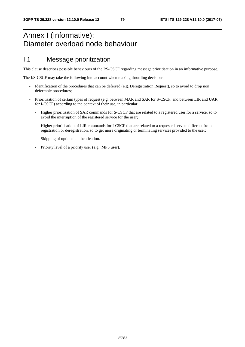# Annex I (Informative): Diameter overload node behaviour

#### I.1 Message prioritization

This clause describes possible behaviours of the I/S-CSCF regarding message prioritisation in an informative purpose.

The I/S-CSCF may take the following into account when making throttling decisions:

- Identification of the procedures that can be deferred (e.g. Deregistration Request), so to avoid to drop non deferrable procedures;
- Prioritisation of certain types of request (e.g. between MAR and SAR for S-CSCF, and between LIR and UAR for I-CSCF) according to the context of their use, in particular:
	- Higher prioritisation of SAR commands for S-CSCF that are related to a registered user for a service, so to avoid the interruption of the registered service for the user;
	- Higher prioritisation of LIR commands for I-CSCF that are related to a requested service different from registration or deregistration, so to get more originating or terminating services provided to the user;
	- Skipping of optional authentication.
	- Priority level of a priority user (e.g., MPS user).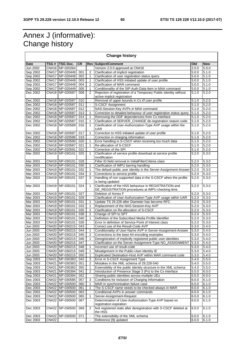# Annex J (informative): Change history

| <b>Change history</b> |              |                   |           |                |                                                                                                             |                    |                    |
|-----------------------|--------------|-------------------|-----------|----------------|-------------------------------------------------------------------------------------------------------------|--------------------|--------------------|
| Date                  | TSG #        | TSG Doc.          | <b>CR</b> |                | <b>Rev Subject/Comment</b>                                                                                  | Old                | <b>New</b>         |
| Jun 2002              |              | CN#16 NP-020264   |           |                | Version 2.0.0 approved at CN#16                                                                             | 2.0.0              | 5.0.0              |
| Sep 2002              |              | CN#17 NP-020449   | 001       | 2              | Clarification of implicit registration                                                                      | 5.0.0              | 5.1.0              |
| Sep 2002              | CN#17        | NP-020449         | 002       | 1              | Clarification of user registration status query                                                             | 5.0.0              | 5.1.0              |
| Sep 2002              |              | CN#17 NP-020449   | 003       | 1              | Clarification of HSS initiated update of user profile                                                       | 5.0.0              | 5.1.0              |
| Sep 2002              |              | CN#17 NP-020449   | 004       | 2              | Clarification of MAR command                                                                                | 5.0.0              | 5.1.0              |
| Sep 2002              |              | CN#17 NP-020449   | 005       | 1              | Conditionality of the SIP-Auth-Data-Item in MAA command                                                     | 5.0.0              | 5.1.0              |
| Dec 2002              |              | CN#18 NP-020587   | 008       | $\overline{2}$ | Rejection of registration of a Temporary Public Identity without                                            | 5.1.0              | 5.2.0              |
|                       |              |                   |           |                | active implicit registration                                                                                |                    |                    |
| Dec 2002              |              | CN#18 NP-020587   | 010       |                | Removal of upper bounds in Cx i/f user profile                                                              | 5.1.0              | 5.2.0              |
| Dec 2002              |              | CN#18 NP-020587   | 011       | $\blacksquare$ | S-CSCF Assignment                                                                                           | 5.1.0              | 5.2.0              |
| Dec 2002              |              | CN#18 NP-020587   | 012       | $\blacksquare$ | NAS-Session-Key AVPs in MAA command                                                                         | 5.1.0              | 5.2.0              |
| Dec 2002              |              | CN#18 NP-020587   | 013       | 1              | Correction to detailed behaviour of user registration status query                                          | 5.1.0              | 5.2.0              |
| Dec 2002              |              | CN#18 NP-020587   | 014       | 1              | Removing the DDF dependencies from Cx interface                                                             | 5.1.0              | 5.2.0              |
| Dec 2002              |              | CN#18 NP-020587   | 015       | 1              | Clarification of SERVER_CHANGE de-registration reason code                                                  | 5.1.0              | 5.2.0              |
| Dec 2002              |              | CN#18 NP-020589   | 016       | 1              | Clarification of User-Authorization-Type AVP usage within the                                               | 5.1.0              | 5.2.0              |
|                       |              |                   |           |                | <b>UAR</b>                                                                                                  |                    |                    |
| Dec 2002              |              | CN#18 NP-020587   | 017       | 1              | Correction to HSS initiated update of user profile                                                          | 5.1.0              | 5.2.0              |
| Dec 2002              |              | CN#18 NP-020588   | 019       | $\blacksquare$ | Correction in charging information                                                                          | $\overline{5}.1.0$ | 5.2.0              |
| Dec 2002              |              | CN#18 NP-020590   | 020       | 1              | Error handling in S-CSCF when receiving too much data                                                       | 5.1.0              | 5.2.0              |
| Dec 2002              |              | CN#18 NP-020587   | 021       | 1              | Re-allocation of S-CSCF                                                                                     | 5.1.0              | 5.2.0              |
| Dec 2002              |              | CN#18 NP-020591   | 022       | $\blacksquare$ | Correction of the SPI                                                                                       | $\overline{5}.1.0$ | 5.2.0              |
| Mar 2003              |              | CN#19 NP-030101   | 025       | 1              | Clarification of service profile download at service profile                                                | 5.2.0              | 5.3.0              |
|                       |              |                   |           |                | modification                                                                                                |                    |                    |
| Mar 2003              |              | CN#19 NP-030101   | 028       | $\blacksquare$ | Filter ID field removal in InitialFilterCriteria class                                                      | 5.2.0              | 5.3.0              |
| Mar 2003              |              | CN#19 NP-030101   | 030       | 1              | Clarification of IMPU barring handling                                                                      | 5.2.0              | 5.3.0              |
| Mar 2003              |              | CN#19 NP-030101   | 032       | 1              | The default public user identity in the Server-Assignment-Answer                                            | 5.2.0              | 5.3.0              |
| Mar 2003              |              | CN#19 NP-030101   | 034       | $\overline{2}$ | Corrections to service profile                                                                              | 5.2.0              | 5.3.0              |
| Mar 2003              |              | CN#19 NP-030101   | 037       | 3              | Handling of non supported data in the S-CSCF when the profile<br>is being updated                           | 5.2.0              | 5.3.0              |
| Mar 2003              |              | CN#19 NP-030101   | 024       | 1              | Clarification of the HSS behaviour in REGISTRATION and<br>DE_REGISTRATION procedures at IMPU checking time. | 5.2.0              | 5.3.0              |
| Mar 2003              |              | CN#19 NP-030101   | 027       | $\blacksquare$ | Deletion of Annex F                                                                                         | 5.2.0              | 5.3.0              |
| Mar 2003              |              | CN#19 NP-030101   | 029       | $\blacksquare$ | Clarification of User-Authorization-Type AVP usage within UAR                                               | 5.2.0              | 5.3.0              |
| Mar 2003              |              | CN#19 NP-030101   | 031       | 1              | Update TS 29.228 after Diameter has become RFC                                                              | $\overline{5.2.0}$ | 5.3.0              |
| Mar 2003              |              | CN#19 NP-030101   | 033       | 1              | Replacement of the NAS-Session-Key AVP                                                                      | 5.2.0              | 5.3.0              |
| Mar 2003              |              | CN#19 NP-030101   | 035       | 2              | Clarification on Re-allocation of S-CSCF                                                                    | 5.2.0              | 5.3.0              |
| Mar 2003              |              | CN#19 NP-030101   | 038       | 1              | Change of SPI to SPT                                                                                        | 5.2.0              | 5.3.0              |
| Mar 2003              |              | CN#19 NP-030101   | 040       | 1              | Definition of the Subscribed Media Profile Identifier                                                       | 5.2.0              | 5.3.0              |
| Mar 2003              |              | CN#19 NP-030101   | 026       | $\blacksquare$ | Error in definition of Service Point of Interest class                                                      | 5.2.0              | 5.3.0              |
| Jun 2003              |              | CN#20 NP-030215   | 043       | $\blacksquare$ | Correct use of the Result-Code AVP                                                                          | 5.3.0              | 5.4.0              |
| Jun 2003              |              | CN#20 NP-030215   | 044       | 1              | Conditionality of User-Name AVP in Server-Assignment-Answer                                                 | 5.3.0              | $\overline{5.4.0}$ |
| Jun 2003              |              | CN#20 NP-030215   | 045       | 2              | Corrections to the base 64 encoding examples                                                                | 5.3.0              | 5.4.0              |
| Jun 2003              |              | CN#20 NP-030215   | 046       | 1              | Deregistration of implicitly registered public user identities                                              | 5.3.0              | 5.4.0              |
| Jun 2003              |              | CN#20 NP-030215   | 047       |                | Clarification on the Server-Assignment-Type NO_ASSIGNMENT                                                   | 5.3.0              | 5.4.0              |
| Jun 2003              |              | CN#20 NP-030215   | 048       | 1              | Incorrect use of result-code                                                                                | 5.3.0              | 5.4.0              |
| Jun 2003              |              | CN#20   NP-030215 | 049       | 1              | Misalignment in the Public-User-Identity IE                                                                 | 5.3.0              | 5.4.0              |
| Jun 2003              |              | CN#20   NP-030215 | 050       | 1              | Duplicated Destination-Host AVP within MAR command code                                                     | 5.3.0              | 5.4.0              |
| Sep 2003              |              | CN#21   NP-030383 | 042       | 3              | Error in S-CSCF Assignment Type                                                                             | 5.4.0              | 5.5.0              |
| Sep 2003              |              | CN#21 NP-030383   | 051       | 2              | Mistakes in the XML schema of 29.228-540                                                                    | 5.4.0              | 5.5.0              |
| Sep 2003              |              | CN#21 NP-030383   | 055       | 1              | Extensibility of the public identity structure in the XML schema                                            | 5.4.0              | 5.5.0              |
| Sep 2003              |              | CN#21 NP-030394   | 041       | 2              | Introduction of Presence Stage 3 (Px) to the Cx interface                                                   | 5.5.0              | 6.0.0              |
| Sep 2003              |              | CN#21 NP-030394   | 052       | $\blacksquare$ | Sharing public identities across multiple UEs                                                               | 5.5.0              | 6.0.0              |
| Dec 2003              |              | CN#22 NP-030585   | 057       | 3              | Conditions for inclusion of Charging Information                                                            | 6.0.0              | 6.1.0              |
| Dec 2003              |              | CN#22 NP-030500   | 060       | 1              | MAR in synchronisation failure case                                                                         | 6.0.0              | 6.1.0              |
| Dec 2003              |              | CN#22 NP-030500   | 061       | 1              | The S-CSCF name needs to be checked always in MAR                                                           | 6.0.0              | 6.1.0              |
| Dec 2003              |              | CN#22 NP-030500   | 063       | $\blacksquare$ | Conditional AVPs in answer commands                                                                         | 6.0.0              | 6.1.0              |
| Dec 2003              |              | CN#22 NP-030500   | 065       | 1              | Server-Assignment-Request                                                                                   | 6.0.0              | 6.1.0              |
| Dec 2003              |              | CN#22   NP-030500 | 067       | $\blacksquare$ | Determination of User-Authorization-Type AVP based on                                                       | 6.0.0              | 6.1.0              |
|                       |              |                   |           |                | registration expiration                                                                                     |                    |                    |
| Dec 2003              |              | CN#22 NP-030500   | 069       | 2              | Not registered state after deregistration with S-CSCF deleted at<br>the HSS                                 | 6.0.0              | 6.1.0              |
| Dec 2003              | <b>CN#22</b> | NP-030500         | 071       | $\blacksquare$ | The extensibility of the XML schema                                                                         | 6.0.0              | 6.1.0              |
| Dec 2003              | <b>CN#22</b> |                   |           | $\blacksquare$ | Reference [9] updated                                                                                       | 6.0.0              | 6.1.0              |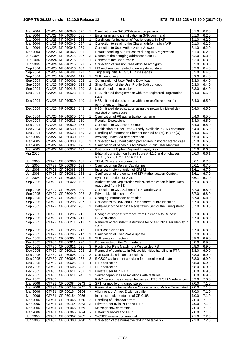| Mar 2004             |              | CN#23 NP-040046                  | 077  | $\mathbf{1}$             | Clarification on S-CSCF-Name comparison                                         | 6.1.0          | 6.2.0          |
|----------------------|--------------|----------------------------------|------|--------------------------|---------------------------------------------------------------------------------|----------------|----------------|
|                      |              |                                  |      |                          |                                                                                 |                |                |
| Mar 2004             |              | CN#23 NP-040055                  | 081  |                          | Error for missing identification in SAR command                                 | 6.1.0          | 6.2.0          |
| Mar 2004             |              | CN#23 NP-040046                  | 085  | $\mathbf{1}$             | Conditions for inclusion of Public Identity in SAR                              | 6.1.0          | 6.2.0          |
| Mar 2004             |              | CN#23 NP-040046                  | 087  | $\mathbf{1}$             | Correction to sending the Charging-Information AVP                              | 6.1.0          | 6.2.0          |
| Mar 2004             |              | CN#23 NP-040046                  | 089  |                          | Correction to User-Authorization-Answer                                         | 6.1.0          | 6.2.0          |
|                      |              |                                  |      |                          |                                                                                 |                |                |
| Mar 2004             |              | CN#23 NP-040046                  | 091  | $\blacksquare$           | Default handling of error cases during IMS registration                         | 6.1.0          | 6.2.0          |
| Jun 2004             |              | CN#24 NP-040215                  | 097  | $\overline{2}$           | Update of the charging addresses from HSS                                       | 6.2.0          | 6.3.0          |
| Jun 2004             |              | CN#24 NP-040215                  | 095  | $\mathbf{1}$             | Content of the User Profile                                                     | 6.2.0          | 6.3.0          |
| Jun 2004             |              |                                  |      | $\blacksquare$           | Correction of SessionCase attribute ambiguity                                   | 6.2.0          |                |
|                      |              | CN#24 NP-040215                  | 099  |                          |                                                                                 |                | 6.3.0          |
| Sep 2004             |              | CN#25 NP-040416                  | 109  | $\mathbf{1}$             | LIR and services related to unregistered state                                  | 6.3.0          | 6.4.0          |
| Sep 2004             |              | CN#25 NP-040401                  | 121  | $\overline{2}$           | Triggering initial REGISTER messages                                            | 6.3.0          | 6.4.0          |
| Sep 2004             |              | CN#25 NP-040401                  | 118  | $\mathbf{1}$             | XML versioning                                                                  | 6.3.0          | 6.4.0          |
|                      |              | CN#25 NP-040401                  |      |                          |                                                                                 |                |                |
| Sep 2004             |              |                                  | 122  | $\mathbf{1}$             | Optimization of User Profile Download                                           | 6.3.0          | 6.4.0          |
| Sep 2004             |              | CN#25 NP-040396                  | 124  | 2                        | Simplification of the User Profile Split concept                                | 6.3.0          | 6.4.0          |
| Sep 2004             |              | CN#25 NP-040416                  | 120  | 3                        | Use of regular expressions                                                      | 6.3.0          | 6.4.0          |
| Dec 2004             |              | CN#26 NP-040523                  | 138  | $\mathbf{1}$             | HSS initiated deregistration with "not registered" registration                 | 6.4.0          | 6.5.0          |
|                      |              |                                  |      |                          | state                                                                           |                |                |
|                      |              |                                  |      |                          |                                                                                 |                |                |
| Dec 2004             |              | CN#26 NP-040530                  | 140  | $\mathbf{1}$             | HSS initiated deregistration with user profile removal for                      | 6.4.0          | 6.5.0          |
|                      |              |                                  |      |                          | permanent termination                                                           |                |                |
| Dec 2004             |              | CN#26 NP-040523                  | 142  | $\overline{2}$           | HSS initiated deregistration using the network initiated de-                    | 6.4.0          | 6.5.0          |
|                      |              |                                  |      |                          | registration procedure                                                          |                |                |
|                      |              |                                  |      |                          |                                                                                 |                |                |
| Dec 2004             |              | CN#26 NP-040530                  | 146  | $\mathbf{1}$             | Clarification of R6 authentication scheme                                       | 6.4.0          | 6.5.0          |
| Dec 2004             |              | CN#26 NP-040523                  | 150  | $\blacksquare$           | <b>Regular Expressions</b>                                                      | 6.4.0          | 6.5.0          |
| Dec 2004             |              | CN#26 NP-040530                  | 155  | $\blacksquare$           | <b>Correction to XML Root Element</b>                                           | 6.4.0          | 6.5.0          |
| Dec 2004             |              | CN#26 NP-040530                  | 156  | $\mathbf{1}$             | Modification of User-Data-Already-Available in SAR command.                     | 6.4.0          | 6.5.0          |
|                      |              |                                  |      |                          |                                                                                 |                |                |
| Dec 2004             |              | CN#26 NP-040523                  | 159  | $\overline{2}$           | Handling of Information Element marked as (M), (C) or (O)                       | 6.4.0          | 6.5.0          |
| Mar 2005             |              | CN#27 NP-050030                  | 166  | $\Box$                   | Avoiding undesired deregistration                                               | 6.5.0          | 6.6.0          |
| Mar 2005             |              | CN#27 NP-050030                  | 168  | $\mathbf{1}$             | Correction to authentication procedures in not registered case                  | 6.5.0          | 6.6.0          |
|                      |              |                                  |      |                          |                                                                                 |                |                |
| Mar 2005             | <b>CN#27</b> | NP-050037                        | 170  | 3                        | Clarification of behaviour for Shared Public User Identities                    | 6.5.0          | 6.6.0          |
| Mar 2005             | <b>CN#27</b> | NP-050037                        | 172  |                          | Distribution of Cipher Key and Integrity Key                                    | 6.5.0          | 6.6.0          |
| Apr 2005             |              |                                  |      |                          | Editorial correction on figure figure A.4.1.1 and on clauses:                   | 6.6.0          | 6.6.1          |
|                      |              |                                  |      |                          | 6.1.4.1, 6.2.2, B.2.1 and 6.2.1.1                                               |                |                |
|                      |              |                                  |      |                          |                                                                                 |                |                |
| Jun 2005             |              | CT#28 CP-050086                  | 181  | $\overline{\phantom{a}}$ | TEL-URI reference correction                                                    | 6.6.1          | 6.7.0          |
| Jun 2005             | CT#28        | CP-050086                        | 183  | $\Box$                   | <b>Clarification on Server Capabilities</b>                                     | 6.6.1          | 6.7.0          |
| Jun 2005             | CT#28        | CP-050086                        | 185  | $\blacksquare$           | Incorrect Implementation of CR172                                               | 6.6.1          | 6.7.0          |
| Jun 2005             | CT#28        | CP-050081                        | 188  | $\mathbf{1}$             | Clarification of the content of SIP-Authentication-Context                      | 6.6.1          | 6.7.0          |
|                      |              |                                  |      |                          |                                                                                 |                |                |
|                      |              |                                  |      |                          |                                                                                 |                |                |
| Jun 2005             | CT#28        | CP-050086                        | 192  | $\blacksquare$           | Syntax correction for XML                                                       | 6.6.1          | 6.7.0          |
| Sep 2005             | CT#29        | CP-050422                        | 196  |                          | Authentication Registration with synchronization failure, Data                  | 6.7.0          | 6.8.0          |
|                      |              |                                  |      |                          |                                                                                 |                |                |
|                      |              |                                  |      |                          | requested from HSS                                                              |                |                |
| Sep 2005             | CT#29        | CP-050296                        | 200  |                          | Correction to XML Schema for SharedIFCSet                                       | 6.7.0          | 6.8.0          |
| Sep 2005             | CT#29        | CP-050440                        | 202  | $\overline{2}$           | Private identities on the Cx                                                    | 6.7.0          | 6.8.0          |
| Sep 2005             | CT#29        | CP-050282                        | 204  | $\mathbf{1}$             | Charging-Information correction                                                 | 6.7.0          | 6.8.0          |
|                      |              |                                  |      | 1                        |                                                                                 |                |                |
| Sep 2005             | CT#29        | CP-050296                        | 207  |                          | Corrections to UAR and LIR for shared public identities                         | 6.7.0          | 6.8.0          |
| Sep 2005             | CT#29        | CP-050422                        | 208  | $\mathbf{1}$             | Behaviour of the Implicit Registration Set for the Unregistered                 | 6.7.0          | 6.8.0          |
|                      |              |                                  |      |                          | state                                                                           |                |                |
| Sep 2005             |              | CT#29 CP-050296 210              |      |                          | Change of stage 2 reference from Release 5 to Release 6                         | 6.7.0          | 6.8.0          |
| Sep 2005             |              | CT#29 CP-050294                  | 211  | $\omega$                 | <b>PSI</b> Activation                                                           | 6.7.0          | 6.8.0          |
|                      |              |                                  |      |                          |                                                                                 |                |                |
| Sep 2005             | CT#29        | CP-050271                        | 213  | 2                        | Removal of redundant restrictions for one Public User Identity in               | 6.7.0          | 6.8.0          |
|                      |              |                                  |      |                          | SAR                                                                             |                |                |
| Sep 2005             | CT#29        | CP-050296                        | 216  | $\blacksquare$           | Error code clean up                                                             | 6.7.0          | 6.8.0          |
| Sep 2005             |              | CT#29 CP-050296                  | 217  | 1                        | Clarification of User Profile update                                            | 6.7.0          | 6.8.0          |
| Dec 2005             |              |                                  | 198  | 5                        |                                                                                 |                | 6.9.0          |
|                      |              | CT#30 CP-050604                  |      |                          | XML syntax correction                                                           | 6.8.0          |                |
| Dec 2005             |              | CT#30 CP-050611                  | 220  | 1                        | PSI impacts on the Cx Interface                                                 | 6.8.0          | 6.9.0          |
| Dec 2005             |              | CT#30 CP-050611                  | 221  | 3                        | Routing for PSIs Matching a Wildcarded PSI                                      | 6.8.0          | 6.9.0          |
| Dec 2005             |              | CT#30 CP-050611                  | 222  | 2                        | Removal of overhead in Private Identities handling in RTR                       | 6.8.0          | 6.9.0          |
| Dec 2005             |              |                                  | 229  | $\overline{2}$           | Use-Data description corrections                                                | 6.8.0          | 6.9.0          |
|                      |              | CT#30 CP-050605                  |      |                          |                                                                                 |                |                |
| Dec 2005             |              | CT#30 CP-050605                  | 232  | 2                        | S-CSCF assignment checking for notregistered state                              | 6.8.0          | 6.9.0          |
| Dec 2005             |              | CT#30   CP-050605                | 236  | 4                        | RTR correction                                                                  | 6.8.0          | 6.9.0          |
| Dec 2005             |              | CT#30 CP-050605                  | 238  | 1                        | PPR correction                                                                  | 6.8.0          | 6.9.0          |
|                      |              |                                  |      |                          |                                                                                 |                |                |
| Dec 2005             | CT#30        | CP-050611                        | 239  | 1                        | Private User Id in RTR                                                          | 6.8.0          | 6.9.0          |
| Dec 2005             | CT#30        | CP-050611                        | 246  | 1                        | Server capabilities associations with features                                  | 6.8.0          | 6.9.0          |
| Dec 2005             | CT#30        |                                  |      |                          | Rel-7 version was created because of ETSI TISPAN references.                    | 6.9.0          | 7.0.0          |
| Mar 2006             | CT#31        | CP-060084 0243                   |      | 1                        | SPT for mobile orig unregistered                                                | 7.0.0          | 7.1.0          |
|                      |              |                                  |      |                          |                                                                                 |                |                |
| Mar 2006             | CT#31        | CP-060159 0247                   |      | 2                        | Removal of the terms Mobile Originated and Mobile Terminated                    | 7.0.0          | 7.1.0          |
| Mar 2006             | CT#31        | CP-060154                        | 0254 |                          | Alignment of Annex E with .xsd file                                             | 7.0.0          | 7.1.0          |
| Mar 2006             | CT#31        | CP-060154 0256                   |      |                          | Incorrect implementation of CR 0198                                             | 7.0.0          | 7.1.0          |
|                      | CT#31        |                                  |      | 2                        |                                                                                 | 7.0.0          |                |
| Mar 2006             |              | CP-060065 0260                   |      |                          | Handling of unknown errors                                                      |                | 7.1.0          |
| <b>Mar 2006</b>      | CT#31        | CP-060154 0263                   |      | 2                        | Private User ID in PPR and RTR                                                  | 7.0.0          | 7.1.0          |
| Mar 2006             | CT#31        | CP-060065 0269                   |      | $\blacksquare$           | Message flow correction                                                         | 7.0.0          | 7.1.0          |
| Mar 2006             | CT#31        | CP-060065 0274                   |      |                          | Default public-id and PPR                                                       | 7.0.0          | 7.1.0          |
|                      | CT#32        |                                  |      | $\blacksquare$           |                                                                                 |                |                |
| Jun 2006<br>Jun 2006 | CT#32        | CP-060302 0285<br>CP-060308 0290 |      | 3                        | S-CSCF reselection removal<br>Correction of the normative text in the table 6.7 | 7.1.0<br>7.1.0 | 7.2.0<br>7.2.0 |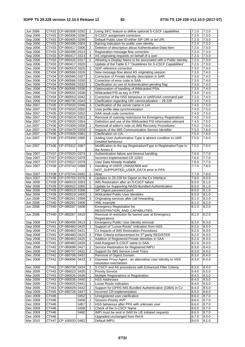| Jun 2006             |                     | CT#32 CP-060308 0292     |      | $\overline{2}$           | Using SiFC feature to define optional S-CSCF capabilities        | 7.1.0          | 7.2.0          |
|----------------------|---------------------|--------------------------|------|--------------------------|------------------------------------------------------------------|----------------|----------------|
| Sep 2006             | CT#33               | CP-060308 0296           |      |                          | S-CSCF assignment correction                                     | 7.2.0          | 7.3.0          |
| Sep 2006             |                     | CT#33   CP-060405   0299 |      | $\Box$                   | Default Public User ID either SIP URI or tel URI                 | 7.2.0          | 7.3.0          |
| Sep 2006             |                     | CT#33 CP-060399 0304     |      | 1                        | Barring Indication for public user identity                      | 7.2.0          | 7.3.0          |
| Sep 2006             |                     | CT#33 CP-060417 0306     |      | $\overline{2}$           | Deletion of description about Authentication-Data-Item           | 7.2.0          | 7.3.0          |
| Sep 2006             |                     | CT#33 CP-060399 0313     |      | 1                        | Registration message flow correction                             | 7.2.0          | 7.3.0          |
| Sep 2006             | CT#33               | CP-060417 0314           |      | 4                        | AS originating requests on behalf of a user                      | 7.2.0          | 7.3.0          |
| Sep 2006             |                     | CT#33 CP-060416 0317     |      | 2                        | Allowing a Display Name to be associated with a Public Identity. | 7.2.0          | 7.3.0          |
| Sep 2006             | CT#33               | CP-060417 0320           |      |                          | Update of the Table 6.7 "Guidelines for S-CSCF Capabilities"     | 7.2.0          | 7.3.0          |
| Dec 2006             | CT#34               | CP-060553 0325           |      | 1                        | SDP reference correction                                         | 7.3.0          | 7.4.0          |
| Dec 2006             | CT#34               | CP-060566 0326           |      | 1                        | New message flow about AS originating session                    | 7.3.0          | 7.4.0          |
| Dec 2006             | CT#34               | CP-060566 0327           |      | 1                        | Correction of Private Identity description in SAR                | 7.3.0          | 7.4.0          |
| Dec 2006             | CT#34               | CP-060566 0330           |      | 3                        | Correction of error code in SAA                                  | 7.3.0          | 7.4.0          |
| Dec 2006             | CT#34               | CP-060566 0332           |      | 1                        | Clarification on use of Authentication pending flag              | 7.3.0          | 7.4.0          |
| Dec 2006             | CT#34               | CP-060566 0336           |      | 3                        | Optimization of handling of Wildcarded PSIs                      | 7.3.0          | 7.4.0          |
| Dec 2006             | CT#34               | CP-060555 0338           |      | 1                        | Wildcarded PSI as key in PPR                                     | 7.3.0          | 7.4.0          |
| Dec 2006             | CT#34               | CP-060553 0342           |      | 1                        | Correction of the HSS behaviour in UAR/UAA command pair          | 7.3.0          | 7.4.0          |
| Dec 2006             | CT#34               | CP-060735 0343           |      | 3                        | Clarification regarding URI canonicalization - 29.228            | 7.3.0          | 7.4.0          |
| Mar 2007             | CT#35               | CP-070020 0346           |      | 3                        | Clarification of the server name in LIA                          | 7.4.0          | 7.5.0          |
| Mar 2007             |                     | CT#35 CP-070020 0350     |      | 3                        | User profile data synchronisation                                | 7.4.0          | 7.5.0          |
| Mar 2007             | CT#35               | CP-070020 0352           |      | $\blacksquare$           | SAA result code correction                                       | 7.4.0          | 7.5.0          |
| Mar 2007             | CT#35               | CP-070019 0353           |      | 2                        | Removal of roaming restrictions for Emergency Registrations      | 7.4.0          | 7.5.0          |
| Mar 2007             |                     | CT#35 CP-070020 0354     |      | $\Delta$                 | Definition and use of the Wildcarded PSI information element     | 7.4.0          | 7.5.0          |
| Jun 2007             |                     | CT#36 CP-070309 0358     |      | 1                        | Removal of editor's note on IMS Recovery Procedures              | 7.5.0          | 7.6.0          |
| Jun 2007             | CT#36               | CP-070479 0359           |      | 2                        | Impacts of the IMS Communication Service Identifier              | 7.5.0          | 7.6.0          |
| Jun 2007             |                     | CT#36 CP-070309 0361     |      | $\overline{2}$           | Clarification on LIA                                             | 7.5.0          | 7.6.0          |
| Jun 2007             | CT#36               | CP-070309                | 0365 | 1                        | Adding User-Authorization-Type is absent condition to UAR        | 7.5.0          | 7.6.0          |
|                      |                     |                          |      |                          | Detailed behaviour                                               |                |                |
| Jun 2007             | CT#36               | CP-070312                | 0367 | $\overline{\phantom{a}}$ | Modification to the tag RegistrationtType to RegistrationType in | 7.5.0          | 7.6.0          |
|                      |                     |                          |      |                          | the Annex E                                                      |                |                |
| Sep 2007             | CT#37               | CP-070520 0374           |      | 1                        | Authentication failure and timeout handling                      | 7.6.0          | 7.7.0          |
| Sep 2007             | CT#37               | CP-070522 0378           |      | $\blacksquare$           | Incorrect implemented CR 120r3                                   | 7.6.0          | 7.7.0          |
| Sep 2007             | CT#37               | CP-070527                | 0379 | $\blacksquare$           | User Data Already Available                                      | 7.6.0          | 7.7.0          |
| <b>Nov 2007</b>      | CT#38               | CP-070743 0388           |      | 1                        | Handling of USER_UNKNOWN and                                     | 7.7.0          | 7.8.0          |
|                      |                     |                          |      |                          | NOT_SUPPORTED_USER_DATA error in PPA                             |                |                |
|                      |                     |                          |      |                          |                                                                  |                |                |
| Nov 2007             | CT#38               | CP-070744 0392           |      | $\overline{2}$           | Alias                                                            | 7.7.0          | 7.8.0          |
| <b>Nov 2007</b>      |                     | CT#38 CP-070755 0376     |      | 6                        | Updates to 29.228 for Digest on the Cx Interface                 | 7.8.0          | 8.0.0          |
| Mar 2008             | CT#39               | CP-080019 0393           |      | 1                        | IMS Restoration after an S-CSCF failure                          | 8.0.0          | 8.1.0          |
| Mar 2008             | CT#39               | CP-080022 0395           |      | 2                        | Update for Supporting NASS-Bundled-Authentication                | 8.0.0          | 8.1.0          |
| Mar 2008             | CT#39               | CP-080019 0398           |      | $\blacksquare$           | SIP Digest password push                                         | 8.0.0          | 8.1.0          |
| Mar 2008             | CT#39               | CP-080019 0400           |      | 1                        | Wildcarded Public User Identities                                | 8.0.0          | 8.1.0          |
| Jun 2008             | CT#40               | CP-080261 0399           |      | 3                        | Originating services after call forwarding                       | 8.1.0          | 8.2.0          |
| <b>Jun 2008</b>      | CT#40               | CP-080261                | 0406 |                          | XML example                                                      | 8.1.0          | 8.2.0          |
| Jun 2008             | CT#40               | CP-080267                | 0408 |                          | <b>Emergency Registration for</b>                                | 8.1.0          | 8.2.0          |
|                      |                     |                          |      |                          | REGISTRATION_AND_CAPABILITIES                                    |                |                |
| Jun 2008             |                     | CT#40 CP-080267 0410     |      |                          | Removal of restriction for barred user at Emergency              | 8.1.0          | 8.2.0          |
|                      |                     |                          |      |                          | Registrations                                                    |                |                |
| Sep 2008             | CT#41               | CP-080456 0413           |      | $\overline{c}$           | Emergency Public User Identity removal                           | 8.2.0          | 8.3.0          |
| Sep 2008             | CT#41               | CP-080460 0420           |      | 1                        | Support of "Loose-Route" indication from HSS                     | 8.2.0          | 8.3.0          |
| Sep 2008             | CT#41               | CP-080463 0421           |      |                          | Cx Impacts of IMS Restoration Procedures                         | 8.2.0          | 8.3.0          |
| Sep 2008             | CT#41               | CP-080460 0423           |      | $\overline{2}$           | Filter Criteria enhancement for 3 <sup>rd</sup> party REGISTER   | 8.2.0          | 8.3.0          |
| Sep 2008             | CT#41               | CP-080463 0425           |      | 1                        | Addition of Registered Private Identities in SAA                 | 8.2.0          | 8.3.0          |
| Sep 2008             | CT#41               | CP-080460 0426           |      | $\mathbf{1}$             | Add Assigned S-CSCF name to SAA                                  | 8.2.0          | 8.3.0          |
| Dec 2008             | CT#42               | CP-080698 0427           |      | $\overline{2}$           | Service Restoration for Registered IMPU                          | 8.3.0          | 8.4.0          |
| Dec 2008             | CT#42               | CP-080707 0431           |      | 2                        | Support for IMS Service Level Trace                              | 8.3.0          | 8.4.0          |
| Dec 2008             | CT#42               | CP-080708 0432           |      |                          | Removal of Digest Domain                                         | 8.3.0          | 8.4.0          |
| Dec 2008             | CT#42               | CP-080696                | 0433 | 3                        | Diameter Proxy Agent - an alternative User Identity to HSS       | 8.3.0          | 8.4.0          |
|                      |                     |                          |      |                          | resolution mechanism                                             |                |                |
| Dec 2008             | CT#42               | CP-080708 0434           |      | 2                        | S-CSCF and AS procedures with Enhanced Filter Criteria           | 8.3.0          | 8.4.0          |
| Mar 2009             |                     | CT#43 CP-090023 0435     |      | 1                        | <b>Priority Service</b>                                          | 8.4.0          | 8.5.0          |
| Mar 2009             | CT#43               | CP-090026 0436           |      | 1                        | Multiple Registrations in Registration                           | 8.4.0          | 8.5.0          |
| Mar 2009             | CT#43               | CP-090036 0440           |      | $\overline{2}$           | <b>HSS Addresses</b>                                             | 8.4.0          | 8.5.0          |
| Mar 2009             | CT#43               | $ CP-090025 0441$        |      | 1                        | Loose Route Indication                                           | 8.4.0          | 8.5.0          |
| Mar 2009             | CT#43               | CP-090028 0442           |      | $\overline{2}$           | Support for GPRS IMS Bundled Authentication (GIBA) in Cx         | 8.4.0          | 8.5.0          |
| Sep 2009             | CT#45               | CP-090728                | 0447 | 1                        | Incorrect CR implementation                                      | 8.5.0          | 8.6.0          |
| Dec 2009             | $\overline{C}$ T#46 |                          | 0452 | 1                        | Unregistered user clarification                                  | 8.6.0          | 8.7.0          |
| Dec 2009             | CT#46               |                          | 0456 | $\overline{2}$           | Session-Priority AVP                                             | 8.6.0          | 8.7.0          |
| Dec 2009             | CT#46               |                          | 0457 | $\overline{2}$           | HSS behaviour after PPA with unknown user                        | 8.6.0          | 8.7.0          |
| Dec 2009             | CT#46               |                          | 0458 | 1                        | Check of the S-CSCF Name                                         | 8.6.0          | 8.7.0          |
| Dec 2009             | CT#46               |                          | 0460 |                          | IMPI must be sent in SAR for UE initiated requests               | 8.6.0          | 8.7.0          |
| Dec 2009<br>Mar 2010 | CT#46<br>CT#47      | CP-100033                | 0462 |                          | Upgraded unchanged from Rel-8<br>Default IMPU                    | 8.7.0<br>9.0.0 | 9.0.0<br>9.1.0 |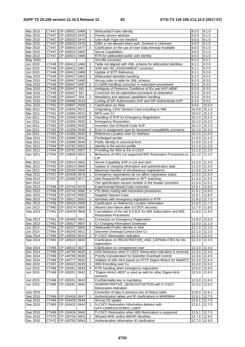| Mar 2010         | CT#47               | CP-100031                | 0468 | 1                     | Wildcarded Public Identity                                    | 9.0.0                      | 9.1.0  |
|------------------|---------------------|--------------------------|------|-----------------------|---------------------------------------------------------------|----------------------------|--------|
|                  |                     |                          |      |                       |                                                               | 9.0.0                      |        |
| Mar 2010         | CT#47               | CP-100033                | 0470 | $\mathbf{1}$          | Priority service attribute                                    |                            | 9.1.0  |
| Mar 2010         | CT#47               | CP-100033                | 0474 | $\mathbf{1}$          | User-Auth-Type not checked                                    | 9.0.0                      | 9.1.0  |
| Mar 2010         | CT#47               | CP-100033                | 0476 | 1                     | GIBA is not allowed when auth. Scheme is Unknown              | 9.0.0                      | 9.1.0  |
| Mar 2010         | CT#47               | CP-100042                | 0477 | 2                     | Clarification on the use of User-Data-Already-Available       | 9.0.0                      | 9.1.0  |
| Mar 2010         | CT#47               | CP-100015                | 0482 |                       | <b>Server Capabilities</b>                                    | 9.0.0                      | 9.1.0  |
| Mar 2010         | CT#47               | CP-100031                | 0466 |                       | RTR for wildcarded public user identity                       | 9.0.0                      | 9.1.0  |
| May 2010         |                     |                          |      |                       | Xml-file corrected                                            | 9.1.0                      | 9.1.1  |
|                  |                     |                          |      |                       |                                                               |                            |        |
| Jun 2010         | $\overline{C}$ T#48 | CP-100412                | 0484 | 3                     | Table not aligned with XML schema for wildcarded identities   | 9.1.1                      | 9.2.0  |
| Jun 2010         | CT#48               | CP-100412                | 0487 | 3                     | SAR with NO_ASSIGNMENT correction                             | 9.1.1                      | 9.2.0  |
| Jun 2010         | CT#48               | CP-100412                | 0489 | 2                     | Update of IETF Reference                                      | 9.1.1                      | 9.2.0  |
| Sep 2010         |                     | CT#49 CP-100447          | 0493 | $\mathcal{P}$         | Wildcarded Identities handling                                | 9.2.0                      | 9.3.0  |
| Sep 2010         |                     | CT#49 CP-100447          | 0495 |                       | Wrong order in table for XML schema                           | 9.2.0                      | 9.3.0  |
| Sep 2010         | CT#49               | CP-100447                | 0497 | 2                     | Cx-MAR handling correction in restoration procedures          | 9.2.0                      | 9.3.0  |
| Sep 2010         |                     | CT#49 CP-100447          | 500  | $\mathbf{1}$          | Ambiguity of Presence Conditions of IEs and AVP ABNF          | 9.2.0                      | 9.3.0  |
|                  |                     |                          |      |                       |                                                               |                            |        |
| Sep 2010         | CT#49               | CP-100447                | 507  |                       | Correction for de-registration procedure at restoration       | 9.2.0                      | 9.3.0  |
| Sep 2010         | CT#49               | CP-100447                | 504  | $\overline{2}$        | Mandatory and optional capabilities handling                  | 9.2.0                      | 9.3.0  |
| Dec 2010         | CT#50               | CP-100668                | 0519 |                       | Coding of SIP-Authorization AVP and SIP-Authenticate AVP      | 9.3.0                      | 9.4.0  |
| Dec 2010         |                     | CT#50 CP-100697          | 0509 | 1                     | Clarification on Alias                                        | 9.4.0                      | 10.0.0 |
| Mar 2011         | CT#51               | CP-110044                | 0521 | $\Box$                | Originating_CDIV Session Case including in XML                | 10.0.0                     | 10.1.0 |
| Mar 2011         | CT#51               | CP-110060                | 0515 | 5                     | MPS over Cx                                                   | 10.0.0 10.1.0              |        |
|                  |                     |                          |      |                       |                                                               |                            |        |
| Jun 2011         | CT#52               | CP-110349                | 0529 | $\overline{2}$        | Handling of RTR for Emergency Registration                    | 10.1.0 10.2.0              |        |
| Jun 2011         | CT#52               | CP-110356                | 0532 | 1                     | <b>Emergency Restoration</b>                                  | 10.1.0 10.2.0              |        |
| Jun 2011         | CT#52               | CP-110356                | 0535 |                       | Incorrect Use of Result-Code AVP                              | $\overline{10.1.0}$ 10.2.0 |        |
| Jun 2011         | CT#52               | CP-110356                | 0538 | 1                     | Error in assignment type for backward compatibility scenarios | 10.1.0 10.2.0              |        |
| Jun 2011         | CT#52               | CP-110383                | 0520 | 4                     | Reference Location over Cx interface                          | 10.2.0 11.0.0              |        |
| Sep 2011         | $\overline{C}$ T#53 | CP-110566                | 0542 |                       | Priviledged sender                                            | 11.0.0 11.1.0              |        |
|                  |                     |                          |      |                       |                                                               |                            |        |
| Sep 2011         | CT#53               | CP-110566                | 0546 | 1                     | Public Identity in canonical form                             | 11.0.0 11.1.0              |        |
| Dec 2011         | CT#54               | CP-110781                | 0552 | 1                     | Identity in the service profile                               | 11.1.0 11.2.0              |        |
| Dec 2011         | CT#54               | CP-110781                | 0557 | $\overline{2}$        | Providing the IMSI to the S-CSCF                              | 11.1.0 11.2.0              |        |
| Dec 2011         | CT#54               | CP-110809                | 0553 | 1                     | Behaviour of HSS not supported IMS Restoration Procedures to  | $11.1.0$ 11.2.0            |        |
|                  |                     |                          |      |                       | <b>LIR</b>                                                    |                            |        |
| Mar 2012         | CT#55               | CP-120014                | 0562 | 1                     | Server-Capability AVP in LIA and UAA                          | 11.2.0 11.3.0              |        |
| Mar 2012         | CT#55               | CP-120014                | 0566 | 1                     | Update of charging information and authentication data        | $11.2.0$ 11.3.0            |        |
|                  |                     |                          |      | $\overline{2}$        |                                                               |                            |        |
| Jun 2012         |                     | CT#56 CP-120245          | 0558 |                       | Maximum Number of simultaneous registrations                  | 11.3.0 11.4.0              |        |
| Sep 2012         | $\overline{CT#57}$  | CP-120439                | 0576 | 1                     | Emergency registrations do not affect registration status     | 11.4.0 11.5.0              |        |
| Sep 2012         | CT#57               | CP-120456                | 0577 | 1                     | Add RequestURI parameter to SPT matching                      | 11.4.0 11.5.0              |        |
| Nov 2012         |                     |                          |      |                       | The specification version number in the header corrected      | $11.5.0$ 11.5.1            |        |
| Dec 2012         | CT#58               | CP-120743 0578           |      | $\blacksquare$        | Experimental-Result-Code correction                           | 11.5.1                     | 11.6.0 |
| Dec 2012         | CT#58               | CP-120743                | 0582 | 3                     | PSI direct routing with restoration procedures                | 11.5.1 11.6.0              |        |
| Dec 2012         |                     | CT#58 CP-120743          | 0583 | $\Box$                | <b>Negated Session Case</b>                                   | 11.5.1 11.6.0              |        |
|                  |                     |                          |      |                       |                                                               |                            |        |
| Mar 2013         | CT#59               | CP-130011                | 0593 | 1                     | Identities with emergency registration in RTR                 | 11.6.0 11.7.0              |        |
| Mar 2013         | CT#59               | CP-130020                | 0599 | 1                     | Clarification on Reference Location information               | 11.6.0 11.7.0              |        |
| Jun 2013         |                     | CT#60 CP-130374          | 0600 | 1                     | Absent User-Name after S-CSCF recovery                        | 11.7.0 11.8.0              |        |
| Sep 2013         |                     | CT#61 CP-130439 0606     |      | $\overline{2}$        | Cancellation of the old S-CSCF for IMS Subscription and IMS   | 11.8.0 11.9.0              |        |
|                  |                     |                          |      |                       | <b>Restoration Procedures</b>                                 |                            |        |
| Sep 2013         |                     | CT#61 CP-13046§ 0601     |      | $\blacksquare$        | Correction on Emergency Registration                          | 11.9.0 12.0.0              |        |
| Dec 2013         | CT#62               | CP-130627 0607           |      | 5                     | Cx Charging Information Download                              | 12.0.0 12.1.0              |        |
|                  |                     |                          |      |                       |                                                               |                            |        |
| Jun 2014         | CT#64               | CP-140237 0609           |      | 2                     | Wildcarded Public Identity in SAA                             | 12.1.0 12.2.0              |        |
| Jun 2014         |                     | CT#64 CP-140243 0611     |      | $\overline{2}$        | Diameter Overload Control Over Cx                             | 12.1.0 12.2.0              |        |
| Sep 2014         | CT#65               | CP-140506 0624           |      | 2                     | P-CSCF Restoration indication                                 | 12.2.0 12.3.0              |        |
| Sep 2014         | CT#65               | CP-140515                | 0626 | $\tilde{\phantom{a}}$ | Clarification on REGISTRATION_AND_CAPABILITIES for De-        | 12.2.0 12.3.0              |        |
|                  |                     |                          |      |                       | registration                                                  |                            |        |
| Sep 2014         |                     | CT#65 CP-140515 0627     |      |                       | Clarification on Unregistered User                            | 12.2.0 12.3.0              |        |
| Dec 2014         |                     | CT#66   CP-140794   0628 |      | 2                     | HSS behaviour when P-CSCF Restoration indication is received  | 12.3.0 12.4.0              |        |
| Dec 2014         |                     | CT#66 CP-140790 0630     |      | 1                     | Priority Consideration for Diameter Overload Control          | 12.3.0 12.4.0              |        |
|                  |                     |                          |      |                       |                                                               |                            |        |
| Dec 2014         | CT#66               | CP-140777                | 0632 | 1                     | Addition of IMS-AKA based on HTTP Digest AKAv2 for WebRTC     | 12.3.0 12.4.0              |        |
| Mar 2015         | CT#67               | CP-150023                | 0639 | $\mathbf{1}$          | <b>IMSI</b> Encoding over Cx                                  | 12.4.0 12.5.0              |        |
| Jun 2015         |                     | CT#68 CP-150251          | 0633 | 4                     | RTR handling when emergency registration                      | 12.5.0 12.6.0              |        |
| Jun 2015         | CT#68               | CP-150251                | 0642 | $\mathbf{1}$          | "Digest-AKAv1-MD5" is used as well for other Digest-AKA       | 12.5.0 12.6.0              |        |
|                  |                     |                          |      |                       | versions                                                      |                            |        |
| Jun 2015         | CT#68               | CP-150251                | 0643 |                       | Confidentiality-key is mandatory                              | 12.5.0 12.6.0              |        |
| Jun 2015         | CT#68               | CP-150261                | 0640 |                       | ADMINISTRATIVE_DEREGISTRATION with P-CSCF-                    | 12.5.0 12.6.0              |        |
|                  |                     |                          |      |                       | Restoration-Indication                                        |                            |        |
|                  |                     |                          |      |                       |                                                               |                            |        |
| <b>July 2016</b> |                     |                          |      |                       | Correction of typo in previous line of history table.         | 12.6.0 12.6.1              |        |
| Sep 2015         | CT#69               | CP-150428 0647           |      | $\mathbf{1}$          | Authentication tables and IE clarifications in MAR/MAA        | 12.6.1 12.7.0              |        |
| Sep 2015         | CT#69               | CP-150428 0649           |      |                       | Wrong CR update                                               | 12.6.1                     | 12.7.0 |
| Sep 2015         | CT#69               | CP-150432 0644           |      | $\mathbf{1}$          | S-CSCF Restoration Information deletion with                  | 12.6.1                     | 12.7.0 |
|                  |                     |                          |      |                       | SAT=UNREGISTERED_USER                                         |                            |        |
| Sep 2015         |                     | CT#69 CP-150436 0645     |      |                       | P-CSCF Restoration when IMS Restoration is supported          | 12.6.1 12.7.0              |        |
| Dec 2015         |                     | CT#70 CP-150754 0653     |      | 2                     | Allowed WAF and/or WWSF Identities                            | 12.7.0 12.8.0              |        |
| Dec 2015         |                     | CT#70 CP-150750 0654     |      |                       | Authentication Information IE clarification                   | 12.7.0 12.8.0              |        |
|                  |                     |                          |      | 1                     |                                                               |                            |        |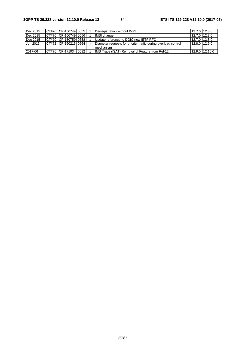| Dec 2015 | CT#70 CP-150749 0655     |  | De-registration without IMPI                                   | 12.7.0 12.8.0 |                |
|----------|--------------------------|--|----------------------------------------------------------------|---------------|----------------|
| Dec 2015 | CT#70 CP-150749 0656     |  | IMSI change                                                    | 12.7.0 12.8.0 |                |
| Dec 2015 | CT#70 CP-150759 0658     |  | Update reference to DOIC new IETF RFC                          | 12.7.0 12.8.0 |                |
| Jun 2016 | ICT#72 ICP-160215 0664 I |  | Diameter requests for priority traffic during overload control | 12.8.0 12.9.0 |                |
|          |                          |  | mechanism                                                      |               |                |
| 2017-06  | CT#76 CP-171034 0682     |  | <b>IIMS Trace (ISAT) Removal of Feature from Rel-12</b>        |               | 12.9.0 12.10.0 |